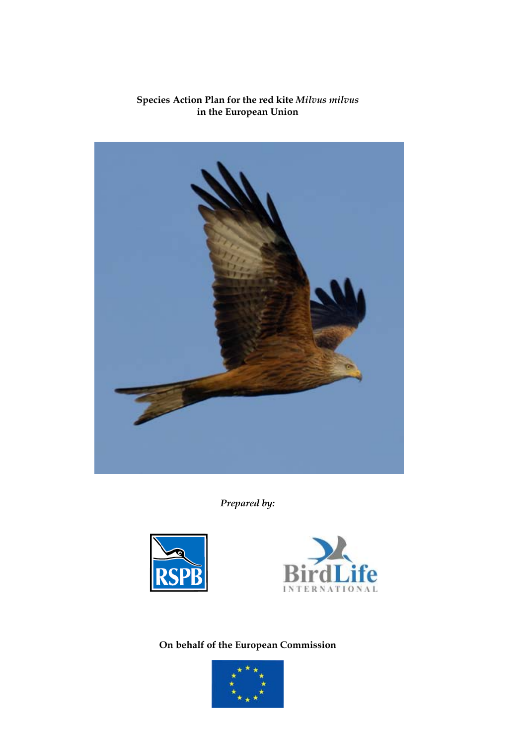## **Species Action Plan for the red kite** *Milvus milvus* **in the European Union**



*Prepared by:*





**On behalf of the European Commission** 

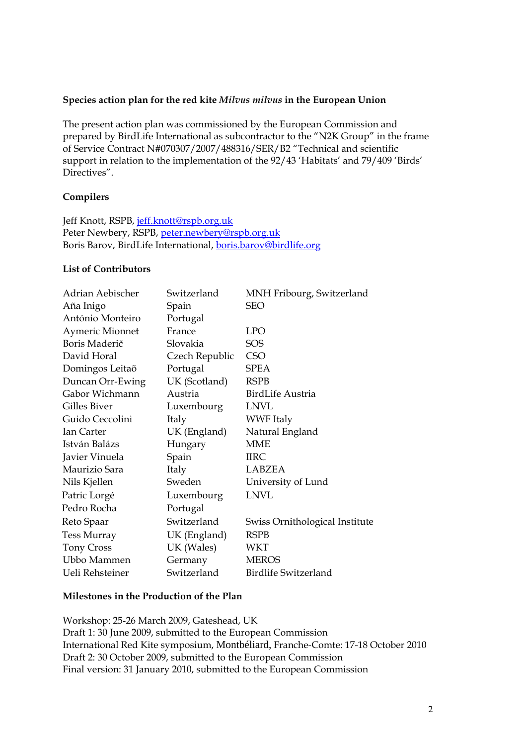## **Species action plan for the red kite** *Milvus milvus* **in the European Union**

The present action plan was commissioned by the European Commission and prepared by BirdLife International as subcontractor to the "N2K Group" in the frame of Service Contract N#070307/2007/488316/SER/B2 "Technical and scientific support in relation to the implementation of the 92/43 'Habitats' and 79/409 'Birds' Directives".

## **Compilers**

Jeff Knott, RSPB, [jeff.knott@rspb.org.uk](mailto:jeff.knott@rspb.org.uk) Peter Newbery, RSPB, [peter.newbery@rspb.org.uk](mailto:peter.newbery@rspb.org.uk) Boris Barov, BirdLife International, [boris.barov@birdlife.org](mailto:boris.barov@birdlife.org)

## **List of Contributors**

| Adrian Aebischer       | Switzerland    | MNH Fribourg, Switzerland      |
|------------------------|----------------|--------------------------------|
| Aña Inigo              | Spain          | <b>SEO</b>                     |
| António Monteiro       | Portugal       |                                |
| <b>Aymeric Mionnet</b> | France         | <b>LPO</b>                     |
| Boris Maderič          | Slovakia       | <b>SOS</b>                     |
| David Horal            | Czech Republic | <b>CSO</b>                     |
| Domingos Leitaõ        | Portugal       | <b>SPEA</b>                    |
| Duncan Orr-Ewing       | UK (Scotland)  | <b>RSPB</b>                    |
| Gabor Wichmann         | Austria        | <b>BirdLife Austria</b>        |
| Gilles Biver           | Luxembourg     | <b>LNVL</b>                    |
| Guido Ceccolini        | Italy          | <b>WWF</b> Italy               |
| Ian Carter             | UK (England)   | Natural England                |
| István Balázs          | Hungary        | <b>MME</b>                     |
| Javier Vinuela         | Spain          | <b>IIRC</b>                    |
| Maurizio Sara          | Italy          | LABZEA                         |
| Nils Kjellen           | Sweden         | University of Lund             |
| Patric Lorgé           | Luxembourg     | <b>LNVL</b>                    |
| Pedro Rocha            | Portugal       |                                |
| Reto Spaar             | Switzerland    | Swiss Ornithological Institute |
| <b>Tess Murray</b>     | UK (England)   | <b>RSPB</b>                    |
| <b>Tony Cross</b>      | UK (Wales)     | WKT                            |
| Ubbo Mammen            | Germany        | <b>MEROS</b>                   |
| Ueli Rehsteiner        | Switzerland    | <b>Birdlife Switzerland</b>    |

## **Milestones in the Production of the Plan**

Workshop: 25-26 March 2009, Gateshead, UK Draft 1: 30 June 2009, submitted to the European Commission International Red Kite symposium, Montbéliard, Franche-Comte: 17-18 October 2010 Draft 2: 30 October 2009, submitted to the European Commission Final version: 31 January 2010, submitted to the European Commission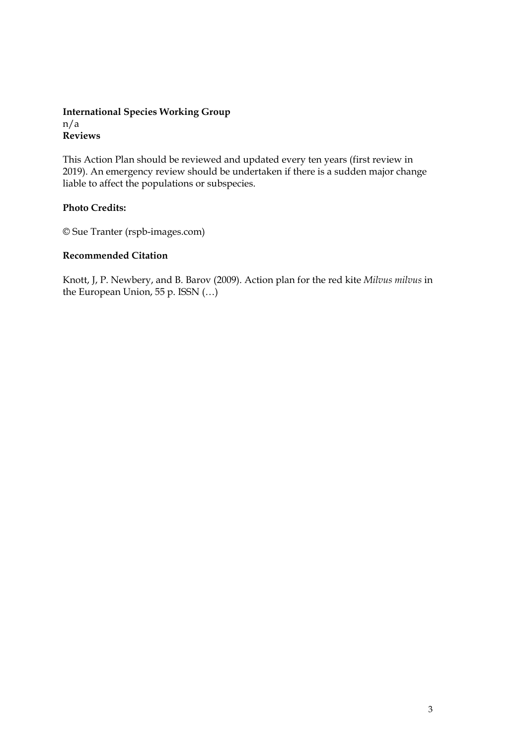## **International Species Working Group**  n/a **Reviews**

This Action Plan should be reviewed and updated every ten years (first review in 2019). An emergency review should be undertaken if there is a sudden major change liable to affect the populations or subspecies.

## **Photo Credits:**

© Sue Tranter (rspb-images.com)

## **Recommended Citation**

Knott, J, P. Newbery, and B. Barov (2009). Action plan for the red kite *Milvus milvus* in the European Union, 55 p. ISSN (…)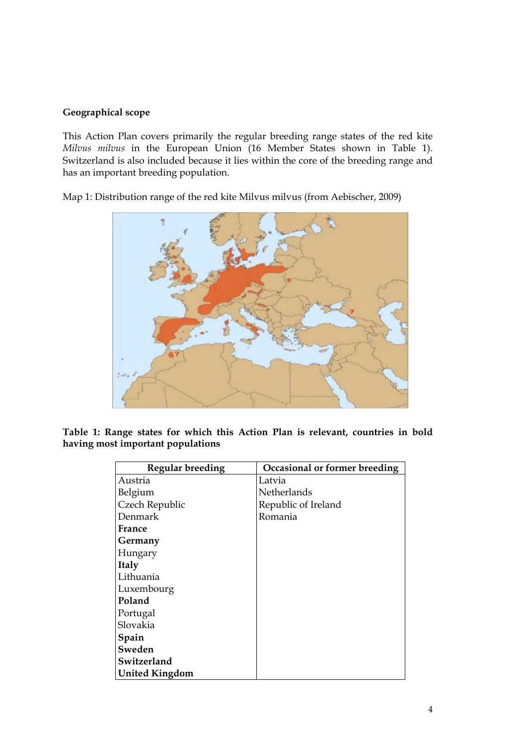## **Geographical scope**

This Action Plan covers primarily the regular breeding range states of the red kite *Milvus milvus* in the European Union (16 Member States shown in Table 1). Switzerland is also included because it lies within the core of the breeding range and has an important breeding population.

Map 1: Distribution range of the red kite Milvus milvus (from Aebischer, 2009)



**Table 1: Range states for which this Action Plan is relevant, countries in bold having most important populations** 

| <b>Regular breeding</b> | Occasional or former breeding |
|-------------------------|-------------------------------|
| Austria                 | Latvia                        |
| Belgium                 | Netherlands                   |
| Czech Republic          | Republic of Ireland           |
| Denmark                 | Romania                       |
| France                  |                               |
| Germany                 |                               |
| Hungary                 |                               |
| <b>Italy</b>            |                               |
| Lithuania               |                               |
| Luxembourg              |                               |
| Poland                  |                               |
| Portugal                |                               |
| Slovakia                |                               |
| Spain                   |                               |
| Sweden                  |                               |
| Switzerland             |                               |
| <b>United Kingdom</b>   |                               |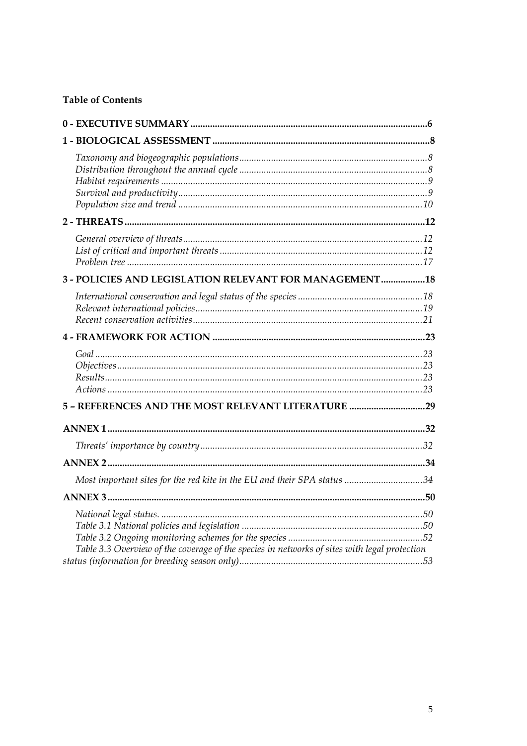## **Table of Contents**

| 3 - POLICIES AND LEGISLATION RELEVANT FOR MANAGEMENT 18                                      |  |
|----------------------------------------------------------------------------------------------|--|
|                                                                                              |  |
|                                                                                              |  |
|                                                                                              |  |
| 5 - REFERENCES AND THE MOST RELEVANT LITERATURE 29                                           |  |
|                                                                                              |  |
|                                                                                              |  |
|                                                                                              |  |
| Most important sites for the red kite in the EU and their SPA status 34                      |  |
|                                                                                              |  |
| Table 3.3 Overview of the coverage of the species in networks of sites with legal protection |  |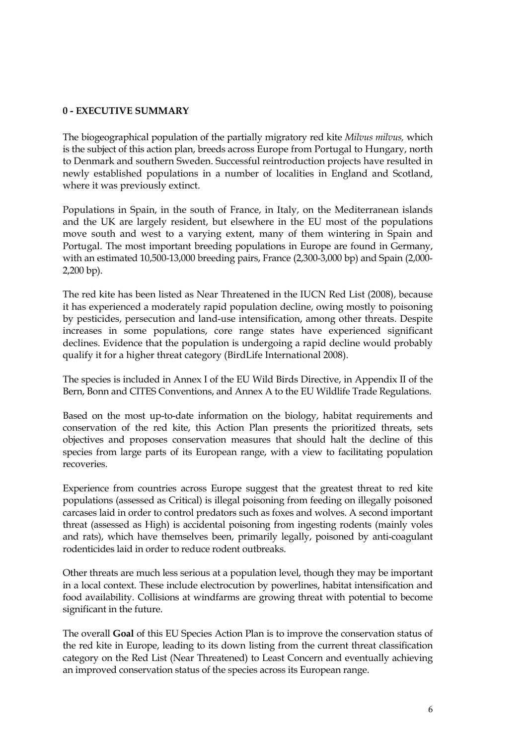## <span id="page-5-0"></span>**0 - EXECUTIVE SUMMARY**

The biogeographical population of the partially migratory red kite *Milvus milvus,* which is the subject of this action plan, breeds across Europe from Portugal to Hungary, north to Denmark and southern Sweden. Successful reintroduction projects have resulted in newly established populations in a number of localities in England and Scotland, where it was previously extinct.

Populations in Spain, in the south of France, in Italy, on the Mediterranean islands and the UK are largely resident, but elsewhere in the EU most of the populations move south and west to a varying extent, many of them wintering in Spain and Portugal. The most important breeding populations in Europe are found in Germany, with an estimated 10,500-13,000 breeding pairs, France (2,300-3,000 bp) and Spain (2,000- 2,200 bp).

The red kite has been listed as Near Threatened in the IUCN Red List (2008), because it has experienced a moderately rapid population decline, owing mostly to poisoning by pesticides, persecution and land-use intensification, among other threats. Despite increases in some populations, core range states have experienced significant declines. Evidence that the population is undergoing a rapid decline would probably qualify it for a higher threat category (BirdLife International 2008).

The species is included in Annex I of the EU Wild Birds Directive, in Appendix II of the Bern, Bonn and CITES Conventions, and Annex A to the EU Wildlife Trade Regulations.

Based on the most up-to-date information on the biology, habitat requirements and conservation of the red kite, this Action Plan presents the prioritized threats, sets objectives and proposes conservation measures that should halt the decline of this species from large parts of its European range, with a view to facilitating population recoveries.

Experience from countries across Europe suggest that the greatest threat to red kite populations (assessed as Critical) is illegal poisoning from feeding on illegally poisoned carcases laid in order to control predators such as foxes and wolves. A second important threat (assessed as High) is accidental poisoning from ingesting rodents (mainly voles and rats), which have themselves been, primarily legally, poisoned by anti-coagulant rodenticides laid in order to reduce rodent outbreaks.

Other threats are much less serious at a population level, though they may be important in a local context. These include electrocution by powerlines, habitat intensification and food availability. Collisions at windfarms are growing threat with potential to become significant in the future.

The overall **Goal** of this EU Species Action Plan is to improve the conservation status of the red kite in Europe, leading to its down listing from the current threat classification category on the Red List (Near Threatened) to Least Concern and eventually achieving an improved conservation status of the species across its European range.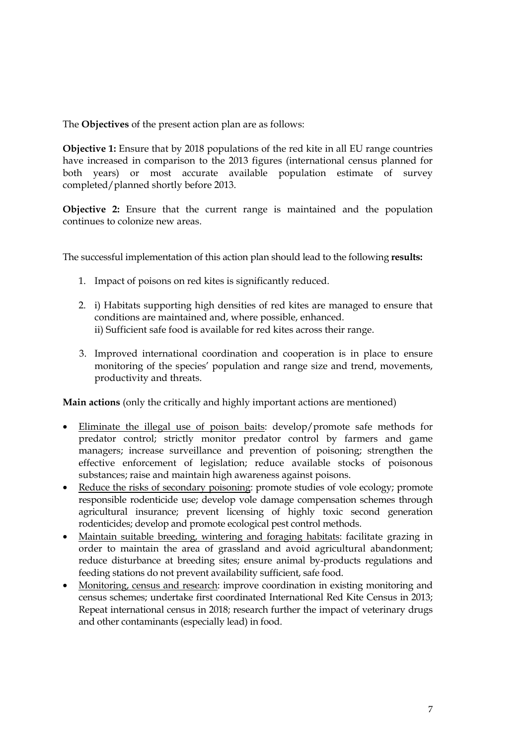The **Objectives** of the present action plan are as follows:

**Objective 1:** Ensure that by 2018 populations of the red kite in all EU range countries have increased in comparison to the 2013 figures (international census planned for both years) or most accurate available population estimate of survey completed/planned shortly before 2013.

**Objective 2:** Ensure that the current range is maintained and the population continues to colonize new areas.

The successful implementation of this action plan should lead to the following **results:** 

- 1. Impact of poisons on red kites is significantly reduced.
- 2. i) Habitats supporting high densities of red kites are managed to ensure that conditions are maintained and, where possible, enhanced. ii) Sufficient safe food is available for red kites across their range.
- 3. Improved international coordination and cooperation is in place to ensure monitoring of the species' population and range size and trend, movements, productivity and threats.

**Main actions** (only the critically and highly important actions are mentioned)

- Eliminate the illegal use of poison baits: develop/promote safe methods for predator control; strictly monitor predator control by farmers and game managers; increase surveillance and prevention of poisoning; strengthen the effective enforcement of legislation; reduce available stocks of poisonous substances; raise and maintain high awareness against poisons.
- Reduce the risks of secondary poisoning: promote studies of vole ecology; promote responsible rodenticide use; develop vole damage compensation schemes through agricultural insurance; prevent licensing of highly toxic second generation rodenticides; develop and promote ecological pest control methods.
- Maintain suitable breeding, wintering and foraging habitats: facilitate grazing in order to maintain the area of grassland and avoid agricultural abandonment; reduce disturbance at breeding sites; ensure animal by-products regulations and feeding stations do not prevent availability sufficient, safe food.
- Monitoring, census and research: improve coordination in existing monitoring and census schemes; undertake first coordinated International Red Kite Census in 2013; Repeat international census in 2018; research further the impact of veterinary drugs and other contaminants (especially lead) in food.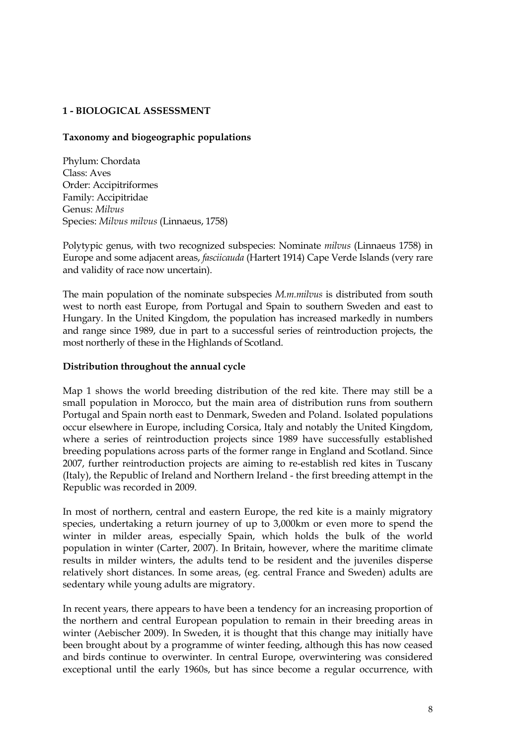## <span id="page-7-0"></span>**1 - BIOLOGICAL ASSESSMENT**

## **Taxonomy and biogeographic populations**

Phylum: Chordata Class: Aves Order: Accipitriformes Family: Accipitridae Genus: *Milvus* Species: *Milvus milvus* (Linnaeus, 1758)

Polytypic genus, with two recognized subspecies: Nominate *milvus* (Linnaeus 1758) in Europe and some adjacent areas, *fasciicauda* (Hartert 1914) Cape Verde Islands (very rare and validity of race now uncertain).

The main population of the nominate subspecies *M.m.milvus* is distributed from south west to north east Europe, from Portugal and Spain to southern Sweden and east to Hungary. In the United Kingdom, the population has increased markedly in numbers and range since 1989, due in part to a successful series of reintroduction projects, the most northerly of these in the Highlands of Scotland.

#### **Distribution throughout the annual cycle**

Map 1 shows the world breeding distribution of the red kite. There may still be a small population in Morocco, but the main area of distribution runs from southern Portugal and Spain north east to Denmark, Sweden and Poland. Isolated populations occur elsewhere in Europe, including Corsica, Italy and notably the United Kingdom, where a series of reintroduction projects since 1989 have successfully established breeding populations across parts of the former range in England and Scotland. Since 2007, further reintroduction projects are aiming to re-establish red kites in Tuscany (Italy), the Republic of Ireland and Northern Ireland - the first breeding attempt in the Republic was recorded in 2009.

In most of northern, central and eastern Europe, the red kite is a mainly migratory species, undertaking a return journey of up to 3,000km or even more to spend the winter in milder areas, especially Spain, which holds the bulk of the world population in winter (Carter, 2007). In Britain, however, where the maritime climate results in milder winters, the adults tend to be resident and the juveniles disperse relatively short distances. In some areas, (eg. central France and Sweden) adults are sedentary while young adults are migratory.

In recent years, there appears to have been a tendency for an increasing proportion of the northern and central European population to remain in their breeding areas in winter (Aebischer 2009). In Sweden, it is thought that this change may initially have been brought about by a programme of winter feeding, although this has now ceased and birds continue to overwinter. In central Europe, overwintering was considered exceptional until the early 1960s, but has since become a regular occurrence, with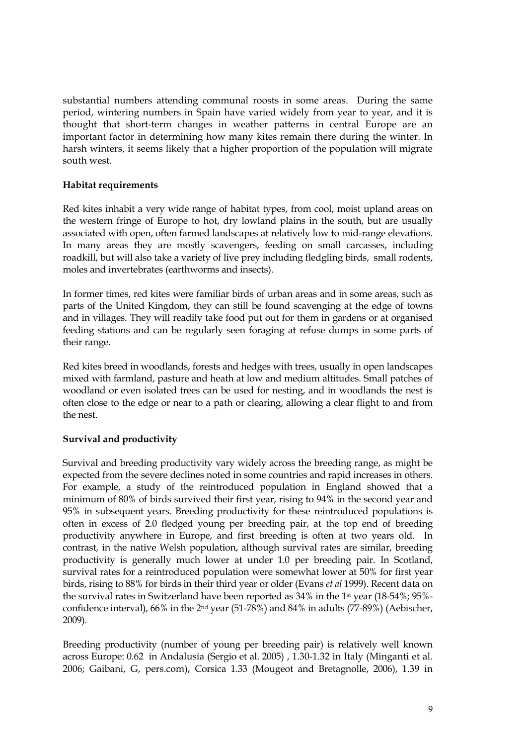<span id="page-8-0"></span>substantial numbers attending communal roosts in some areas. During the same period, wintering numbers in Spain have varied widely from year to year, and it is thought that short-term changes in weather patterns in central Europe are an important factor in determining how many kites remain there during the winter. In harsh winters, it seems likely that a higher proportion of the population will migrate south west.

## **Habitat requirements**

Red kites inhabit a very wide range of habitat types, from cool, moist upland areas on the western fringe of Europe to hot, dry lowland plains in the south, but are usually associated with open, often farmed landscapes at relatively low to mid-range elevations. In many areas they are mostly scavengers, feeding on small carcasses, including roadkill, but will also take a variety of live prey including fledgling birds, small rodents, moles and invertebrates (earthworms and insects).

In former times, red kites were familiar birds of urban areas and in some areas, such as parts of the United Kingdom, they can still be found scavenging at the edge of towns and in villages. They will readily take food put out for them in gardens or at organised feeding stations and can be regularly seen foraging at refuse dumps in some parts of their range.

Red kites breed in woodlands, forests and hedges with trees, usually in open landscapes mixed with farmland, pasture and heath at low and medium altitudes. Small patches of woodland or even isolated trees can be used for nesting, and in woodlands the nest is often close to the edge or near to a path or clearing, allowing a clear flight to and from the nest.

## **Survival and productivity**

Survival and breeding productivity vary widely across the breeding range, as might be expected from the severe declines noted in some countries and rapid increases in others. For example, a study of the reintroduced population in England showed that a minimum of 80% of birds survived their first year, rising to 94% in the second year and 95% in subsequent years. Breeding productivity for these reintroduced populations is often in excess of 2.0 fledged young per breeding pair, at the top end of breeding productivity anywhere in Europe, and first breeding is often at two years old. In contrast, in the native Welsh population, although survival rates are similar, breeding productivity is generally much lower at under 1.0 per breeding pair. In Scotland, survival rates for a reintroduced population were somewhat lower at 50% for first year birds, rising to 88% for birds in their third year or older (Evans *et al* 1999). Recent data on the survival rates in Switzerland have been reported as 34% in the 1st year (18-54%; 95% confidence interval), 66% in the 2nd year (51-78%) and 84% in adults (77-89%) (Aebischer, 2009).

Breeding productivity (number of young per breeding pair) is relatively well known across Europe: 0.62 in Andalusia (Sergio et al. 2005) , 1.30-1.32 in Italy (Minganti et al. 2006; Gaibani, G, pers.com), Corsica 1.33 (Mougeot and Bretagnolle, 2006), 1.39 in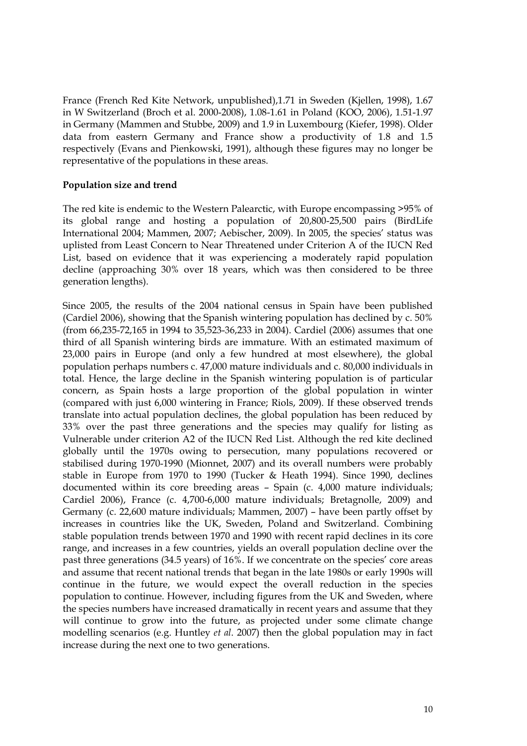<span id="page-9-0"></span>France (French Red Kite Network, unpublished),1.71 in Sweden (Kjellen, 1998), 1.67 in W Switzerland (Broch et al. 2000-2008), 1.08-1.61 in Poland (KOO, 2006), 1.51-1.97 in Germany (Mammen and Stubbe, 2009) and 1.9 in Luxembourg (Kiefer, 1998). Older data from eastern Germany and France show a productivity of 1.8 and 1.5 respectively (Evans and Pienkowski, 1991), although these figures may no longer be representative of the populations in these areas.

## **Population size and trend**

The red kite is endemic to the Western Palearctic, with Europe encompassing >95% of its global range and hosting a population of 20,800-25,500 pairs (BirdLife International 2004; Mammen, 2007; Aebischer, 2009). In 2005, the species' status was uplisted from Least Concern to Near Threatened under Criterion A of the IUCN Red List, based on evidence that it was experiencing a moderately rapid population decline (approaching 30% over 18 years, which was then considered to be three generation lengths).

Since 2005, the results of the 2004 national census in Spain have been published (Cardiel 2006), showing that the Spanish wintering population has declined by c. 50% (from 66,235-72,165 in 1994 to 35,523-36,233 in 2004). Cardiel (2006) assumes that one third of all Spanish wintering birds are immature. With an estimated maximum of 23,000 pairs in Europe (and only a few hundred at most elsewhere), the global population perhaps numbers c. 47,000 mature individuals and c. 80,000 individuals in total. Hence, the large decline in the Spanish wintering population is of particular concern, as Spain hosts a large proportion of the global population in winter (compared with just 6,000 wintering in France; Riols, 2009). If these observed trends translate into actual population declines, the global population has been reduced by 33% over the past three generations and the species may qualify for listing as Vulnerable under criterion A2 of the IUCN Red List. Although the red kite declined globally until the 1970s owing to persecution, many populations recovered or stabilised during 1970-1990 (Mionnet, 2007) and its overall numbers were probably stable in Europe from 1970 to 1990 (Tucker & Heath 1994). Since 1990, declines documented within its core breeding areas – Spain (c. 4,000 mature individuals; Cardiel 2006), France (c. 4,700-6,000 mature individuals; Bretagnolle, 2009) and Germany (c. 22,600 mature individuals; Mammen, 2007) – have been partly offset by increases in countries like the UK, Sweden, Poland and Switzerland. Combining stable population trends between 1970 and 1990 with recent rapid declines in its core range, and increases in a few countries, yields an overall population decline over the past three generations (34.5 years) of 16%. If we concentrate on the species' core areas and assume that recent national trends that began in the late 1980s or early 1990s will continue in the future, we would expect the overall reduction in the species population to continue. However, including figures from the UK and Sweden, where the species numbers have increased dramatically in recent years and assume that they will continue to grow into the future, as projected under some climate change modelling scenarios (e.g. Huntley *et al*. 2007) then the global population may in fact increase during the next one to two generations.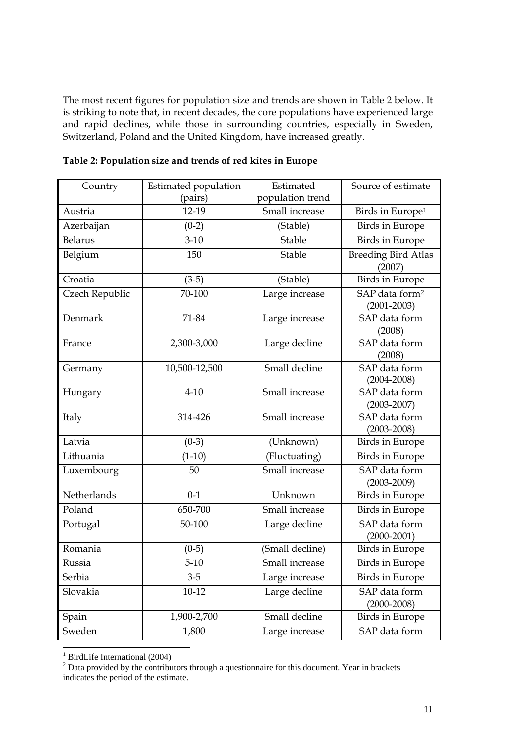<span id="page-10-0"></span>The most recent figures for population size and trends are shown in Table 2 below. It is striking to note that, in recent decades, the core populations have experienced large and rapid declines, while those in surrounding countries, especially in Sweden, Switzerland, Poland and the United Kingdom, have increased greatly.

| Country        | Estimated population | Estimated        | Source of estimate                            |
|----------------|----------------------|------------------|-----------------------------------------------|
|                | (pairs)              | population trend |                                               |
| Austria        | 12-19                | Small increase   | Birds in Europe <sup>1</sup>                  |
| Azerbaijan     | $(0-2)$              | (Stable)         | <b>Birds</b> in Europe                        |
| <b>Belarus</b> | $3-10$               | Stable           | <b>Birds</b> in Europe                        |
| Belgium        | 150                  | Stable           | <b>Breeding Bird Atlas</b><br>(2007)          |
| Croatia        | $(3-5)$              | (Stable)         | Birds in Europe                               |
| Czech Republic | $70-100$             | Large increase   | SAP data form <sup>2</sup><br>$(2001 - 2003)$ |
| Denmark        | 71-84                | Large increase   | SAP data form<br>(2008)                       |
| France         | 2,300-3,000          | Large decline    | SAP data form<br>(2008)                       |
| Germany        | 10,500-12,500        | Small decline    | SAP data form<br>$(2004 - 2008)$              |
| Hungary        | $4 - 10$             | Small increase   | SAP data form<br>$(2003 - 2007)$              |
| Italy          | 314-426              | Small increase   | SAP data form<br>$(2003 - 2008)$              |
| Latvia         | $(0-3)$              | (Unknown)        | <b>Birds</b> in Europe                        |
| Lithuania      | $(1-10)$             | (Fluctuating)    | <b>Birds</b> in Europe                        |
| Luxembourg     | 50                   | Small increase   | SAP data form<br>$(2003 - 2009)$              |
| Netherlands    | $0 - 1$              | Unknown          | <b>Birds</b> in Europe                        |
| Poland         | 650-700              | Small increase   | <b>Birds in Europe</b>                        |
| Portugal       | 50-100               | Large decline    | SAP data form<br>$(2000 - 2001)$              |
| Romania        | $(0-5)$              | (Small decline)  | <b>Birds</b> in Europe                        |
| Russia         | $5-10$               | Small increase   | <b>Birds</b> in Europe                        |
| Serbia         | $3 - 5$              | Large increase   | <b>Birds</b> in Europe                        |
| Slovakia       | $10-12$              | Large decline    | SAP data form<br>$(2000 - 2008)$              |
| Spain          | 1,900-2,700          | Small decline    | <b>Birds</b> in Europe                        |
| Sweden         | 1,800                | Large increase   | SAP data form                                 |

| Table 2: Population size and trends of red kites in Europe |  |  |  |  |  |  |
|------------------------------------------------------------|--|--|--|--|--|--|
|------------------------------------------------------------|--|--|--|--|--|--|

<sup>&</sup>lt;sup>1</sup> BirdLife International (2004)<br>
<sup>2</sup> Data provided by the contributors through a questionnaire for this document. Year in brackets

indicates the period of the estimate.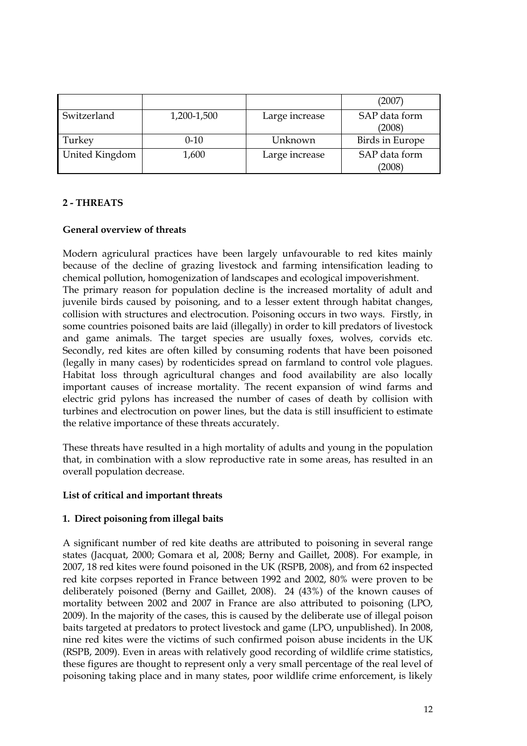<span id="page-11-0"></span>

|                |             |                | (2007)                  |
|----------------|-------------|----------------|-------------------------|
| Switzerland    | 1,200-1,500 | Large increase | SAP data form           |
|                |             |                | (2008)                  |
| Turkey         | $0 - 10$    | Unknown        | <b>Birds in Europe</b>  |
| United Kingdom | 1,600       | Large increase | SAP data form<br>(2008) |

## **2 - THREATS**

## **General overview of threats**

Modern agriculural practices have been largely unfavourable to red kites mainly because of the decline of grazing livestock and farming intensification leading to chemical pollution, homogenization of landscapes and ecological impoverishment. The primary reason for population decline is the increased mortality of adult and juvenile birds caused by poisoning, and to a lesser extent through habitat changes, collision with structures and electrocution. Poisoning occurs in two ways. Firstly, in some countries poisoned baits are laid (illegally) in order to kill predators of livestock and game animals. The target species are usually foxes, wolves, corvids etc. Secondly, red kites are often killed by consuming rodents that have been poisoned (legally in many cases) by rodenticides spread on farmland to control vole plagues. Habitat loss through agricultural changes and food availability are also locally important causes of increase mortality. The recent expansion of wind farms and electric grid pylons has increased the number of cases of death by collision with turbines and electrocution on power lines, but the data is still insufficient to estimate the relative importance of these threats accurately.

These threats have resulted in a high mortality of adults and young in the population that, in combination with a slow reproductive rate in some areas, has resulted in an overall population decrease.

## **List of critical and important threats**

## **1. Direct poisoning from illegal baits**

A significant number of red kite deaths are attributed to poisoning in several range states (Jacquat, 2000; Gomara et al, 2008; Berny and Gaillet, 2008). For example, in 2007, 18 red kites were found poisoned in the UK (RSPB, 2008), and from 62 inspected red kite corpses reported in France between 1992 and 2002, 80% were proven to be deliberately poisoned (Berny and Gaillet, 2008). 24 (43%) of the known causes of mortality between 2002 and 2007 in France are also attributed to poisoning (LPO, 2009). In the majority of the cases, this is caused by the deliberate use of illegal poison baits targeted at predators to protect livestock and game (LPO, unpublished). In 2008, nine red kites were the victims of such confirmed poison abuse incidents in the UK (RSPB, 2009). Even in areas with relatively good recording of wildlife crime statistics, these figures are thought to represent only a very small percentage of the real level of poisoning taking place and in many states, poor wildlife crime enforcement, is likely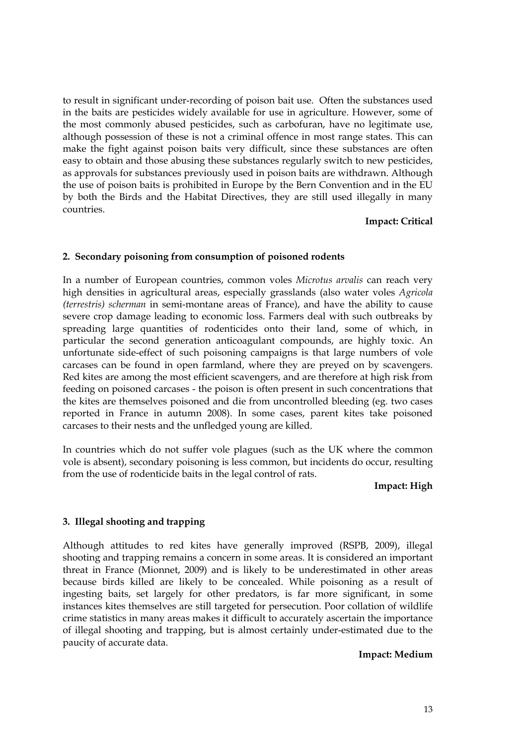to result in significant under-recording of poison bait use. Often the substances used in the baits are pesticides widely available for use in agriculture. However, some of the most commonly abused pesticides, such as carbofuran, have no legitimate use, although possession of these is not a criminal offence in most range states. This can make the fight against poison baits very difficult, since these substances are often easy to obtain and those abusing these substances regularly switch to new pesticides, as approvals for substances previously used in poison baits are withdrawn. Although the use of poison baits is prohibited in Europe by the Bern Convention and in the EU by both the Birds and the Habitat Directives, they are still used illegally in many countries.

#### **Impact: Critical**

#### **2. Secondary poisoning from consumption of poisoned rodents**

In a number of European countries, common voles *Microtus arvalis* can reach very high densities in agricultural areas, especially grasslands (also water voles *Agricola (terrestris) scherman* in semi-montane areas of France), and have the ability to cause severe crop damage leading to economic loss. Farmers deal with such outbreaks by spreading large quantities of rodenticides onto their land, some of which, in particular the second generation anticoagulant compounds, are highly toxic. An unfortunate side-effect of such poisoning campaigns is that large numbers of vole carcases can be found in open farmland, where they are preyed on by scavengers. Red kites are among the most efficient scavengers, and are therefore at high risk from feeding on poisoned carcases - the poison is often present in such concentrations that the kites are themselves poisoned and die from uncontrolled bleeding (eg. two cases reported in France in autumn 2008). In some cases, parent kites take poisoned carcases to their nests and the unfledged young are killed.

In countries which do not suffer vole plagues (such as the UK where the common vole is absent), secondary poisoning is less common, but incidents do occur, resulting from the use of rodenticide baits in the legal control of rats.

#### **Impact: High**

#### **3. Illegal shooting and trapping**

Although attitudes to red kites have generally improved (RSPB, 2009), illegal shooting and trapping remains a concern in some areas. It is considered an important threat in France (Mionnet, 2009) and is likely to be underestimated in other areas because birds killed are likely to be concealed. While poisoning as a result of ingesting baits, set largely for other predators, is far more significant, in some instances kites themselves are still targeted for persecution. Poor collation of wildlife crime statistics in many areas makes it difficult to accurately ascertain the importance of illegal shooting and trapping, but is almost certainly under-estimated due to the paucity of accurate data.

#### **Impact: Medium**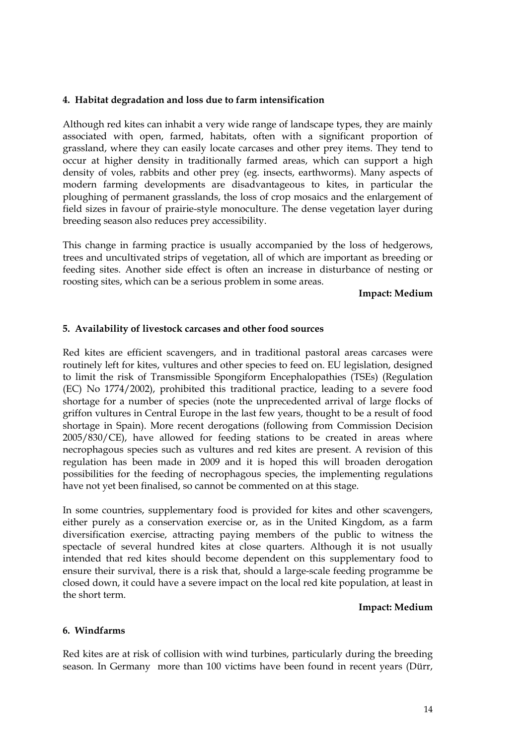## **4. Habitat degradation and loss due to farm intensification**

Although red kites can inhabit a very wide range of landscape types, they are mainly associated with open, farmed, habitats, often with a significant proportion of grassland, where they can easily locate carcases and other prey items. They tend to occur at higher density in traditionally farmed areas, which can support a high density of voles, rabbits and other prey (eg. insects, earthworms). Many aspects of modern farming developments are disadvantageous to kites, in particular the ploughing of permanent grasslands, the loss of crop mosaics and the enlargement of field sizes in favour of prairie-style monoculture. The dense vegetation layer during breeding season also reduces prey accessibility.

This change in farming practice is usually accompanied by the loss of hedgerows, trees and uncultivated strips of vegetation, all of which are important as breeding or feeding sites. Another side effect is often an increase in disturbance of nesting or roosting sites, which can be a serious problem in some areas.

**Impact: Medium** 

#### **5. Availability of livestock carcases and other food sources**

Red kites are efficient scavengers, and in traditional pastoral areas carcases were routinely left for kites, vultures and other species to feed on. EU legislation, designed to limit the risk of Transmissible Spongiform Encephalopathies (TSEs) (Regulation (EC) No 1774/2002), prohibited this traditional practice, leading to a severe food shortage for a number of species (note the unprecedented arrival of large flocks of griffon vultures in Central Europe in the last few years, thought to be a result of food shortage in Spain). More recent derogations (following from Commission Decision 2005/830/CE), have allowed for feeding stations to be created in areas where necrophagous species such as vultures and red kites are present. A revision of this regulation has been made in 2009 and it is hoped this will broaden derogation possibilities for the feeding of necrophagous species, the implementing regulations have not yet been finalised, so cannot be commented on at this stage.

In some countries, supplementary food is provided for kites and other scavengers, either purely as a conservation exercise or, as in the United Kingdom, as a farm diversification exercise, attracting paying members of the public to witness the spectacle of several hundred kites at close quarters. Although it is not usually intended that red kites should become dependent on this supplementary food to ensure their survival, there is a risk that, should a large-scale feeding programme be closed down, it could have a severe impact on the local red kite population, at least in the short term.

#### **Impact: Medium**

#### **6. Windfarms**

Red kites are at risk of collision with wind turbines, particularly during the breeding season. In Germany more than 100 victims have been found in recent years (Dürr,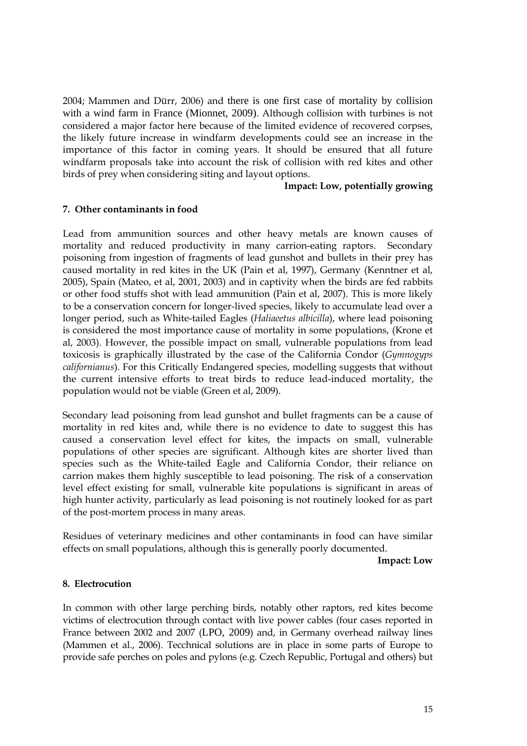2004; Mammen and Dürr, 2006) and there is one first case of mortality by collision with a wind farm in France (Mionnet, 2009). Although collision with turbines is not considered a major factor here because of the limited evidence of recovered corpses, the likely future increase in windfarm developments could see an increase in the importance of this factor in coming years. It should be ensured that all future windfarm proposals take into account the risk of collision with red kites and other birds of prey when considering siting and layout options.

#### **Impact: Low, potentially growing**

#### **7. Other contaminants in food**

Lead from ammunition sources and other heavy metals are known causes of mortality and reduced productivity in many carrion-eating raptors. Secondary poisoning from ingestion of fragments of lead gunshot and bullets in their prey has caused mortality in red kites in the UK (Pain et al, 1997), Germany (Kenntner et al, 2005), Spain (Mateo, et al, 2001, 2003) and in captivity when the birds are fed rabbits or other food stuffs shot with lead ammunition (Pain et al, 2007). This is more likely to be a conservation concern for longer-lived species, likely to accumulate lead over a longer period, such as White-tailed Eagles (*Haliaeetus albicilla*), where lead poisoning is considered the most importance cause of mortality in some populations, (Krone et al, 2003). However, the possible impact on small, vulnerable populations from lead toxicosis is graphically illustrated by the case of the California Condor (*Gymnogyps californianus*). For this Critically Endangered species, modelling suggests that without the current intensive efforts to treat birds to reduce lead-induced mortality, the population would not be viable (Green et al, 2009).

Secondary lead poisoning from lead gunshot and bullet fragments can be a cause of mortality in red kites and, while there is no evidence to date to suggest this has caused a conservation level effect for kites, the impacts on small, vulnerable populations of other species are significant. Although kites are shorter lived than species such as the White-tailed Eagle and California Condor, their reliance on carrion makes them highly susceptible to lead poisoning. The risk of a conservation level effect existing for small, vulnerable kite populations is significant in areas of high hunter activity, particularly as lead poisoning is not routinely looked for as part of the post-mortem process in many areas.

Residues of veterinary medicines and other contaminants in food can have similar effects on small populations, although this is generally poorly documented.

#### **Impact: Low**

#### **8. Electrocution**

In common with other large perching birds, notably other raptors, red kites become victims of electrocution through contact with live power cables (four cases reported in France between 2002 and 2007 (LPO, 2009) and, in Germany overhead railway lines (Mammen et al., 2006). Tecchnical solutions are in place in some parts of Europe to provide safe perches on poles and pylons (e.g. Czech Republic, Portugal and others) but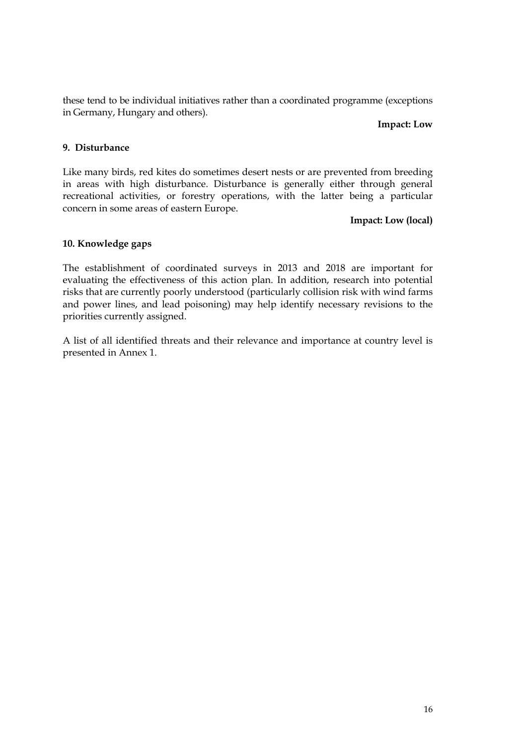these tend to be individual initiatives rather than a coordinated programme (exceptions in Germany, Hungary and others).

#### **Impact: Low**

## **9. Disturbance**

Like many birds, red kites do sometimes desert nests or are prevented from breeding in areas with high disturbance. Disturbance is generally either through general recreational activities, or forestry operations, with the latter being a particular concern in some areas of eastern Europe.

#### **Impact: Low (local)**

## **10. Knowledge gaps**

The establishment of coordinated surveys in 2013 and 2018 are important for evaluating the effectiveness of this action plan. In addition, research into potential risks that are currently poorly understood (particularly collision risk with wind farms and power lines, and lead poisoning) may help identify necessary revisions to the priorities currently assigned.

A list of all identified threats and their relevance and importance at country level is presented in Annex 1.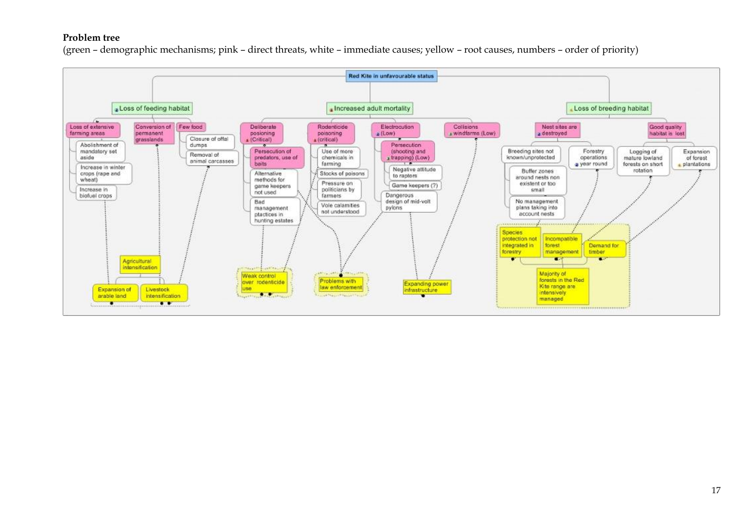#### **Problem tree**

(green – demographic mechanisms; pink – direct threats, white – immediate causes; yellow – root causes, numbers – order of priority)

<span id="page-16-0"></span>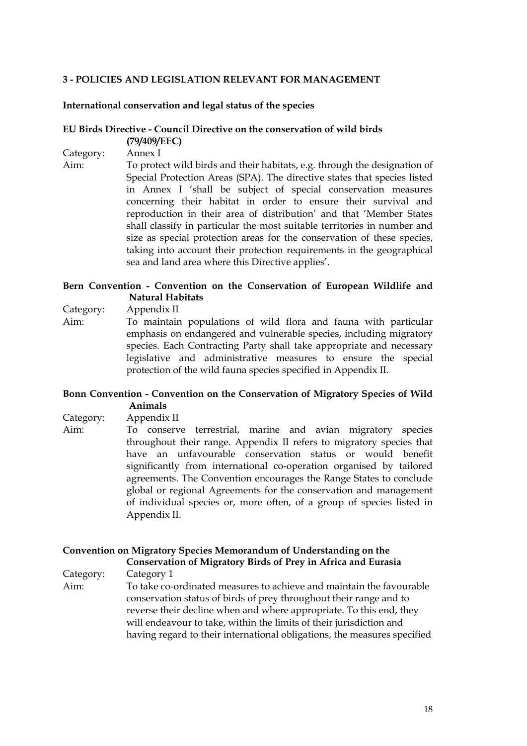## <span id="page-17-0"></span>**3 - POLICIES AND LEGISLATION RELEVANT FOR MANAGEMENT**

#### **International conservation and legal status of the species**

#### **EU Birds Directive - Council Directive on the conservation of wild birds (79/409/EEC)**

Category: Annex I

Aim: To protect wild birds and their habitats, e.g. through the designation of Special Protection Areas (SPA). The directive states that species listed in Annex I 'shall be subject of special conservation measures concerning their habitat in order to ensure their survival and reproduction in their area of distribution' and that 'Member States shall classify in particular the most suitable territories in number and size as special protection areas for the conservation of these species, taking into account their protection requirements in the geographical sea and land area where this Directive applies'.

## **Bern Convention - Convention on the Conservation of European Wildlife and Natural Habitats**

Category: Appendix II

Aim: To maintain populations of wild flora and fauna with particular emphasis on endangered and vulnerable species, including migratory species. Each Contracting Party shall take appropriate and necessary legislative and administrative measures to ensure the special protection of the wild fauna species specified in Appendix II.

## **Bonn Convention - Convention on the Conservation of Migratory Species of Wild Animals**

Category: Appendix II

Aim: To conserve terrestrial, marine and avian migratory species throughout their range. Appendix II refers to migratory species that have an unfavourable conservation status or would benefit significantly from international co-operation organised by tailored agreements. The Convention encourages the Range States to conclude global or regional Agreements for the conservation and management of individual species or, more often, of a group of species listed in Appendix II.

## **Convention on Migratory Species Memorandum of Understanding on the Conservation of Migratory Birds of Prey in Africa and Eurasia**

Category: Category 1

Aim: To take co-ordinated measures to achieve and maintain the favourable conservation status of birds of prey throughout their range and to reverse their decline when and where appropriate. To this end, they will endeavour to take, within the limits of their jurisdiction and having regard to their international obligations, the measures specified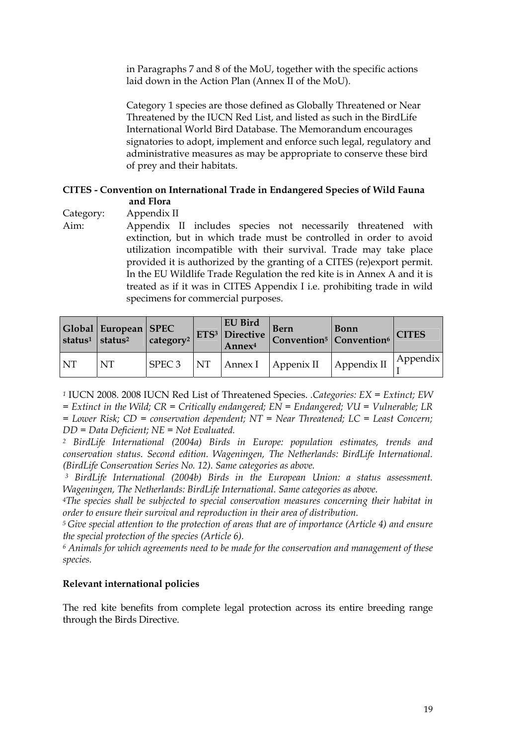<span id="page-18-0"></span>in Paragraphs 7 and 8 of the MoU, together with the specific actions laid down in the Action Plan (Annex II of the MoU).

Category 1 species are those defined as Globally Threatened or Near Threatened by the IUCN Red List, and listed as such in the BirdLife International World Bird Database. The Memorandum encourages signatories to adopt, implement and enforce such legal, regulatory and administrative measures as may be appropriate to conserve these bird of prey and their habitats.

## **CITES - Convention on International Trade in Endangered Species of Wild Fauna and Flora**

Category: Appendix II

Aim: Appendix II includes species not necessarily threatened with extinction, but in which trade must be controlled in order to avoid utilization incompatible with their survival. Trade may take place provided it is authorized by the granting of a CITES (re)export permit. In the EU Wildlife Trade Regulation the red kite is in Annex A and it is treated as if it was in CITES Appendix I i.e. prohibiting trade in wild specimens for commercial purposes.

|           | Global   European   SPEC<br>status <sup>1</sup> status <sup>2</sup> | $\vert$ category <sup>2</sup> | EU Bird<br>Annex <sup>4</sup> | Bern<br>$\mathcal{L}_{12}$ ETS <sup>3</sup> Directive Convention <sup>5</sup> Convention <sup>6</sup> CITES | <b>Bonn</b> |          |  |
|-----------|---------------------------------------------------------------------|-------------------------------|-------------------------------|-------------------------------------------------------------------------------------------------------------|-------------|----------|--|
| <b>NT</b> | <b>NT</b>                                                           | $SPEC3$ NT                    |                               | $\vert$ Annex I $\vert$ Appenix II $\vert$ Appendix II                                                      |             | Appendix |  |

*<sup>1</sup>* IUCN 2008. 2008 IUCN Red List of Threatened Species. *.Categories: EX = Extinct; EW* 

*= Extinct in the Wild; CR = Critically endangered; EN = Endangered; VU = Vulnerable; LR* 

*= Lower Risk; CD = conservation dependent; NT = Near Threatened; LC = Least Concern; DD = Data Deficient; NE = Not Evaluated.* 

*2 BirdLife International (2004a) Birds in Europe: population estimates, trends and conservation status. Second edition. Wageningen, The Netherlands: BirdLife International. (BirdLife Conservation Series No. 12). Same categories as above.* 

*3 BirdLife International (2004b) Birds in the European Union: a status assessment. Wageningen, The Netherlands: BirdLife International. Same categories as above.* 

*4The species shall be subjected to special conservation measures concerning their habitat in order to ensure their survival and reproduction in their area of distribution.* 

*5 Give special attention to the protection of areas that are of importance (Article 4) and ensure the special protection of the species (Article 6).* 

*6 Animals for which agreements need to be made for the conservation and management of these species.* 

## **Relevant international policies**

The red kite benefits from complete legal protection across its entire breeding range through the Birds Directive.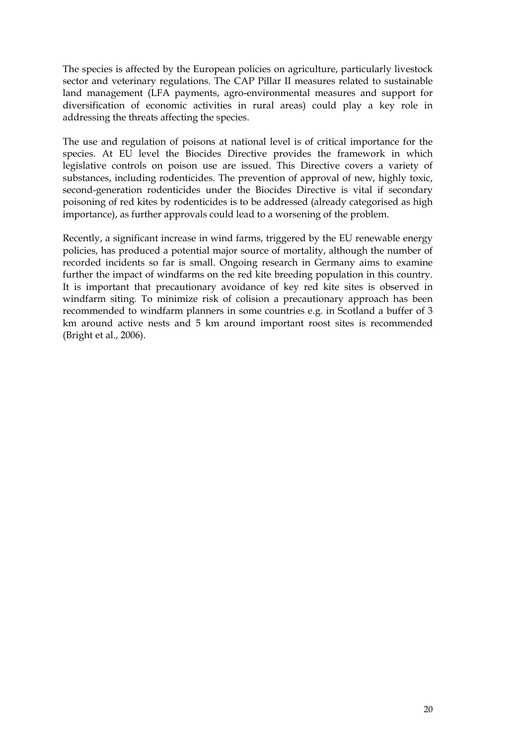The species is affected by the European policies on agriculture, particularly livestock sector and veterinary regulations. The CAP Pillar II measures related to sustainable land management (LFA payments, agro-environmental measures and support for diversification of economic activities in rural areas) could play a key role in addressing the threats affecting the species.

The use and regulation of poisons at national level is of critical importance for the species. At EU level the Biocides Directive provides the framework in which legislative controls on poison use are issued. This Directive covers a variety of substances, including rodenticides. The prevention of approval of new, highly toxic, second-generation rodenticides under the Biocides Directive is vital if secondary poisoning of red kites by rodenticides is to be addressed (already categorised as high importance), as further approvals could lead to a worsening of the problem.

Recently, a significant increase in wind farms, triggered by the EU renewable energy policies, has produced a potential major source of mortality, although the number of recorded incidents so far is small. Ongoing research in Germany aims to examine further the impact of windfarms on the red kite breeding population in this country. It is important that precautionary avoidance of key red kite sites is observed in windfarm siting. To minimize risk of colision a precautionary approach has been recommended to windfarm planners in some countries e.g. in Scotland a buffer of 3 km around active nests and 5 km around important roost sites is recommended (Bright et al., 2006).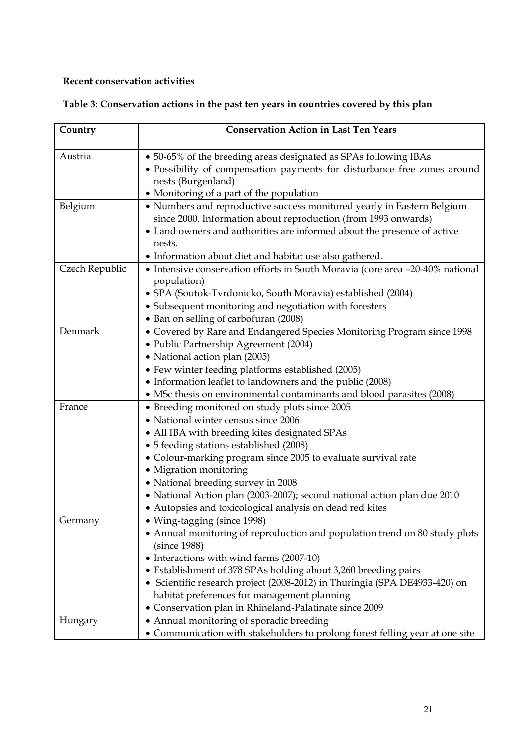## <span id="page-20-0"></span>**Recent conservation activities**

| Table 3: Conservation actions in the past ten years in countries covered by this plan |
|---------------------------------------------------------------------------------------|
|---------------------------------------------------------------------------------------|

| Country        | <b>Conservation Action in Last Ten Years</b>                                                                       |
|----------------|--------------------------------------------------------------------------------------------------------------------|
|                |                                                                                                                    |
| Austria        | • 50-65% of the breeding areas designated as SPAs following IBAs                                                   |
|                | • Possibility of compensation payments for disturbance free zones around                                           |
|                | nests (Burgenland)                                                                                                 |
| Belgium        | • Monitoring of a part of the population<br>• Numbers and reproductive success monitored yearly in Eastern Belgium |
|                | since 2000. Information about reproduction (from 1993 onwards)                                                     |
|                | • Land owners and authorities are informed about the presence of active                                            |
|                | nests.                                                                                                             |
|                | • Information about diet and habitat use also gathered.                                                            |
| Czech Republic | • Intensive conservation efforts in South Moravia (core area -20-40% national                                      |
|                | population)                                                                                                        |
|                | • SPA (Soutok-Tvrdonicko, South Moravia) established (2004)                                                        |
|                | • Subsequent monitoring and negotiation with foresters                                                             |
|                | • Ban on selling of carbofuran (2008)                                                                              |
| Denmark        | • Covered by Rare and Endangered Species Monitoring Program since 1998                                             |
|                | • Public Partnership Agreement (2004)                                                                              |
|                | • National action plan (2005)                                                                                      |
|                | • Few winter feeding platforms established (2005)                                                                  |
|                | • Information leaflet to landowners and the public (2008)                                                          |
|                | • MSc thesis on environmental contaminants and blood parasites (2008)                                              |
| France         | • Breeding monitored on study plots since 2005                                                                     |
|                | • National winter census since 2006                                                                                |
|                | • All IBA with breeding kites designated SPAs                                                                      |
|                | • 5 feeding stations established (2008)                                                                            |
|                | • Colour-marking program since 2005 to evaluate survival rate                                                      |
|                | • Migration monitoring                                                                                             |
|                | • National breeding survey in 2008                                                                                 |
|                | • National Action plan (2003-2007); second national action plan due 2010                                           |
|                | • Autopsies and toxicological analysis on dead red kites                                                           |
| Germany        | • Wing-tagging (since 1998)                                                                                        |
|                | • Annual monitoring of reproduction and population trend on 80 study plots<br>(since 1988)                         |
|                | • Interactions with wind farms (2007-10)                                                                           |
|                | • Establishment of 378 SPAs holding about 3,260 breeding pairs                                                     |
|                | • Scientific research project (2008-2012) in Thuringia (SPA DE4933-420) on                                         |
|                | habitat preferences for management planning                                                                        |
|                | • Conservation plan in Rhineland-Palatinate since 2009                                                             |
| Hungary        | • Annual monitoring of sporadic breeding                                                                           |
|                | • Communication with stakeholders to prolong forest felling year at one site                                       |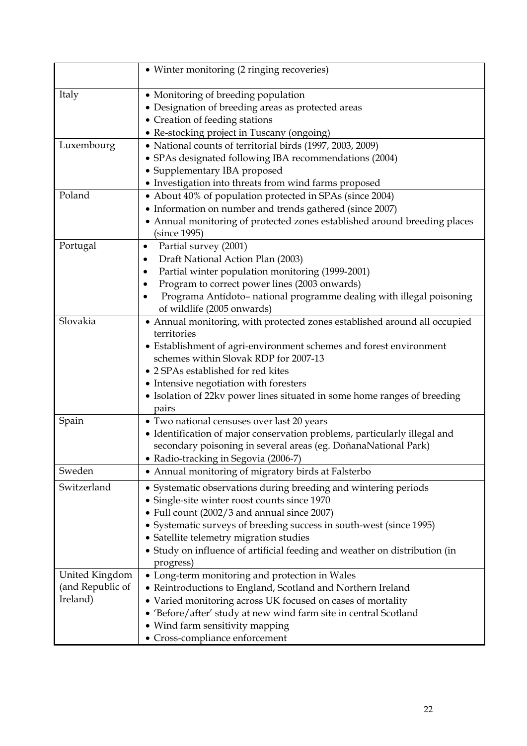|                                                | • Winter monitoring (2 ringing recoveries)                                                                                                                                                                                                                                                                                                                                   |
|------------------------------------------------|------------------------------------------------------------------------------------------------------------------------------------------------------------------------------------------------------------------------------------------------------------------------------------------------------------------------------------------------------------------------------|
| Italy                                          | • Monitoring of breeding population<br>• Designation of breeding areas as protected areas<br>• Creation of feeding stations<br>• Re-stocking project in Tuscany (ongoing)                                                                                                                                                                                                    |
| Luxembourg                                     | • National counts of territorial birds (1997, 2003, 2009)<br>• SPAs designated following IBA recommendations (2004)<br>• Supplementary IBA proposed<br>• Investigation into threats from wind farms proposed                                                                                                                                                                 |
| Poland                                         | • About 40% of population protected in SPAs (since 2004)<br>• Information on number and trends gathered (since 2007)<br>• Annual monitoring of protected zones established around breeding places<br>(since 1995)                                                                                                                                                            |
| Portugal                                       | Partial survey (2001)<br>$\bullet$<br>Draft National Action Plan (2003)<br>Partial winter population monitoring (1999-2001)<br>$\bullet$<br>Program to correct power lines (2003 onwards)<br>Programa Antídoto- national programme dealing with illegal poisoning<br>$\bullet$<br>of wildlife (2005 onwards)                                                                 |
| Slovakia                                       | • Annual monitoring, with protected zones established around all occupied<br>territories<br>• Establishment of agri-environment schemes and forest environment<br>schemes within Slovak RDP for 2007-13<br>• 2 SPAs established for red kites<br>• Intensive negotiation with foresters<br>• Isolation of 22kv power lines situated in some home ranges of breeding<br>pairs |
| Spain                                          | • Two national censuses over last 20 years<br>• Identification of major conservation problems, particularly illegal and<br>secondary poisoning in several areas (eg. DoñanaNational Park)<br>• Radio-tracking in Segovia (2006-7)                                                                                                                                            |
| Sweden                                         | • Annual monitoring of migratory birds at Falsterbo                                                                                                                                                                                                                                                                                                                          |
| Switzerland                                    | • Systematic observations during breeding and wintering periods<br>• Single-site winter roost counts since 1970<br>• Full count (2002/3 and annual since 2007)<br>• Systematic surveys of breeding success in south-west (since 1995)<br>· Satellite telemetry migration studies<br>• Study on influence of artificial feeding and weather on distribution (in<br>progress)  |
| United Kingdom<br>(and Republic of<br>Ireland) | • Long-term monitoring and protection in Wales<br>• Reintroductions to England, Scotland and Northern Ireland<br>• Varied monitoring across UK focused on cases of mortality<br>• 'Before/after' study at new wind farm site in central Scotland<br>• Wind farm sensitivity mapping<br>• Cross-compliance enforcement                                                        |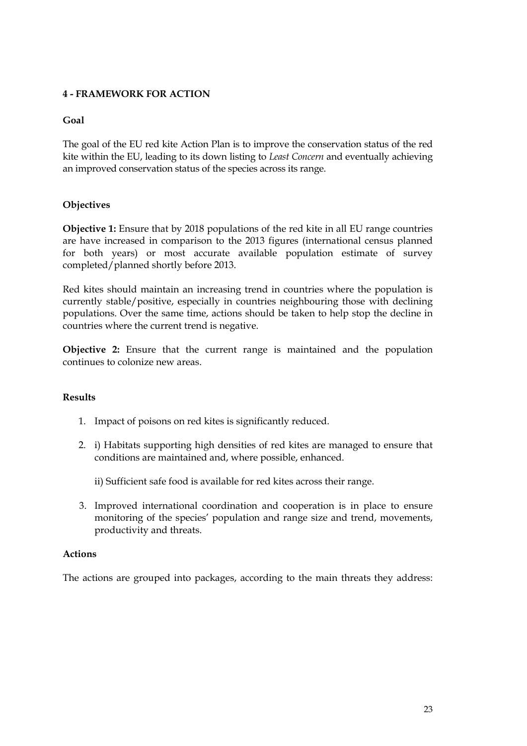## <span id="page-22-0"></span>**4 - FRAMEWORK FOR ACTION**

## **Goal**

The goal of the EU red kite Action Plan is to improve the conservation status of the red kite within the EU, leading to its down listing to *Least Concern* and eventually achieving an improved conservation status of the species across its range.

## **Objectives**

**Objective 1:** Ensure that by 2018 populations of the red kite in all EU range countries are have increased in comparison to the 2013 figures (international census planned for both years) or most accurate available population estimate of survey completed/planned shortly before 2013.

Red kites should maintain an increasing trend in countries where the population is currently stable/positive, especially in countries neighbouring those with declining populations. Over the same time, actions should be taken to help stop the decline in countries where the current trend is negative.

**Objective 2:** Ensure that the current range is maintained and the population continues to colonize new areas.

## **Results**

- 1. Impact of poisons on red kites is significantly reduced.
- 2. i) Habitats supporting high densities of red kites are managed to ensure that conditions are maintained and, where possible, enhanced.

ii) Sufficient safe food is available for red kites across their range.

3. Improved international coordination and cooperation is in place to ensure monitoring of the species' population and range size and trend, movements, productivity and threats.

#### **Actions**

The actions are grouped into packages, according to the main threats they address: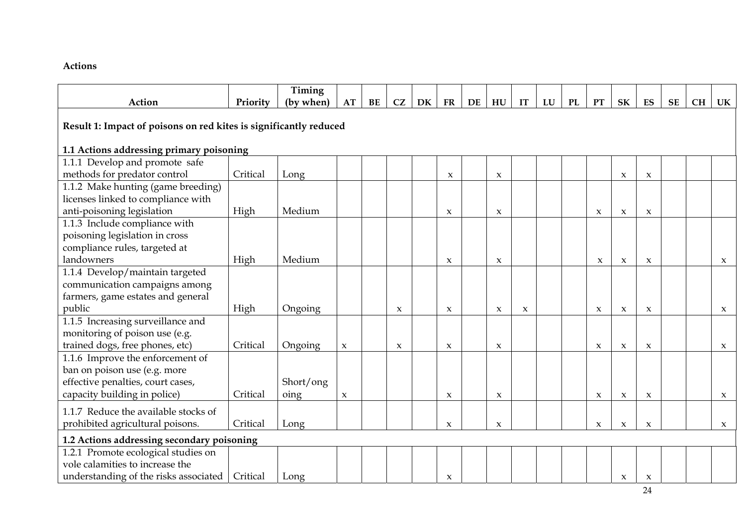#### **Actions**

|                                                                   |          | Timing    |                     |    |                     |    |                     |    |                     |              |    |    |                     |                     |                     |           |           |                     |
|-------------------------------------------------------------------|----------|-----------|---------------------|----|---------------------|----|---------------------|----|---------------------|--------------|----|----|---------------------|---------------------|---------------------|-----------|-----------|---------------------|
| Action                                                            | Priority | (by when) | AT                  | BE | CZ                  | DK | <b>FR</b>           | DE | HU                  | IT           | LU | PL | <b>PT</b>           | <b>SK</b>           | ES                  | <b>SE</b> | <b>CH</b> | UK                  |
| Result 1: Impact of poisons on red kites is significantly reduced |          |           |                     |    |                     |    |                     |    |                     |              |    |    |                     |                     |                     |           |           |                     |
| 1.1 Actions addressing primary poisoning                          |          |           |                     |    |                     |    |                     |    |                     |              |    |    |                     |                     |                     |           |           |                     |
| 1.1.1 Develop and promote safe                                    |          |           |                     |    |                     |    |                     |    |                     |              |    |    |                     |                     |                     |           |           |                     |
| methods for predator control                                      | Critical | Long      |                     |    |                     |    | $\pmb{\chi}$        |    | $\boldsymbol{\chi}$ |              |    |    |                     | $\boldsymbol{\chi}$ | $\boldsymbol{\chi}$ |           |           |                     |
| 1.1.2 Make hunting (game breeding)                                |          |           |                     |    |                     |    |                     |    |                     |              |    |    |                     |                     |                     |           |           |                     |
| licenses linked to compliance with                                |          |           |                     |    |                     |    |                     |    |                     |              |    |    |                     |                     |                     |           |           |                     |
| anti-poisoning legislation                                        | High     | Medium    |                     |    |                     |    | $\boldsymbol{\chi}$ |    | $\boldsymbol{\chi}$ |              |    |    | $\boldsymbol{\chi}$ | $\boldsymbol{\chi}$ | $\boldsymbol{\chi}$ |           |           |                     |
| 1.1.3 Include compliance with                                     |          |           |                     |    |                     |    |                     |    |                     |              |    |    |                     |                     |                     |           |           |                     |
| poisoning legislation in cross                                    |          |           |                     |    |                     |    |                     |    |                     |              |    |    |                     |                     |                     |           |           |                     |
| compliance rules, targeted at                                     |          |           |                     |    |                     |    |                     |    |                     |              |    |    |                     |                     |                     |           |           |                     |
| landowners                                                        | High     | Medium    |                     |    |                     |    | $\boldsymbol{\chi}$ |    | $\boldsymbol{\chi}$ |              |    |    | $\boldsymbol{\chi}$ | $\boldsymbol{\chi}$ | $\boldsymbol{\chi}$ |           |           | $\boldsymbol{\chi}$ |
| 1.1.4 Develop/maintain targeted                                   |          |           |                     |    |                     |    |                     |    |                     |              |    |    |                     |                     |                     |           |           |                     |
| communication campaigns among                                     |          |           |                     |    |                     |    |                     |    |                     |              |    |    |                     |                     |                     |           |           |                     |
| farmers, game estates and general                                 |          |           |                     |    |                     |    |                     |    |                     |              |    |    |                     |                     |                     |           |           |                     |
| public                                                            | High     | Ongoing   |                     |    | $\boldsymbol{\chi}$ |    | $\boldsymbol{\chi}$ |    | $\boldsymbol{\chi}$ | $\pmb{\chi}$ |    |    | $\boldsymbol{\chi}$ | $\boldsymbol{\chi}$ | $\boldsymbol{\chi}$ |           |           | $\boldsymbol{\chi}$ |
| 1.1.5 Increasing surveillance and                                 |          |           |                     |    |                     |    |                     |    |                     |              |    |    |                     |                     |                     |           |           |                     |
| monitoring of poison use (e.g.                                    |          |           |                     |    |                     |    |                     |    |                     |              |    |    |                     |                     |                     |           |           |                     |
| trained dogs, free phones, etc)                                   | Critical | Ongoing   | $\boldsymbol{\chi}$ |    | $\boldsymbol{\chi}$ |    | $\boldsymbol{\chi}$ |    | $\boldsymbol{\chi}$ |              |    |    | $\boldsymbol{\chi}$ | $\boldsymbol{\chi}$ | $\boldsymbol{\chi}$ |           |           | $\boldsymbol{\chi}$ |
| 1.1.6 Improve the enforcement of                                  |          |           |                     |    |                     |    |                     |    |                     |              |    |    |                     |                     |                     |           |           |                     |
| ban on poison use (e.g. more                                      |          |           |                     |    |                     |    |                     |    |                     |              |    |    |                     |                     |                     |           |           |                     |
| effective penalties, court cases,                                 |          | Short/ong |                     |    |                     |    |                     |    |                     |              |    |    |                     |                     |                     |           |           |                     |
| capacity building in police)                                      | Critical | oing      | $\boldsymbol{\chi}$ |    |                     |    | $\boldsymbol{\chi}$ |    | $\boldsymbol{\chi}$ |              |    |    | $\boldsymbol{\chi}$ | $\boldsymbol{\chi}$ | $\boldsymbol{\chi}$ |           |           | $\boldsymbol{\chi}$ |
| 1.1.7 Reduce the available stocks of                              |          |           |                     |    |                     |    |                     |    |                     |              |    |    |                     |                     |                     |           |           |                     |
| prohibited agricultural poisons.                                  | Critical | Long      |                     |    |                     |    | $\boldsymbol{\chi}$ |    | $\boldsymbol{\chi}$ |              |    |    | $\boldsymbol{\chi}$ | $\boldsymbol{\chi}$ | $\boldsymbol{\chi}$ |           |           | $\boldsymbol{\chi}$ |
| 1.2 Actions addressing secondary poisoning                        |          |           |                     |    |                     |    |                     |    |                     |              |    |    |                     |                     |                     |           |           |                     |
| 1.2.1 Promote ecological studies on                               |          |           |                     |    |                     |    |                     |    |                     |              |    |    |                     |                     |                     |           |           |                     |
| vole calamities to increase the                                   |          |           |                     |    |                     |    |                     |    |                     |              |    |    |                     |                     |                     |           |           |                     |
| understanding of the risks associated                             | Critical | Long      |                     |    |                     |    | $\boldsymbol{\chi}$ |    |                     |              |    |    |                     | $\boldsymbol{\chi}$ | $\boldsymbol{\chi}$ |           |           |                     |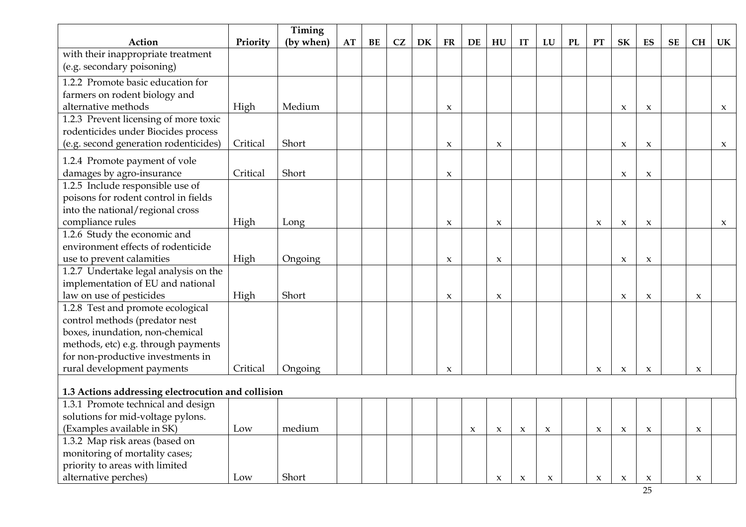|                                                                  |          | Timing    |    |    |    |    |                     |                     |                     |                     |                     |    |                     |                     |                     |           |                     |                     |
|------------------------------------------------------------------|----------|-----------|----|----|----|----|---------------------|---------------------|---------------------|---------------------|---------------------|----|---------------------|---------------------|---------------------|-----------|---------------------|---------------------|
| Action                                                           | Priority | (by when) | AT | BE | CZ | DK | <b>FR</b>           | DE                  | HU                  | IT                  | ${\bf L}{\bf U}$    | PL | <b>PT</b>           | SK                  | ES                  | <b>SE</b> | <b>CH</b>           | UK                  |
| with their inappropriate treatment<br>(e.g. secondary poisoning) |          |           |    |    |    |    |                     |                     |                     |                     |                     |    |                     |                     |                     |           |                     |                     |
| 1.2.2 Promote basic education for                                |          |           |    |    |    |    |                     |                     |                     |                     |                     |    |                     |                     |                     |           |                     |                     |
| farmers on rodent biology and                                    |          |           |    |    |    |    |                     |                     |                     |                     |                     |    |                     |                     |                     |           |                     |                     |
| alternative methods                                              | High     | Medium    |    |    |    |    | $\boldsymbol{\chi}$ |                     |                     |                     |                     |    |                     | $\boldsymbol{\chi}$ | $\boldsymbol{\chi}$ |           |                     | $\boldsymbol{\chi}$ |
| 1.2.3 Prevent licensing of more toxic                            |          |           |    |    |    |    |                     |                     |                     |                     |                     |    |                     |                     |                     |           |                     |                     |
| rodenticides under Biocides process                              |          |           |    |    |    |    |                     |                     |                     |                     |                     |    |                     |                     |                     |           |                     |                     |
| (e.g. second generation rodenticides)                            | Critical | Short     |    |    |    |    | $\boldsymbol{\chi}$ |                     | $\boldsymbol{\chi}$ |                     |                     |    |                     | $\boldsymbol{\chi}$ | $\boldsymbol{\chi}$ |           |                     | $\boldsymbol{\chi}$ |
| 1.2.4 Promote payment of vole                                    |          |           |    |    |    |    |                     |                     |                     |                     |                     |    |                     |                     |                     |           |                     |                     |
| damages by agro-insurance                                        | Critical | Short     |    |    |    |    | $\boldsymbol{\chi}$ |                     |                     |                     |                     |    |                     | $\boldsymbol{\chi}$ | $\boldsymbol{\chi}$ |           |                     |                     |
| 1.2.5 Include responsible use of                                 |          |           |    |    |    |    |                     |                     |                     |                     |                     |    |                     |                     |                     |           |                     |                     |
| poisons for rodent control in fields                             |          |           |    |    |    |    |                     |                     |                     |                     |                     |    |                     |                     |                     |           |                     |                     |
| into the national/regional cross                                 |          |           |    |    |    |    |                     |                     |                     |                     |                     |    |                     |                     |                     |           |                     |                     |
| compliance rules                                                 | High     | Long      |    |    |    |    | $\boldsymbol{\chi}$ |                     | $\boldsymbol{\chi}$ |                     |                     |    | $\boldsymbol{\chi}$ | $\boldsymbol{\chi}$ | $\boldsymbol{\chi}$ |           |                     | $\boldsymbol{\chi}$ |
| 1.2.6 Study the economic and                                     |          |           |    |    |    |    |                     |                     |                     |                     |                     |    |                     |                     |                     |           |                     |                     |
| environment effects of rodenticide                               |          |           |    |    |    |    |                     |                     |                     |                     |                     |    |                     |                     |                     |           |                     |                     |
| use to prevent calamities                                        | High     | Ongoing   |    |    |    |    | $\boldsymbol{\chi}$ |                     | $\boldsymbol{\chi}$ |                     |                     |    |                     | $\boldsymbol{\chi}$ | $\boldsymbol{\chi}$ |           |                     |                     |
| 1.2.7 Undertake legal analysis on the                            |          |           |    |    |    |    |                     |                     |                     |                     |                     |    |                     |                     |                     |           |                     |                     |
| implementation of EU and national                                |          |           |    |    |    |    |                     |                     |                     |                     |                     |    |                     |                     |                     |           |                     |                     |
| law on use of pesticides                                         | High     | Short     |    |    |    |    | $\boldsymbol{\chi}$ |                     | $\boldsymbol{\chi}$ |                     |                     |    |                     | $\boldsymbol{\chi}$ | $\boldsymbol{\chi}$ |           | $\boldsymbol{\chi}$ |                     |
| 1.2.8 Test and promote ecological                                |          |           |    |    |    |    |                     |                     |                     |                     |                     |    |                     |                     |                     |           |                     |                     |
| control methods (predator nest                                   |          |           |    |    |    |    |                     |                     |                     |                     |                     |    |                     |                     |                     |           |                     |                     |
| boxes, inundation, non-chemical                                  |          |           |    |    |    |    |                     |                     |                     |                     |                     |    |                     |                     |                     |           |                     |                     |
| methods, etc) e.g. through payments                              |          |           |    |    |    |    |                     |                     |                     |                     |                     |    |                     |                     |                     |           |                     |                     |
| for non-productive investments in                                |          |           |    |    |    |    |                     |                     |                     |                     |                     |    |                     |                     |                     |           |                     |                     |
| rural development payments                                       | Critical | Ongoing   |    |    |    |    | $\boldsymbol{\chi}$ |                     |                     |                     |                     |    | $\boldsymbol{\chi}$ | $\boldsymbol{\chi}$ | $\boldsymbol{\chi}$ |           | $\boldsymbol{\chi}$ |                     |
| 1.3 Actions addressing electrocution and collision               |          |           |    |    |    |    |                     |                     |                     |                     |                     |    |                     |                     |                     |           |                     |                     |
| 1.3.1 Promote technical and design                               |          |           |    |    |    |    |                     |                     |                     |                     |                     |    |                     |                     |                     |           |                     |                     |
| solutions for mid-voltage pylons.                                |          |           |    |    |    |    |                     |                     |                     |                     |                     |    |                     |                     |                     |           |                     |                     |
| (Examples available in SK)                                       | Low      | medium    |    |    |    |    |                     | $\boldsymbol{\chi}$ | $\boldsymbol{\chi}$ | $\pmb{\chi}$        | $\boldsymbol{\chi}$ |    | $\boldsymbol{\chi}$ | $\boldsymbol{\chi}$ | $\boldsymbol{\chi}$ |           | $\boldsymbol{\chi}$ |                     |
| 1.3.2 Map risk areas (based on                                   |          |           |    |    |    |    |                     |                     |                     |                     |                     |    |                     |                     |                     |           |                     |                     |
| monitoring of mortality cases;                                   |          |           |    |    |    |    |                     |                     |                     |                     |                     |    |                     |                     |                     |           |                     |                     |
| priority to areas with limited                                   |          |           |    |    |    |    |                     |                     |                     |                     |                     |    |                     |                     |                     |           |                     |                     |
| alternative perches)                                             | Low      | Short     |    |    |    |    |                     |                     | $\boldsymbol{\chi}$ | $\boldsymbol{\chi}$ | $\boldsymbol{\chi}$ |    | $\boldsymbol{\chi}$ | $\boldsymbol{\chi}$ | $\boldsymbol{\chi}$ |           | $\boldsymbol{\chi}$ |                     |

25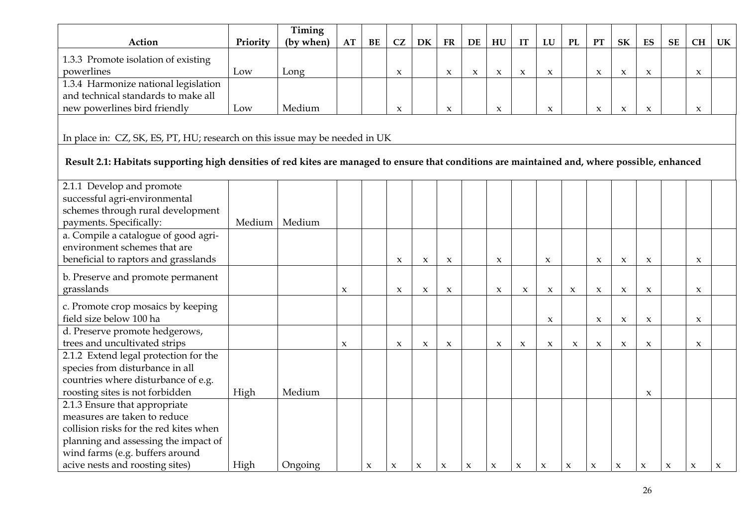|                                                                                                                                                |          | Timing    |                     |                     |                     |                     |                     |                     |                     |                     |                     |                     |                     |                     |                     |                     |                     |                     |
|------------------------------------------------------------------------------------------------------------------------------------------------|----------|-----------|---------------------|---------------------|---------------------|---------------------|---------------------|---------------------|---------------------|---------------------|---------------------|---------------------|---------------------|---------------------|---------------------|---------------------|---------------------|---------------------|
| Action                                                                                                                                         | Priority | (by when) | AT                  | BE                  | CZ                  | DK                  | ${\bf FR}$          | DE                  | HU                  | IT                  | LU                  | <b>PL</b>           | PT                  | SK                  | ES                  | <b>SE</b>           | CH                  | UK                  |
| 1.3.3 Promote isolation of existing                                                                                                            |          |           |                     |                     |                     |                     |                     |                     |                     |                     |                     |                     |                     |                     |                     |                     |                     |                     |
| powerlines                                                                                                                                     | Low      | Long      |                     |                     | $\boldsymbol{\chi}$ |                     | $\boldsymbol{\chi}$ | $\boldsymbol{\chi}$ | $\boldsymbol{\chi}$ | $\boldsymbol{\chi}$ | $\boldsymbol{\chi}$ |                     | $\boldsymbol{\chi}$ | $\boldsymbol{\chi}$ | $\boldsymbol{\chi}$ |                     | x                   |                     |
| 1.3.4 Harmonize national legislation                                                                                                           |          |           |                     |                     |                     |                     |                     |                     |                     |                     |                     |                     |                     |                     |                     |                     |                     |                     |
| and technical standards to make all                                                                                                            |          |           |                     |                     |                     |                     |                     |                     |                     |                     |                     |                     |                     |                     |                     |                     |                     |                     |
| new powerlines bird friendly                                                                                                                   | Low      | Medium    |                     |                     | $\boldsymbol{\chi}$ |                     | $\boldsymbol{\chi}$ |                     | $\boldsymbol{\chi}$ |                     | $\boldsymbol{\chi}$ |                     | $\pmb{\chi}$        | $\boldsymbol{\chi}$ | $\boldsymbol{\chi}$ |                     | X                   |                     |
|                                                                                                                                                |          |           |                     |                     |                     |                     |                     |                     |                     |                     |                     |                     |                     |                     |                     |                     |                     |                     |
| In place in: CZ, SK, ES, PT, HU; research on this issue may be needed in UK                                                                    |          |           |                     |                     |                     |                     |                     |                     |                     |                     |                     |                     |                     |                     |                     |                     |                     |                     |
|                                                                                                                                                |          |           |                     |                     |                     |                     |                     |                     |                     |                     |                     |                     |                     |                     |                     |                     |                     |                     |
| Result 2.1: Habitats supporting high densities of red kites are managed to ensure that conditions are maintained and, where possible, enhanced |          |           |                     |                     |                     |                     |                     |                     |                     |                     |                     |                     |                     |                     |                     |                     |                     |                     |
| 2.1.1 Develop and promote                                                                                                                      |          |           |                     |                     |                     |                     |                     |                     |                     |                     |                     |                     |                     |                     |                     |                     |                     |                     |
| successful agri-environmental                                                                                                                  |          |           |                     |                     |                     |                     |                     |                     |                     |                     |                     |                     |                     |                     |                     |                     |                     |                     |
| schemes through rural development                                                                                                              |          |           |                     |                     |                     |                     |                     |                     |                     |                     |                     |                     |                     |                     |                     |                     |                     |                     |
| payments. Specifically:                                                                                                                        | Medium   | Medium    |                     |                     |                     |                     |                     |                     |                     |                     |                     |                     |                     |                     |                     |                     |                     |                     |
| a. Compile a catalogue of good agri-                                                                                                           |          |           |                     |                     |                     |                     |                     |                     |                     |                     |                     |                     |                     |                     |                     |                     |                     |                     |
| environment schemes that are                                                                                                                   |          |           |                     |                     |                     |                     |                     |                     |                     |                     |                     |                     |                     |                     |                     |                     |                     |                     |
| beneficial to raptors and grasslands                                                                                                           |          |           |                     |                     | $\boldsymbol{\chi}$ | $\pmb{\chi}$        | $\boldsymbol{\chi}$ |                     | $\boldsymbol{\chi}$ |                     | $\boldsymbol{\chi}$ |                     | $\boldsymbol{\chi}$ | $\boldsymbol{\chi}$ | $\pmb{\chi}$        |                     | $\boldsymbol{\chi}$ |                     |
|                                                                                                                                                |          |           |                     |                     |                     |                     |                     |                     |                     |                     |                     |                     |                     |                     |                     |                     |                     |                     |
| b. Preserve and promote permanent                                                                                                              |          |           |                     |                     |                     |                     |                     |                     |                     |                     |                     |                     |                     |                     |                     |                     |                     |                     |
| grasslands                                                                                                                                     |          |           | $\pmb{\chi}$        |                     | $\boldsymbol{\chi}$ | $\pmb{\chi}$        | $\boldsymbol{\chi}$ |                     | $\boldsymbol{\chi}$ | $\pmb{\chi}$        | $\boldsymbol{\chi}$ | $\boldsymbol{\chi}$ | $\boldsymbol{\chi}$ | $\boldsymbol{\chi}$ | $\pmb{\chi}$        |                     | X                   |                     |
| c. Promote crop mosaics by keeping                                                                                                             |          |           |                     |                     |                     |                     |                     |                     |                     |                     |                     |                     |                     |                     |                     |                     |                     |                     |
| field size below 100 ha                                                                                                                        |          |           |                     |                     |                     |                     |                     |                     |                     |                     | $\boldsymbol{\chi}$ |                     | $\boldsymbol{\chi}$ | $\boldsymbol{\chi}$ | X                   |                     | x                   |                     |
| d. Preserve promote hedgerows,                                                                                                                 |          |           |                     |                     |                     |                     |                     |                     |                     |                     |                     |                     |                     |                     |                     |                     |                     |                     |
| trees and uncultivated strips                                                                                                                  |          |           | $\boldsymbol{\chi}$ |                     | $\boldsymbol{\chi}$ | X                   | $\boldsymbol{\chi}$ |                     | $\boldsymbol{\chi}$ | $\boldsymbol{\chi}$ | $\boldsymbol{\chi}$ | $\boldsymbol{\chi}$ | $\pmb{\chi}$        | $\boldsymbol{\chi}$ | $\pmb{\chi}$        |                     | X                   |                     |
| 2.1.2 Extend legal protection for the                                                                                                          |          |           |                     |                     |                     |                     |                     |                     |                     |                     |                     |                     |                     |                     |                     |                     |                     |                     |
| species from disturbance in all                                                                                                                |          |           |                     |                     |                     |                     |                     |                     |                     |                     |                     |                     |                     |                     |                     |                     |                     |                     |
| countries where disturbance of e.g.                                                                                                            |          |           |                     |                     |                     |                     |                     |                     |                     |                     |                     |                     |                     |                     |                     |                     |                     |                     |
| roosting sites is not forbidden                                                                                                                | High     | Medium    |                     |                     |                     |                     |                     |                     |                     |                     |                     |                     |                     |                     | $\boldsymbol{\chi}$ |                     |                     |                     |
| 2.1.3 Ensure that appropriate                                                                                                                  |          |           |                     |                     |                     |                     |                     |                     |                     |                     |                     |                     |                     |                     |                     |                     |                     |                     |
| measures are taken to reduce                                                                                                                   |          |           |                     |                     |                     |                     |                     |                     |                     |                     |                     |                     |                     |                     |                     |                     |                     |                     |
| collision risks for the red kites when                                                                                                         |          |           |                     |                     |                     |                     |                     |                     |                     |                     |                     |                     |                     |                     |                     |                     |                     |                     |
| planning and assessing the impact of                                                                                                           |          |           |                     |                     |                     |                     |                     |                     |                     |                     |                     |                     |                     |                     |                     |                     |                     |                     |
| wind farms (e.g. buffers around                                                                                                                |          |           |                     |                     |                     |                     |                     |                     |                     |                     |                     |                     |                     |                     |                     |                     |                     |                     |
| acive nests and roosting sites)                                                                                                                | High     | Ongoing   |                     | $\boldsymbol{\chi}$ | $\boldsymbol{\chi}$ | $\boldsymbol{\chi}$ | $\boldsymbol{\chi}$ | $\boldsymbol{\chi}$ | $\boldsymbol{\chi}$ | $\boldsymbol{\chi}$ | $\pmb{\chi}$        | $\boldsymbol{\chi}$ | $\boldsymbol{\chi}$ | $\boldsymbol{\chi}$ | $\boldsymbol{\chi}$ | $\boldsymbol{\chi}$ | $\boldsymbol{\chi}$ | $\boldsymbol{\chi}$ |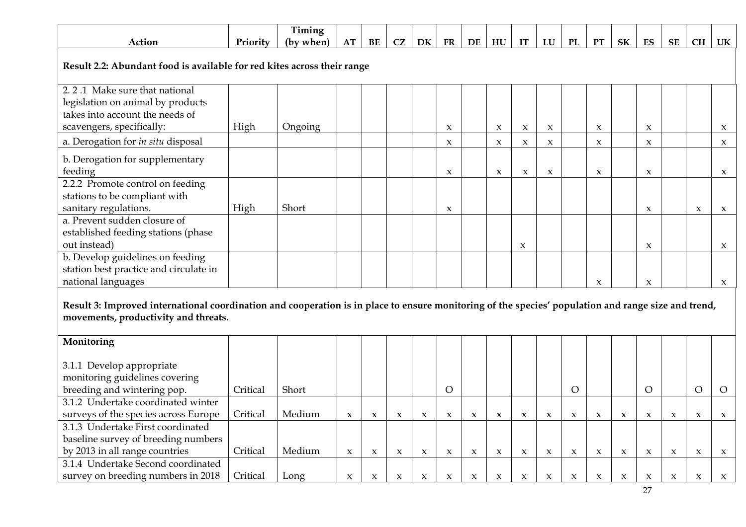|                                                                                                                                                     |          | Timing    |                     |                     |                     |                     |                     |                     |                     |                     |                     |                     |                     |                     |                           |                     |                     |                     |
|-----------------------------------------------------------------------------------------------------------------------------------------------------|----------|-----------|---------------------|---------------------|---------------------|---------------------|---------------------|---------------------|---------------------|---------------------|---------------------|---------------------|---------------------|---------------------|---------------------------|---------------------|---------------------|---------------------|
| Action                                                                                                                                              | Priority | (by when) | AT                  | BE                  | CZ                  | DK                  | FR                  | DE                  | ${\bf H}{\bf U}$    | IT                  | LU                  | PL                  | PT                  | ${\bf S}{\bf K}$    | ES                        | <b>SE</b>           | <b>CH</b>           | UK                  |
| Result 2.2: Abundant food is available for red kites across their range                                                                             |          |           |                     |                     |                     |                     |                     |                     |                     |                     |                     |                     |                     |                     |                           |                     |                     |                     |
| 2.2.1 Make sure that national                                                                                                                       |          |           |                     |                     |                     |                     |                     |                     |                     |                     |                     |                     |                     |                     |                           |                     |                     |                     |
| legislation on animal by products                                                                                                                   |          |           |                     |                     |                     |                     |                     |                     |                     |                     |                     |                     |                     |                     |                           |                     |                     |                     |
| takes into account the needs of<br>scavengers, specifically:                                                                                        | High     | Ongoing   |                     |                     |                     |                     | $\boldsymbol{\chi}$ |                     | X                   | $\boldsymbol{\chi}$ | $\boldsymbol{\chi}$ |                     | $\boldsymbol{\chi}$ |                     | $\boldsymbol{\chi}$       |                     |                     | $\boldsymbol{\chi}$ |
| a. Derogation for in situ disposal                                                                                                                  |          |           |                     |                     |                     |                     | X                   |                     | $\boldsymbol{\chi}$ | $\boldsymbol{\chi}$ | $\boldsymbol{\chi}$ |                     | $\boldsymbol{\chi}$ |                     | $\boldsymbol{\chi}$       |                     |                     | $\boldsymbol{\chi}$ |
| b. Derogation for supplementary                                                                                                                     |          |           |                     |                     |                     |                     |                     |                     |                     |                     |                     |                     |                     |                     |                           |                     |                     |                     |
| feeding                                                                                                                                             |          |           |                     |                     |                     |                     | $\boldsymbol{\chi}$ |                     | $\boldsymbol{\chi}$ | $\boldsymbol{\chi}$ | $\boldsymbol{\chi}$ |                     | $\boldsymbol{\chi}$ |                     | $\boldsymbol{\chi}$       |                     |                     | $\boldsymbol{\chi}$ |
| 2.2.2 Promote control on feeding                                                                                                                    |          |           |                     |                     |                     |                     |                     |                     |                     |                     |                     |                     |                     |                     |                           |                     |                     |                     |
| stations to be compliant with<br>sanitary regulations.                                                                                              | High     | Short     |                     |                     |                     |                     |                     |                     |                     |                     |                     |                     |                     |                     |                           |                     |                     |                     |
| a. Prevent sudden closure of                                                                                                                        |          |           |                     |                     |                     |                     | $\boldsymbol{\chi}$ |                     |                     |                     |                     |                     |                     |                     | $\boldsymbol{\chi}$       |                     | $\boldsymbol{\chi}$ | $\boldsymbol{\chi}$ |
| established feeding stations (phase                                                                                                                 |          |           |                     |                     |                     |                     |                     |                     |                     |                     |                     |                     |                     |                     |                           |                     |                     |                     |
| out instead)                                                                                                                                        |          |           |                     |                     |                     |                     |                     |                     |                     | $\boldsymbol{\chi}$ |                     |                     |                     |                     | $\boldsymbol{\mathsf{x}}$ |                     |                     | $\boldsymbol{\chi}$ |
| b. Develop guidelines on feeding                                                                                                                    |          |           |                     |                     |                     |                     |                     |                     |                     |                     |                     |                     |                     |                     |                           |                     |                     |                     |
| station best practice and circulate in                                                                                                              |          |           |                     |                     |                     |                     |                     |                     |                     |                     |                     |                     |                     |                     |                           |                     |                     |                     |
| national languages                                                                                                                                  |          |           |                     |                     |                     |                     |                     |                     |                     |                     |                     |                     | $\boldsymbol{\chi}$ |                     | $\boldsymbol{\chi}$       |                     |                     | $\boldsymbol{\chi}$ |
| Result 3: Improved international coordination and cooperation is in place to ensure monitoring of the species' population and range size and trend, |          |           |                     |                     |                     |                     |                     |                     |                     |                     |                     |                     |                     |                     |                           |                     |                     |                     |
| movements, productivity and threats.                                                                                                                |          |           |                     |                     |                     |                     |                     |                     |                     |                     |                     |                     |                     |                     |                           |                     |                     |                     |
|                                                                                                                                                     |          |           |                     |                     |                     |                     |                     |                     |                     |                     |                     |                     |                     |                     |                           |                     |                     |                     |
| Monitoring                                                                                                                                          |          |           |                     |                     |                     |                     |                     |                     |                     |                     |                     |                     |                     |                     |                           |                     |                     |                     |
| 3.1.1 Develop appropriate                                                                                                                           |          |           |                     |                     |                     |                     |                     |                     |                     |                     |                     |                     |                     |                     |                           |                     |                     |                     |
| monitoring guidelines covering                                                                                                                      |          |           |                     |                     |                     |                     |                     |                     |                     |                     |                     |                     |                     |                     |                           |                     |                     |                     |
| breeding and wintering pop.                                                                                                                         | Critical | Short     |                     |                     |                     |                     | $\overline{O}$      |                     |                     |                     |                     | $\mathcal{O}$       |                     |                     | $\circ$                   |                     | $\circ$             | $\circ$             |
| 3.1.2 Undertake coordinated winter                                                                                                                  |          |           |                     |                     |                     |                     |                     |                     |                     |                     |                     |                     |                     |                     |                           |                     |                     |                     |
| surveys of the species across Europe                                                                                                                | Critical | Medium    | $\boldsymbol{\chi}$ | $\boldsymbol{\chi}$ | $\boldsymbol{\chi}$ | $\boldsymbol{\chi}$ | $\boldsymbol{\chi}$ | $\mathbf x$         | $\boldsymbol{\chi}$ | $\mathbf x$         | $\boldsymbol{\chi}$ | $\boldsymbol{\chi}$ | $\boldsymbol{\chi}$ | $\boldsymbol{\chi}$ | $\boldsymbol{\chi}$       | $\boldsymbol{\chi}$ | $\boldsymbol{\chi}$ | $\boldsymbol{\chi}$ |
| 3.1.3 Undertake First coordinated                                                                                                                   |          |           |                     |                     |                     |                     |                     |                     |                     |                     |                     |                     |                     |                     |                           |                     |                     |                     |
| baseline survey of breeding numbers                                                                                                                 |          |           |                     |                     |                     |                     |                     |                     |                     |                     |                     |                     |                     |                     |                           |                     |                     |                     |
| by 2013 in all range countries                                                                                                                      | Critical | Medium    | $\mathbf x$         | $\boldsymbol{\chi}$ | $\boldsymbol{\chi}$ | $\boldsymbol{\chi}$ | $\mathbf{x}$        | $\boldsymbol{\chi}$ | $\boldsymbol{\chi}$ | $\boldsymbol{\chi}$ | $\boldsymbol{\chi}$ | $\boldsymbol{\chi}$ | $\boldsymbol{\chi}$ | $\boldsymbol{\chi}$ | $\boldsymbol{\chi}$       | $\boldsymbol{\chi}$ | $\boldsymbol{\chi}$ | $\mathbf{x}$        |
| 3.1.4 Undertake Second coordinated                                                                                                                  |          |           |                     |                     |                     |                     |                     |                     |                     |                     |                     |                     |                     |                     |                           |                     |                     |                     |
| survey on breeding numbers in 2018                                                                                                                  | Critical | Long      | $\boldsymbol{\chi}$ | $\mathbf{x}$        | $\boldsymbol{\chi}$ | $\boldsymbol{\chi}$ | $\boldsymbol{\chi}$ | $\boldsymbol{\chi}$ | $\boldsymbol{\chi}$ | $\boldsymbol{\chi}$ | $\boldsymbol{\chi}$ | $\boldsymbol{\chi}$ | $\boldsymbol{\chi}$ | $\boldsymbol{\chi}$ | $\boldsymbol{\chi}$<br>27 | $\boldsymbol{\chi}$ | $\boldsymbol{\chi}$ | $\mathbf{x}$        |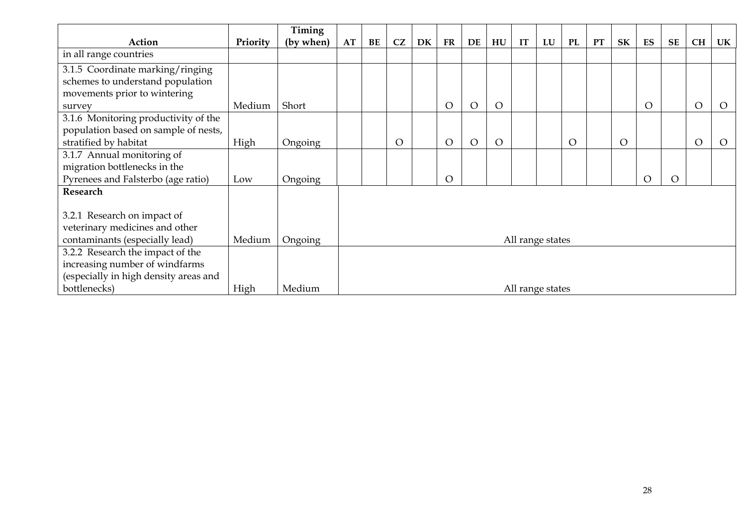|                                       |          | Timing    |                  |    |    |    |            |          |                  |    |                  |           |           |                |          |           |                |            |
|---------------------------------------|----------|-----------|------------------|----|----|----|------------|----------|------------------|----|------------------|-----------|-----------|----------------|----------|-----------|----------------|------------|
| Action                                | Priority | (by when) | AT               | BE | CZ | DK | ${\rm FR}$ | DE       | ${\bf H}{\bf U}$ | IT | LU               | <b>PL</b> | <b>PT</b> | <b>SK</b>      | ES       | <b>SE</b> | <b>CH</b>      | UK         |
| in all range countries                |          |           |                  |    |    |    |            |          |                  |    |                  |           |           |                |          |           |                |            |
| 3.1.5 Coordinate marking/ringing      |          |           |                  |    |    |    |            |          |                  |    |                  |           |           |                |          |           |                |            |
| schemes to understand population      |          |           |                  |    |    |    |            |          |                  |    |                  |           |           |                |          |           |                |            |
| movements prior to wintering          |          |           |                  |    |    |    |            |          |                  |    |                  |           |           |                |          |           |                |            |
| survey                                | Medium   | Short     |                  |    |    |    | $\circ$    | $\Omega$ | $\circ$          |    |                  |           |           |                | O        |           | $\overline{O}$ | $\bigcirc$ |
| 3.1.6 Monitoring productivity of the  |          |           |                  |    |    |    |            |          |                  |    |                  |           |           |                |          |           |                |            |
| population based on sample of nests,  |          |           |                  |    |    |    |            |          |                  |    |                  |           |           |                |          |           |                |            |
| stratified by habitat                 | High     | Ongoing   |                  |    | O  |    | $\circ$    | $\Omega$ | $\overline{O}$   |    |                  | $\circ$   |           | $\overline{O}$ |          |           | $\overline{O}$ | $\Omega$   |
| 3.1.7 Annual monitoring of            |          |           |                  |    |    |    |            |          |                  |    |                  |           |           |                |          |           |                |            |
| migration bottlenecks in the          |          |           |                  |    |    |    |            |          |                  |    |                  |           |           |                |          |           |                |            |
| Pyrenees and Falsterbo (age ratio)    | Low      | Ongoing   |                  |    |    |    | $\Omega$   |          |                  |    |                  |           |           |                | $\Omega$ | $\Omega$  |                |            |
| Research                              |          |           |                  |    |    |    |            |          |                  |    |                  |           |           |                |          |           |                |            |
|                                       |          |           |                  |    |    |    |            |          |                  |    |                  |           |           |                |          |           |                |            |
| 3.2.1 Research on impact of           |          |           |                  |    |    |    |            |          |                  |    |                  |           |           |                |          |           |                |            |
| veterinary medicines and other        |          |           |                  |    |    |    |            |          |                  |    |                  |           |           |                |          |           |                |            |
| contaminants (especially lead)        | Medium   | Ongoing   | All range states |    |    |    |            |          |                  |    |                  |           |           |                |          |           |                |            |
| 3.2.2 Research the impact of the      |          |           |                  |    |    |    |            |          |                  |    |                  |           |           |                |          |           |                |            |
| increasing number of windfarms        |          |           |                  |    |    |    |            |          |                  |    |                  |           |           |                |          |           |                |            |
| (especially in high density areas and |          |           |                  |    |    |    |            |          |                  |    |                  |           |           |                |          |           |                |            |
| bottlenecks)                          | High     | Medium    |                  |    |    |    |            |          |                  |    | All range states |           |           |                |          |           |                |            |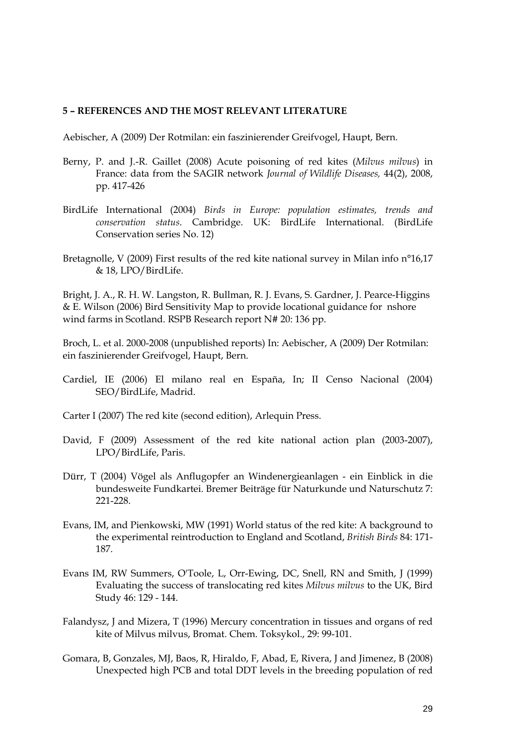#### <span id="page-28-0"></span>**5 – REFERENCES AND THE MOST RELEVANT LITERATURE**

Aebischer, A (2009) Der Rotmilan: ein faszinierender Greifvogel, Haupt, Bern.

- Berny, P. and J.-R. Gaillet (2008) Acute poisoning of red kites (*Milvus milvus*) in France: data from the SAGIR network *Journal of Wildlife Diseases,* 44(2), 2008, pp. 417-426
- BirdLife International (2004) *Birds in Europe: population estimates, trends and conservation status*. Cambridge. UK: BirdLife International. (BirdLife Conservation series No. 12)
- Bretagnolle, V (2009) First results of the red kite national survey in Milan info n°16,17 & 18, LPO/BirdLife.

Bright, J. A., R. H. W. Langston, R. Bullman, R. J. Evans, S. Gardner, J. Pearce-Higgins & E. Wilson (2006) Bird Sensitivity Map to provide locational guidance for nshore wind farms in Scotland. RSPB Research report N# 20: 136 pp.

Broch, L. et al. 2000-2008 (unpublished reports) In: Aebischer, A (2009) Der Rotmilan: ein faszinierender Greifvogel, Haupt, Bern.

- Cardiel, IE (2006) El milano real en España, In; II Censo Nacional (2004) SEO/BirdLife, Madrid.
- Carter I (2007) The red kite (second edition), Arlequin Press.
- David, F (2009) Assessment of the red kite national action plan (2003-2007), LPO/BirdLife, Paris.
- Dürr, T (2004) Vögel als Anflugopfer an Windenergieanlagen ein Einblick in die bundesweite Fundkartei. Bremer Beiträge für Naturkunde und Naturschutz 7: 221-228.
- Evans, IM, and Pienkowski, MW (1991) World status of the red kite: A background to the experimental reintroduction to England and Scotland, *British Birds* 84: 171- 187.
- Evans IM, RW Summers, O'Toole, L, Orr-Ewing, DC, Snell, RN and Smith, J (1999) Evaluating the success of translocating red kites *Milvus milvus* to the UK, Bird Study 46: 129 - 144.
- Falandysz, J and Mizera, T (1996) Mercury concentration in tissues and organs of red kite of Milvus milvus, Bromat. Chem. Toksykol., 29: 99-101.
- Gomara, B, Gonzales, MJ, Baos, R, Hiraldo, F, Abad, E, Rivera, J and Jimenez, B (2008) Unexpected high PCB and total DDT levels in the breeding population of red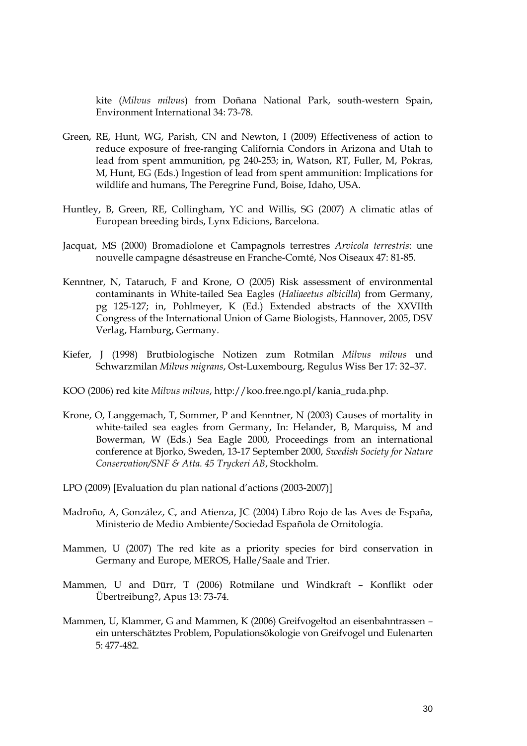kite (*Milvus milvus*) from Doñana National Park, south-western Spain, Environment International 34: 73-78.

- Green, RE, Hunt, WG, Parish, CN and Newton, I (2009) Effectiveness of action to reduce exposure of free-ranging California Condors in Arizona and Utah to lead from spent ammunition, pg 240-253; in, Watson, RT, Fuller, M, Pokras, M, Hunt, EG (Eds.) Ingestion of lead from spent ammunition: Implications for wildlife and humans, The Peregrine Fund, Boise, Idaho, USA.
- Huntley, B, Green, RE, Collingham, YC and Willis, SG (2007) A climatic atlas of European breeding birds, Lynx Edicions, Barcelona.
- Jacquat, MS (2000) Bromadiolone et Campagnols terrestres *Arvicola terrestris*: une nouvelle campagne désastreuse en Franche-Comté, Nos Oiseaux 47: 81-85.
- Kenntner, N, Tataruch, F and Krone, O (2005) Risk assessment of environmental contaminants in White-tailed Sea Eagles (*Haliaeetus albicilla*) from Germany, pg 125-127; in, Pohlmeyer, K (Ed.) Extended abstracts of the XXVIIth Congress of the International Union of Game Biologists, Hannover, 2005, DSV Verlag, Hamburg, Germany.
- Kiefer, J (1998) Brutbiologische Notizen zum Rotmilan *Milvus milvus* und Schwarzmilan *Milvus migrans*, Ost-Luxembourg, Regulus Wiss Ber 17: 32–37.
- KOO (2006) red kite *Milvus milvus*, http://koo.free.ngo.pl/kania\_ruda.php.
- Krone, O, Langgemach, T, Sommer, P and Kenntner, N (2003) Causes of mortality in white-tailed sea eagles from Germany, In: Helander, B, Marquiss, M and Bowerman, W (Eds.) Sea Eagle 2000, Proceedings from an international conference at Bjorko, Sweden, 13-17 September 2000, *Swedish Society for Nature Conservation/SNF & Atta. 45 Tryckeri AB*, Stockholm.
- LPO (2009) [Evaluation du plan national d'actions (2003-2007)]
- Madroño, A, González, C, and Atienza, JC (2004) Libro Rojo de las Aves de España, Ministerio de Medio Ambiente/Sociedad Española de Ornitología.
- Mammen, U (2007) The red kite as a priority species for bird conservation in Germany and Europe, MEROS, Halle/Saale and Trier.
- Mammen, U and Dürr, T (2006) Rotmilane und Windkraft Konflikt oder Übertreibung?, Apus 13: 73-74.
- Mammen, U, Klammer, G and Mammen, K (2006) Greifvogeltod an eisenbahntrassen ein unterschätztes Problem, Populationsökologie von Greifvogel und Eulenarten 5: 477-482.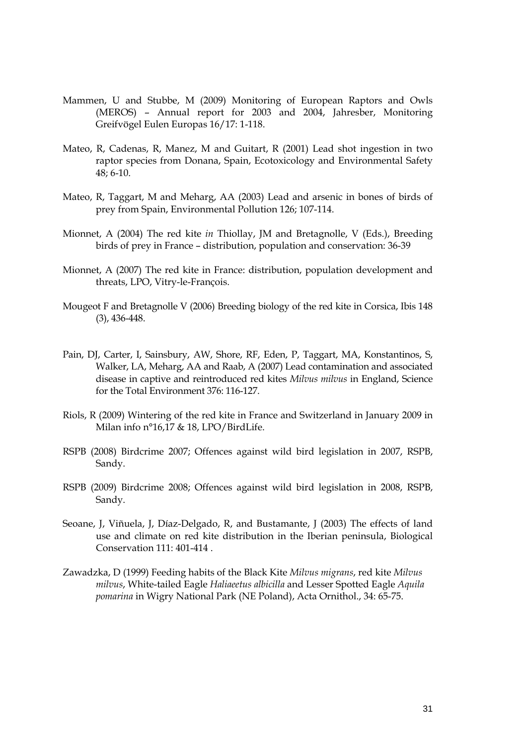- Mammen, U and Stubbe, M (2009) Monitoring of European Raptors and Owls (MEROS) – Annual report for 2003 and 2004, Jahresber, Monitoring Greifvögel Eulen Europas 16/17: 1-118.
- Mateo, R, Cadenas, R, Manez, M and Guitart, R (2001) Lead shot ingestion in two raptor species from Donana, Spain, Ecotoxicology and Environmental Safety 48; 6-10.
- Mateo, R, Taggart, M and Meharg, AA (2003) Lead and arsenic in bones of birds of prey from Spain, Environmental Pollution 126; 107-114.
- Mionnet, A (2004) The red kite *in* Thiollay, JM and Bretagnolle, V (Eds.), Breeding birds of prey in France – distribution, population and conservation: 36-39
- Mionnet, A (2007) The red kite in France: distribution, population development and threats, LPO, Vitry-le-François.
- Mougeot F and Bretagnolle V (2006) Breeding biology of the red kite in Corsica, Ibis 148 (3), 436-448.
- Pain, DJ, Carter, I, Sainsbury, AW, Shore, RF, Eden, P, Taggart, MA, Konstantinos, S, Walker, LA, Meharg, AA and Raab, A (2007) Lead contamination and associated disease in captive and reintroduced red kites *Milvus milvus* in England, Science for the Total Environment 376: 116-127.
- Riols, R (2009) Wintering of the red kite in France and Switzerland in January 2009 in Milan info n°16,17 & 18, LPO/BirdLife.
- RSPB (2008) Birdcrime 2007; Offences against wild bird legislation in 2007, RSPB, Sandy.
- RSPB (2009) Birdcrime 2008; Offences against wild bird legislation in 2008, RSPB, Sandy.
- Seoane, J, Viñuela, J, Díaz-Delgado, R, and Bustamante, J (2003) The effects of land use and climate on red kite distribution in the Iberian peninsula, Biological Conservation 111: 401-414 .
- Zawadzka, D (1999) Feeding habits of the Black Kite *Milvus migrans*, red kite *Milvus milvus*, White-tailed Eagle *Haliaeetus albicilla* and Lesser Spotted Eagle *Aquila pomarina* in Wigry National Park (NE Poland), Acta Ornithol., 34: 65-75.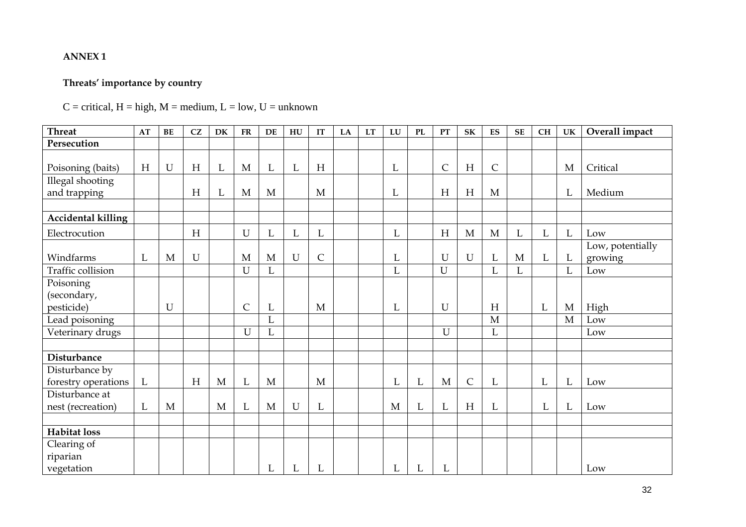#### **ANNEX 1**

# **Threats' importance by country**

# $C =$  critical,  $H =$  high,  $M =$  medium,  $L =$  low,  $U =$  unknown

<span id="page-31-0"></span>

| <b>Threat</b>                         | AT       | BE          | CZ          | DK           | <b>FR</b>    | DE           | HU          | IT                        | LA | LT | ${\bf L}{\bf U}$ | PL | PT           | <b>SK</b>   | ES           | <b>SE</b>    | CH | UK           | Overall impact              |
|---------------------------------------|----------|-------------|-------------|--------------|--------------|--------------|-------------|---------------------------|----|----|------------------|----|--------------|-------------|--------------|--------------|----|--------------|-----------------------------|
| Persecution                           |          |             |             |              |              |              |             |                           |    |    |                  |    |              |             |              |              |    |              |                             |
| Poisoning (baits)                     | H        | $\mathbf U$ | H           | L            | $\mathbf M$  | $\mathbf{L}$ | $\mathbf L$ | $\boldsymbol{\mathrm{H}}$ |    |    | L                |    | $\mathsf{C}$ | H           | $\mathsf{C}$ |              |    | M            | Critical                    |
| Illegal shooting<br>and trapping      |          |             | H           | L            | $\mathbf{M}$ | M            |             | M                         |    |    | L                |    | H            | H           | M            |              |    | L            | Medium                      |
|                                       |          |             |             |              |              |              |             |                           |    |    |                  |    |              |             |              |              |    |              |                             |
| <b>Accidental killing</b>             |          |             |             |              |              |              |             |                           |    |    |                  |    |              |             |              |              |    |              |                             |
| Electrocution                         |          |             | H           |              | $\mathbf U$  | $\mathbf L$  | L           | L                         |    |    | L                |    | H            | M           | M            | L            | L  | L            | Low                         |
| Windfarms                             | L        | M           | $\mathbf U$ |              | M            | M            | $\mathbf U$ | $\mathsf{C}$              |    |    | L                |    | $\mathbf U$  | U           | L            | $\mathbf{M}$ | L  | $\mathbf{L}$ | Low, potentially<br>growing |
| Traffic collision                     |          |             |             |              | $\mathbf U$  | L            |             |                           |    |    | L                |    | $\mathbf U$  |             | L            | L            |    | L            | Low                         |
| Poisoning<br>(secondary,              |          |             |             |              |              |              |             |                           |    |    |                  |    |              |             |              |              |    |              |                             |
| pesticide)                            |          | $\mathbf U$ |             |              | $\mathsf{C}$ | L            |             | M                         |    |    | L                |    | $\mathbf U$  |             | H            |              | L  | $\mathbf{M}$ | High                        |
| Lead poisoning                        |          |             |             |              |              | $\mathbf L$  |             |                           |    |    |                  |    |              |             | $\mathbf{M}$ |              |    | M            | Low                         |
| Veterinary drugs                      |          |             |             |              | U            | L            |             |                           |    |    |                  |    | $\mathbf U$  |             | L            |              |    |              | Low                         |
|                                       |          |             |             |              |              |              |             |                           |    |    |                  |    |              |             |              |              |    |              |                             |
| <b>Disturbance</b>                    |          |             |             |              |              |              |             |                           |    |    |                  |    |              |             |              |              |    |              |                             |
| Disturbance by<br>forestry operations | $\Gamma$ |             | H           | $\mathbf M$  | $\mathbf L$  | M            |             | M                         |    |    | L                | L  | $\mathbf{M}$ | $\mathsf C$ | L            |              | L  | L            | Low                         |
| Disturbance at                        |          |             |             |              |              |              |             |                           |    |    |                  |    |              |             |              |              |    |              |                             |
| nest (recreation)                     | L        | M           |             | $\mathbf{M}$ | $\mathbf L$  | M            | $\mathbf U$ | L                         |    |    | M                | L  | $\mathbf L$  | H           | L            |              | L  | $\mathbf{L}$ | Low                         |
|                                       |          |             |             |              |              |              |             |                           |    |    |                  |    |              |             |              |              |    |              |                             |
| <b>Habitat loss</b>                   |          |             |             |              |              |              |             |                           |    |    |                  |    |              |             |              |              |    |              |                             |
| Clearing of                           |          |             |             |              |              |              |             |                           |    |    |                  |    |              |             |              |              |    |              |                             |
| riparian                              |          |             |             |              |              |              |             |                           |    |    |                  |    |              |             |              |              |    |              |                             |
| vegetation                            |          |             |             |              |              | L            | L           | L                         |    |    | L                | L  | $\mathbf L$  |             |              |              |    |              | Low                         |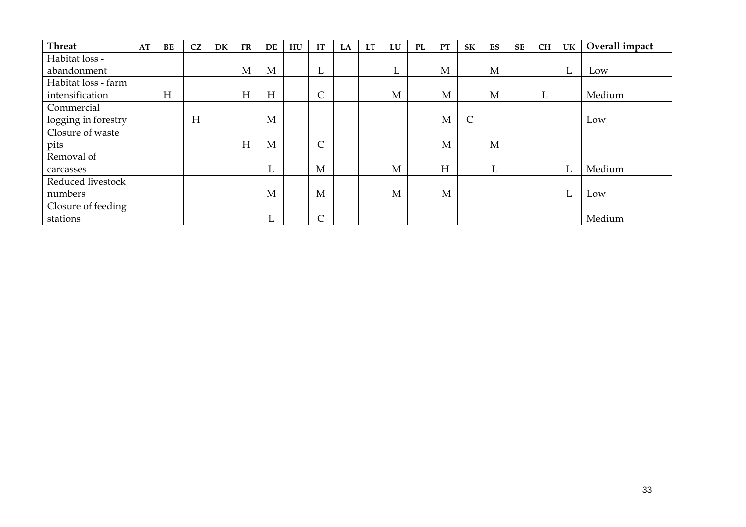| <b>Threat</b>       | AT | BE | CZ | DK | <b>FR</b> | DE  | HU | IT         | LA | <b>LT</b> | LU | <b>PL</b> | <b>PT</b> | <b>SK</b>  | ES | <b>SE</b> | <b>CH</b> | UK | Overall impact |
|---------------------|----|----|----|----|-----------|-----|----|------------|----|-----------|----|-----------|-----------|------------|----|-----------|-----------|----|----------------|
| Habitat loss -      |    |    |    |    |           |     |    |            |    |           |    |           |           |            |    |           |           |    |                |
| abandonment         |    |    |    |    | M         | M   |    | ட          |    |           | ப  |           | M         |            | M  |           |           | ┺  | Low            |
| Habitat loss - farm |    |    |    |    |           |     |    |            |    |           |    |           |           |            |    |           |           |    |                |
| intensification     |    | H  |    |    | H         | H   |    | $\sqrt{2}$ |    |           | M  |           | M         |            | M  |           | <b>L</b>  |    | Medium         |
| Commercial          |    |    |    |    |           |     |    |            |    |           |    |           |           |            |    |           |           |    |                |
| logging in forestry |    |    | H  |    |           | M   |    |            |    |           |    |           | M         | $\sqrt{2}$ |    |           |           |    | Low            |
| Closure of waste    |    |    |    |    |           |     |    |            |    |           |    |           |           |            |    |           |           |    |                |
| pits                |    |    |    |    | H         | M   |    | $\sqrt{2}$ |    |           |    |           | M         |            | M  |           |           |    |                |
| Removal of          |    |    |    |    |           |     |    |            |    |           |    |           |           |            |    |           |           |    |                |
| carcasses           |    |    |    |    |           | L   |    | M          |    |           | M  |           | H         |            | L. |           |           | L  | Medium         |
| Reduced livestock   |    |    |    |    |           |     |    |            |    |           |    |           |           |            |    |           |           |    |                |
| numbers             |    |    |    |    |           | M   |    | M          |    |           | M  |           | M         |            |    |           |           | L  | Low            |
| Closure of feeding  |    |    |    |    |           |     |    |            |    |           |    |           |           |            |    |           |           |    |                |
| stations            |    |    |    |    |           | . . |    | $\sqrt{2}$ |    |           |    |           |           |            |    |           |           |    | Medium         |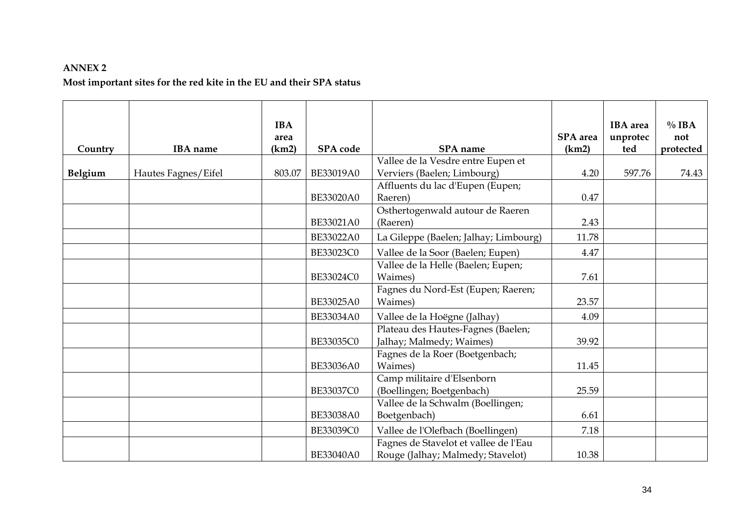#### **ANNEX 2**

# **Most important sites for the red kite in the EU and their SPA status**

<span id="page-33-0"></span>

|         |                     | <b>IBA</b><br>area |                  |                                                                            | SPA area | <b>IBA</b> area<br>unprotec | $\%$ IBA<br>not |
|---------|---------------------|--------------------|------------------|----------------------------------------------------------------------------|----------|-----------------------------|-----------------|
| Country | <b>IBA</b> name     | (km2)              | SPA code         | SPA name                                                                   | (km2)    | ted                         | protected       |
| Belgium | Hautes Fagnes/Eifel | 803.07             | BE33019A0        | Vallee de la Vesdre entre Eupen et<br>Verviers (Baelen; Limbourg)          | 4.20     | 597.76                      | 74.43           |
|         |                     |                    | BE33020A0        | Affluents du lac d'Eupen (Eupen;<br>Raeren)                                | 0.47     |                             |                 |
|         |                     |                    | BE33021A0        | Osthertogenwald autour de Raeren<br>(Raeren)                               | 2.43     |                             |                 |
|         |                     |                    | BE33022A0        | La Gileppe (Baelen; Jalhay; Limbourg)                                      | 11.78    |                             |                 |
|         |                     |                    | <b>BE33023C0</b> | Vallee de la Soor (Baelen; Eupen)                                          | 4.47     |                             |                 |
|         |                     |                    | BE33024C0        | Vallee de la Helle (Baelen; Eupen;<br>Waimes)                              | 7.61     |                             |                 |
|         |                     |                    | BE33025A0        | Fagnes du Nord-Est (Eupen; Raeren;<br>Waimes)                              | 23.57    |                             |                 |
|         |                     |                    | BE33034A0        | Vallee de la Hoëgne (Jalhay)                                               | 4.09     |                             |                 |
|         |                     |                    | BE33035C0        | Plateau des Hautes-Fagnes (Baelen;<br>Jalhay; Malmedy; Waimes)             | 39.92    |                             |                 |
|         |                     |                    | BE33036A0        | Fagnes de la Roer (Boetgenbach;<br>Waimes)                                 | 11.45    |                             |                 |
|         |                     |                    | BE33037C0        | Camp militaire d'Elsenborn<br>(Boellingen; Boetgenbach)                    | 25.59    |                             |                 |
|         |                     |                    | BE33038A0        | Vallee de la Schwalm (Boellingen;<br>Boetgenbach)                          | 6.61     |                             |                 |
|         |                     |                    | BE33039C0        | Vallee de l'Olefbach (Boellingen)                                          | 7.18     |                             |                 |
|         |                     |                    | BE33040A0        | Fagnes de Stavelot et vallee de l'Eau<br>Rouge (Jalhay; Malmedy; Stavelot) | 10.38    |                             |                 |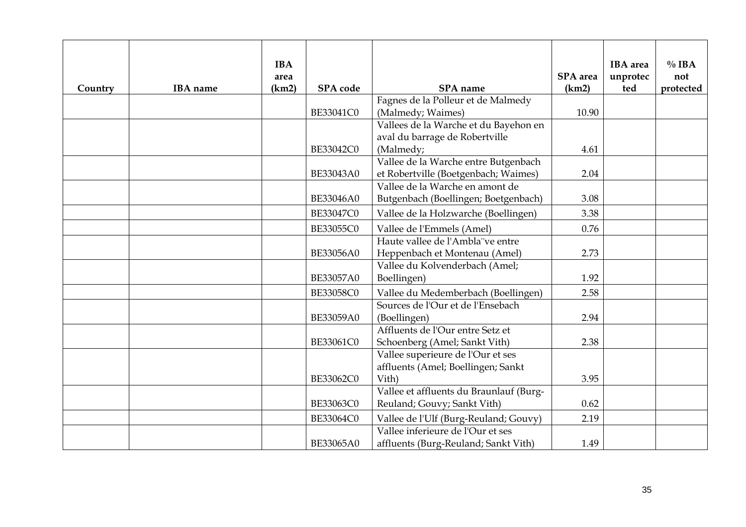| Country | <b>IBA</b> name | <b>IBA</b><br>area<br>(km2) | SPA code  | SPA name                                                                   | SPA area<br>(km2) | <b>IBA</b> area<br>unprotec<br>ted | $\%$ IBA<br>not<br>protected |
|---------|-----------------|-----------------------------|-----------|----------------------------------------------------------------------------|-------------------|------------------------------------|------------------------------|
|         |                 |                             |           | Fagnes de la Polleur et de Malmedy                                         |                   |                                    |                              |
|         |                 |                             | BE33041C0 | (Malmedy; Waimes)                                                          | 10.90             |                                    |                              |
|         |                 |                             |           | Vallees de la Warche et du Bayehon en                                      |                   |                                    |                              |
|         |                 |                             |           | aval du barrage de Robertville                                             |                   |                                    |                              |
|         |                 |                             | BE33042C0 | (Malmedy;                                                                  | 4.61              |                                    |                              |
|         |                 |                             |           | Vallee de la Warche entre Butgenbach                                       |                   |                                    |                              |
|         |                 |                             | BE33043A0 | et Robertville (Boetgenbach; Waimes)                                       | 2.04              |                                    |                              |
|         |                 |                             |           | Vallee de la Warche en amont de                                            |                   |                                    |                              |
|         |                 |                             | BE33046A0 | Butgenbach (Boellingen; Boetgenbach)                                       | 3.08              |                                    |                              |
|         |                 |                             | BE33047C0 | Vallee de la Holzwarche (Boellingen)                                       | 3.38              |                                    |                              |
|         |                 |                             | BE33055C0 | Vallee de l'Emmels (Amel)                                                  | 0.76              |                                    |                              |
|         |                 |                             |           | Haute vallee de l'Ambla ve entre                                           |                   |                                    |                              |
|         |                 |                             | BE33056A0 | Heppenbach et Montenau (Amel)                                              | 2.73              |                                    |                              |
|         |                 |                             |           | Vallee du Kolvenderbach (Amel;                                             |                   |                                    |                              |
|         |                 |                             | BE33057A0 | Boellingen)                                                                | 1.92              |                                    |                              |
|         |                 |                             | BE33058C0 | Vallee du Medemberbach (Boellingen)                                        | 2.58              |                                    |                              |
|         |                 |                             |           | Sources de l'Our et de l'Ensebach                                          |                   |                                    |                              |
|         |                 |                             | BE33059A0 | (Boellingen)                                                               | 2.94              |                                    |                              |
|         |                 |                             |           | Affluents de l'Our entre Setz et                                           |                   |                                    |                              |
|         |                 |                             | BE33061C0 | Schoenberg (Amel; Sankt Vith)                                              | 2.38              |                                    |                              |
|         |                 |                             |           | Vallee superieure de l'Our et ses                                          |                   |                                    |                              |
|         |                 |                             | BE33062C0 | affluents (Amel; Boellingen; Sankt<br>Vith)                                | 3.95              |                                    |                              |
|         |                 |                             |           | Vallee et affluents du Braunlauf (Burg-                                    |                   |                                    |                              |
|         |                 |                             | BE33063C0 | Reuland; Gouvy; Sankt Vith)                                                | 0.62              |                                    |                              |
|         |                 |                             |           |                                                                            | 2.19              |                                    |                              |
|         |                 |                             | BE33064C0 | Vallee de l'Ulf (Burg-Reuland; Gouvy)<br>Vallee inferieure de l'Our et ses |                   |                                    |                              |
|         |                 |                             | BE33065A0 | affluents (Burg-Reuland; Sankt Vith)                                       | 1.49              |                                    |                              |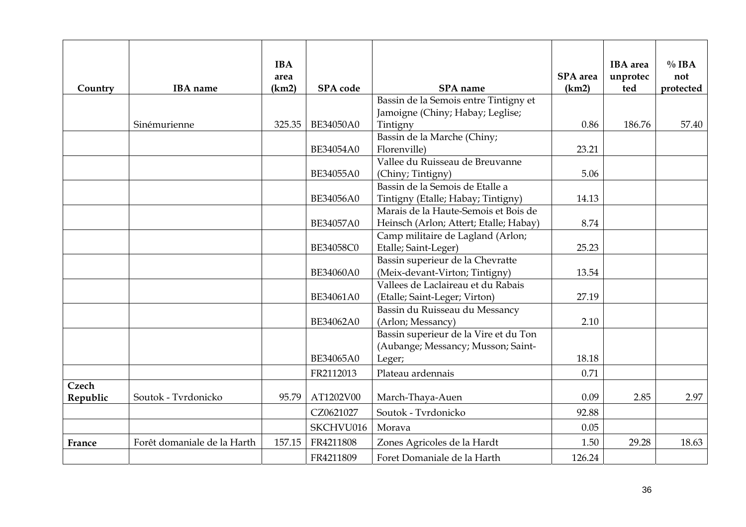| Country  | <b>IBA</b> name             | <b>IBA</b><br>area<br>(km2) | SPA code  | SPA name                                                           | <b>SPA</b> area<br>(km2) | <b>IBA</b> area<br>unprotec<br>ted | $\%$ IBA<br>not<br>protected |
|----------|-----------------------------|-----------------------------|-----------|--------------------------------------------------------------------|--------------------------|------------------------------------|------------------------------|
|          |                             |                             |           | Bassin de la Semois entre Tintigny et                              |                          |                                    |                              |
|          |                             |                             |           | Jamoigne (Chiny; Habay; Leglise;                                   |                          |                                    |                              |
|          | Sinémurienne                | 325.35                      | BE34050A0 | Tintigny                                                           | 0.86                     | 186.76                             | 57.40                        |
|          |                             |                             |           | Bassin de la Marche (Chiny;                                        |                          |                                    |                              |
|          |                             |                             | BE34054A0 | Florenville)                                                       | 23.21                    |                                    |                              |
|          |                             |                             |           | Vallee du Ruisseau de Breuvanne                                    |                          |                                    |                              |
|          |                             |                             | BE34055A0 | (Chiny; Tintigny)                                                  | 5.06                     |                                    |                              |
|          |                             |                             |           | Bassin de la Semois de Etalle a                                    |                          |                                    |                              |
|          |                             |                             | BE34056A0 | Tintigny (Etalle; Habay; Tintigny)                                 | 14.13                    |                                    |                              |
|          |                             |                             |           | Marais de la Haute-Semois et Bois de                               |                          |                                    |                              |
|          |                             |                             | BE34057A0 | Heinsch (Arlon; Attert; Etalle; Habay)                             | 8.74                     |                                    |                              |
|          |                             |                             | BE34058C0 | Camp militaire de Lagland (Arlon;                                  | 25.23                    |                                    |                              |
|          |                             |                             |           | Etalle; Saint-Leger)                                               |                          |                                    |                              |
|          |                             |                             | BE34060A0 | Bassin superieur de la Chevratte<br>(Meix-devant-Virton; Tintigny) | 13.54                    |                                    |                              |
|          |                             |                             |           | Vallees de Laclaireau et du Rabais                                 |                          |                                    |                              |
|          |                             |                             | BE34061A0 | (Etalle; Saint-Leger; Virton)                                      | 27.19                    |                                    |                              |
|          |                             |                             |           | Bassin du Ruisseau du Messancy                                     |                          |                                    |                              |
|          |                             |                             | BE34062A0 | (Arlon; Messancy)                                                  | 2.10                     |                                    |                              |
|          |                             |                             |           | Bassin superieur de la Vire et du Ton                              |                          |                                    |                              |
|          |                             |                             |           | (Aubange; Messancy; Musson; Saint-                                 |                          |                                    |                              |
|          |                             |                             | BE34065A0 | Leger;                                                             | 18.18                    |                                    |                              |
|          |                             |                             | FR2112013 | Plateau ardennais                                                  | 0.71                     |                                    |                              |
| Czech    |                             |                             |           |                                                                    |                          |                                    |                              |
| Republic | Soutok - Tvrdonicko         | 95.79                       | AT1202V00 | March-Thaya-Auen                                                   | 0.09                     | 2.85                               | 2.97                         |
|          |                             |                             | CZ0621027 | Soutok - Tvrdonicko                                                | 92.88                    |                                    |                              |
|          |                             |                             | SKCHVU016 | Morava                                                             | 0.05                     |                                    |                              |
| France   | Forêt domaniale de la Harth | 157.15                      | FR4211808 | Zones Agricoles de la Hardt                                        | 1.50                     | 29.28                              | 18.63                        |
|          |                             |                             | FR4211809 | Foret Domaniale de la Harth                                        | 126.24                   |                                    |                              |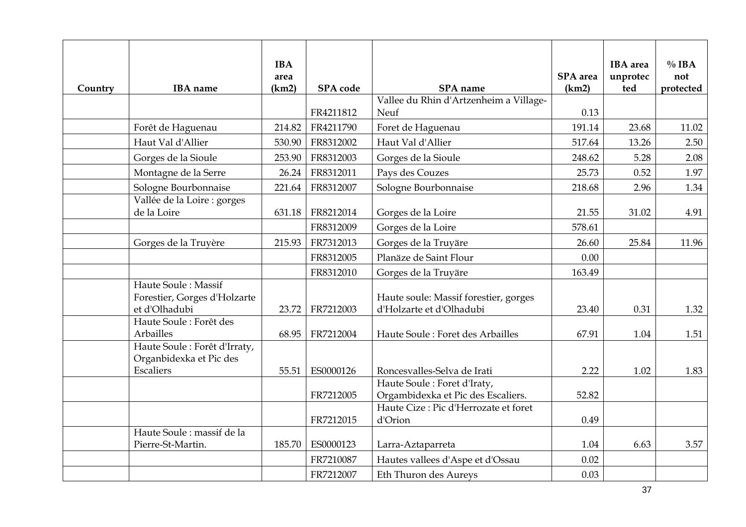| Country | <b>IBA</b> name                                                       | <b>IBA</b><br>area<br>(km2) | SPA code  | SPA name                                                           | <b>SPA</b> area<br>(km2) | <b>IBA</b> area<br>unprotec<br>ted | $\%$ IBA<br>not<br>protected |
|---------|-----------------------------------------------------------------------|-----------------------------|-----------|--------------------------------------------------------------------|--------------------------|------------------------------------|------------------------------|
|         |                                                                       |                             | FR4211812 | Vallee du Rhin d'Artzenheim a Village-<br>Neuf                     | 0.13                     |                                    |                              |
|         | Forêt de Haguenau                                                     | 214.82                      | FR4211790 | Foret de Haguenau                                                  | 191.14                   | 23.68                              | 11.02                        |
|         | Haut Val d'Allier                                                     | 530.90                      | FR8312002 | Haut Val d'Allier                                                  | 517.64                   | 13.26                              | 2.50                         |
|         | Gorges de la Sioule                                                   | 253.90                      | FR8312003 | Gorges de la Sioule                                                | 248.62                   | 5.28                               | 2.08                         |
|         | Montagne de la Serre                                                  | 26.24                       | FR8312011 | Pays des Couzes                                                    | 25.73                    | 0.52                               | 1.97                         |
|         | Sologne Bourbonnaise                                                  | 221.64                      | FR8312007 | Sologne Bourbonnaise                                               | 218.68                   | 2.96                               | 1.34                         |
|         | Vallée de la Loire : gorges<br>de la Loire                            | 631.18                      | FR8212014 | Gorges de la Loire                                                 | 21.55                    | 31.02                              | 4.91                         |
|         |                                                                       |                             | FR8312009 | Gorges de la Loire                                                 | 578.61                   |                                    |                              |
|         | Gorges de la Truyère                                                  | 215.93                      | FR7312013 | Gorges de la Truyäre                                               | 26.60                    | 25.84                              | 11.96                        |
|         |                                                                       |                             | FR8312005 | Planäze de Saint Flour                                             | 0.00                     |                                    |                              |
|         |                                                                       |                             | FR8312010 | Gorges de la Truyäre                                               | 163.49                   |                                    |                              |
|         | Haute Soule: Massif<br>Forestier, Gorges d'Holzarte<br>et d'Olhadubi  | 23.72                       | FR7212003 | Haute soule: Massif forestier, gorges<br>d'Holzarte et d'Olhadubi  | 23.40                    | 0.31                               | 1.32                         |
|         | Haute Soule : Forêt des<br>Arbailles                                  | 68.95                       | FR7212004 | Haute Soule: Foret des Arbailles                                   | 67.91                    | 1.04                               | 1.51                         |
|         | Haute Soule : Forêt d'Irraty,<br>Organbidexka et Pic des<br>Escaliers | 55.51                       | ES0000126 | Roncesvalles-Selva de Irati                                        | 2.22                     | 1.02                               | 1.83                         |
|         |                                                                       |                             | FR7212005 | Haute Soule : Foret d'Iraty,<br>Orgambidexka et Pic des Escaliers. | 52.82                    |                                    |                              |
|         |                                                                       |                             | FR7212015 | Haute Cize : Pic d'Herrozate et foret<br>d'Orion                   | 0.49                     |                                    |                              |
|         | Haute Soule : massif de la<br>Pierre-St-Martin.                       | 185.70                      | ES0000123 | Larra-Aztaparreta                                                  | 1.04                     | 6.63                               | 3.57                         |
|         |                                                                       |                             | FR7210087 | Hautes vallees d'Aspe et d'Ossau                                   | 0.02                     |                                    |                              |
|         |                                                                       |                             | FR7212007 | Eth Thuron des Aureys                                              | 0.03                     |                                    |                              |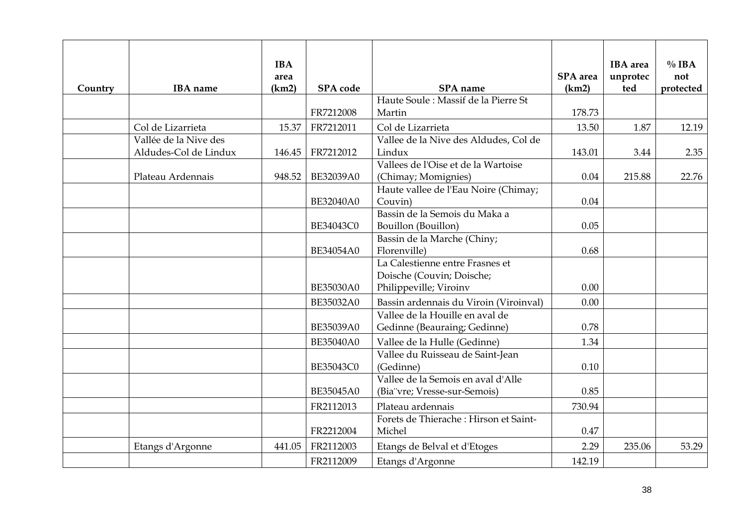| Country | <b>IBA</b> name                                | <b>IBA</b><br>area<br>(km2) | <b>SPA</b> code | SPA name                                                                                           | <b>SPA</b> area<br>(km2) | <b>IBA</b> area<br>unprotec<br>ted | $\%$ IBA<br>not<br>protected |
|---------|------------------------------------------------|-----------------------------|-----------------|----------------------------------------------------------------------------------------------------|--------------------------|------------------------------------|------------------------------|
|         |                                                |                             | FR7212008       | Haute Soule: Massif de la Pierre St<br>Martin                                                      | 178.73                   |                                    |                              |
|         | Col de Lizarrieta                              | 15.37                       | FR7212011       | Col de Lizarrieta                                                                                  | 13.50                    | 1.87                               | 12.19                        |
|         | Vallée de la Nive des<br>Aldudes-Col de Lindux | 146.45                      | FR7212012       | Vallee de la Nive des Aldudes, Col de<br>Lindux                                                    | 143.01                   | 3.44                               | 2.35                         |
|         | Plateau Ardennais                              | 948.52                      | BE32039A0       | Vallees de l'Oise et de la Wartoise<br>(Chimay; Momignies)<br>Haute vallee de l'Eau Noire (Chimay; | 0.04                     | 215.88                             | 22.76                        |
|         |                                                |                             | BE32040A0       | Couvin)                                                                                            | 0.04                     |                                    |                              |
|         |                                                |                             | BE34043C0       | Bassin de la Semois du Maka a<br>Bouillon (Bouillon)                                               | 0.05                     |                                    |                              |
|         |                                                |                             | BE34054A0       | Bassin de la Marche (Chiny;<br>Florenville)                                                        | 0.68                     |                                    |                              |
|         |                                                |                             | BE35030A0       | La Calestienne entre Frasnes et<br>Doische (Couvin; Doische;<br>Philippeville; Viroinv             | 0.00                     |                                    |                              |
|         |                                                |                             | BE35032A0       | Bassin ardennais du Viroin (Viroinval)                                                             | 0.00                     |                                    |                              |
|         |                                                |                             | BE35039A0       | Vallee de la Houille en aval de<br>Gedinne (Beauraing; Gedinne)                                    | 0.78                     |                                    |                              |
|         |                                                |                             | BE35040A0       | Vallee de la Hulle (Gedinne)                                                                       | 1.34                     |                                    |                              |
|         |                                                |                             | BE35043C0       | Vallee du Ruisseau de Saint-Jean<br>(Gedinne)                                                      | 0.10                     |                                    |                              |
|         |                                                |                             | BE35045A0       | Vallee de la Semois en aval d'Alle<br>(Bia"vre; Vresse-sur-Semois)                                 | 0.85                     |                                    |                              |
|         |                                                |                             | FR2112013       | Plateau ardennais                                                                                  | 730.94                   |                                    |                              |
|         |                                                |                             | FR2212004       | Forets de Thierache : Hirson et Saint-<br>Michel                                                   | 0.47                     |                                    |                              |
|         | Etangs d'Argonne                               | 441.05                      | FR2112003       | Etangs de Belval et d'Etoges                                                                       | 2.29                     | 235.06                             | 53.29                        |
|         |                                                |                             | FR2112009       | Etangs d'Argonne                                                                                   | 142.19                   |                                    |                              |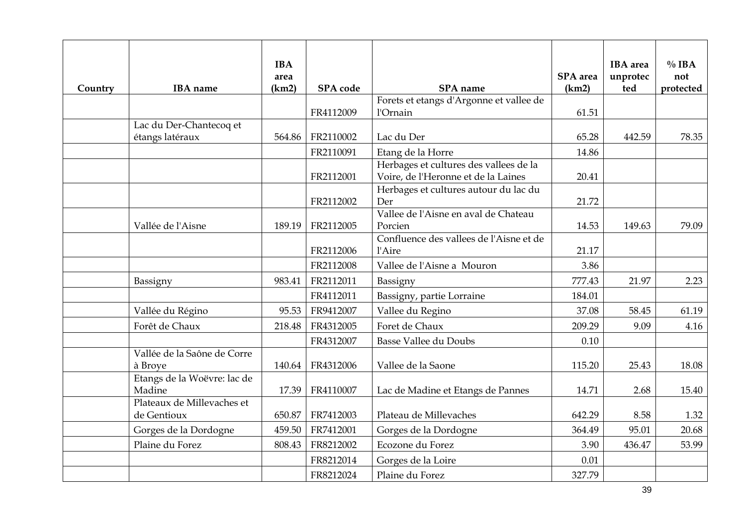| Country | <b>IBA</b> name                           | <b>IBA</b><br>area<br>(km2) | SPA code  | SPA name                                                                      | <b>SPA</b> area<br>(km2) | <b>IBA</b> area<br>unprotec<br>ted | $\%$ IBA<br>not<br>protected |
|---------|-------------------------------------------|-----------------------------|-----------|-------------------------------------------------------------------------------|--------------------------|------------------------------------|------------------------------|
|         |                                           |                             | FR4112009 | Forets et etangs d'Argonne et vallee de<br>l'Ornain                           | 61.51                    |                                    |                              |
|         | Lac du Der-Chantecoq et                   |                             |           |                                                                               |                          |                                    |                              |
|         | étangs latéraux                           | 564.86                      | FR2110002 | Lac du Der                                                                    | 65.28                    | 442.59                             | 78.35                        |
|         |                                           |                             | FR2110091 | Etang de la Horre                                                             | 14.86                    |                                    |                              |
|         |                                           |                             | FR2112001 | Herbages et cultures des vallees de la<br>Voire, de l'Heronne et de la Laines | 20.41                    |                                    |                              |
|         |                                           |                             | FR2112002 | Herbages et cultures autour du lac du<br>Der                                  | 21.72                    |                                    |                              |
|         | Vallée de l'Aisne                         | 189.19                      | FR2112005 | Vallee de l'Aisne en aval de Chateau<br>Porcien                               | 14.53                    | 149.63                             | 79.09                        |
|         |                                           |                             | FR2112006 | Confluence des vallees de l'Aisne et de<br>l'Aire                             | 21.17                    |                                    |                              |
|         |                                           |                             | FR2112008 | Vallee de l'Aisne a Mouron                                                    | 3.86                     |                                    |                              |
|         | Bassigny                                  | 983.41                      | FR2112011 | Bassigny                                                                      | 777.43                   | 21.97                              | 2.23                         |
|         |                                           |                             | FR4112011 | Bassigny, partie Lorraine                                                     | 184.01                   |                                    |                              |
|         | Vallée du Régino                          | 95.53                       | FR9412007 | Vallee du Regino                                                              | 37.08                    | 58.45                              | 61.19                        |
|         | Forêt de Chaux                            | 218.48                      | FR4312005 | Foret de Chaux                                                                | 209.29                   | 9.09                               | 4.16                         |
|         |                                           |                             | FR4312007 | <b>Basse Vallee du Doubs</b>                                                  | 0.10                     |                                    |                              |
|         | Vallée de la Saône de Corre<br>à Brove    | 140.64                      | FR4312006 | Vallee de la Saone                                                            | 115.20                   | 25.43                              | 18.08                        |
|         | Etangs de la Woëvre: lac de<br>Madine     | 17.39                       | FR4110007 | Lac de Madine et Etangs de Pannes                                             | 14.71                    | 2.68                               | 15.40                        |
|         | Plateaux de Millevaches et<br>de Gentioux | 650.87                      | FR7412003 | Plateau de Millevaches                                                        | 642.29                   | 8.58                               | 1.32                         |
|         | Gorges de la Dordogne                     | 459.50                      | FR7412001 | Gorges de la Dordogne                                                         | 364.49                   | 95.01                              | 20.68                        |
|         | Plaine du Forez                           | 808.43                      | FR8212002 | Ecozone du Forez                                                              | 3.90                     | 436.47                             | 53.99                        |
|         |                                           |                             | FR8212014 | Gorges de la Loire                                                            | 0.01                     |                                    |                              |
|         |                                           |                             | FR8212024 | Plaine du Forez                                                               | 327.79                   |                                    |                              |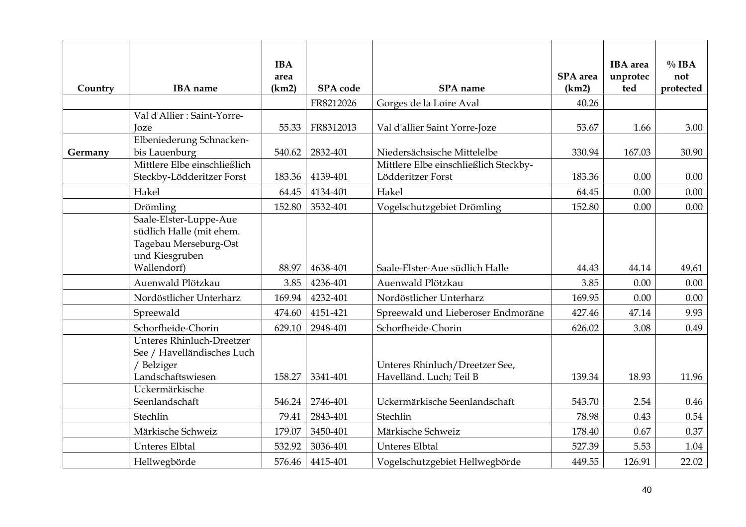| Country | <b>IBA</b> name                                                                               | <b>IBA</b><br>area<br>(km2) | SPA code  | SPA name                                                  | <b>SPA</b> area<br>(km2) | <b>IBA</b> area<br>unprotec<br>ted | $\%$ IBA<br>not<br>protected |
|---------|-----------------------------------------------------------------------------------------------|-----------------------------|-----------|-----------------------------------------------------------|--------------------------|------------------------------------|------------------------------|
|         |                                                                                               |                             |           |                                                           | 40.26                    |                                    |                              |
|         | Val d'Allier : Saint-Yorre-                                                                   |                             | FR8212026 | Gorges de la Loire Aval                                   |                          |                                    |                              |
|         | Joze                                                                                          | 55.33                       | FR8312013 | Val d'allier Saint Yorre-Joze                             | 53.67                    | 1.66                               | 3.00                         |
|         | Elbeniederung Schnacken-                                                                      |                             |           |                                                           |                          |                                    |                              |
| Germany | bis Lauenburg                                                                                 | 540.62                      | 2832-401  | Niedersächsische Mittelelbe                               | 330.94                   | 167.03                             | 30.90                        |
|         | Mittlere Elbe einschließlich                                                                  |                             |           | Mittlere Elbe einschließlich Steckby-                     |                          |                                    |                              |
|         | Steckby-Lödderitzer Forst                                                                     | 183.36                      | 4139-401  | Lödderitzer Forst                                         | 183.36                   | 0.00                               | 0.00                         |
|         | Hakel                                                                                         | 64.45                       | 4134-401  | Hakel                                                     | 64.45                    | 0.00                               | 0.00                         |
|         | Drömling                                                                                      | 152.80                      | 3532-401  | Vogelschutzgebiet Drömling                                | 152.80                   | 0.00                               | 0.00                         |
|         | Saale-Elster-Luppe-Aue<br>südlich Halle (mit ehem.<br>Tagebau Merseburg-Ost<br>und Kiesgruben |                             |           |                                                           |                          |                                    |                              |
|         | Wallendorf)                                                                                   | 88.97                       | 4638-401  | Saale-Elster-Aue südlich Halle                            | 44.43                    | 44.14                              | 49.61                        |
|         | Auenwald Plötzkau                                                                             | 3.85                        | 4236-401  | Auenwald Plötzkau                                         | 3.85                     | 0.00                               | 0.00                         |
|         | Nordöstlicher Unterharz                                                                       | 169.94                      | 4232-401  | Nordöstlicher Unterharz                                   | 169.95                   | 0.00                               | 0.00                         |
|         | Spreewald                                                                                     | 474.60                      | 4151-421  | Spreewald und Lieberoser Endmoräne                        | 427.46                   | 47.14                              | 9.93                         |
|         | Schorfheide-Chorin                                                                            | 629.10                      | 2948-401  | Schorfheide-Chorin                                        | 626.02                   | 3.08                               | 0.49                         |
|         | Unteres Rhinluch-Dreetzer<br>See / Havelländisches Luch<br>/ Belziger<br>Landschaftswiesen    | 158.27                      | 3341-401  | Unteres Rhinluch/Dreetzer See,<br>Havelländ. Luch; Teil B | 139.34                   | 18.93                              | 11.96                        |
|         | Uckermärkische                                                                                |                             |           |                                                           |                          |                                    |                              |
|         | Seenlandschaft                                                                                | 546.24                      | 2746-401  | Uckermärkische Seenlandschaft                             | 543.70                   | 2.54                               | 0.46                         |
|         | Stechlin                                                                                      | 79.41                       | 2843-401  | Stechlin                                                  | 78.98                    | 0.43                               | 0.54                         |
|         | Märkische Schweiz                                                                             | 179.07                      | 3450-401  | Märkische Schweiz                                         | 178.40                   | 0.67                               | 0.37                         |
|         | <b>Unteres Elbtal</b>                                                                         | 532.92                      | 3036-401  | <b>Unteres Elbtal</b>                                     | 527.39                   | 5.53                               | 1.04                         |
|         | Hellwegbörde                                                                                  | 576.46                      | 4415-401  | Vogelschutzgebiet Hellwegbörde                            | 449.55                   | 126.91                             | 22.02                        |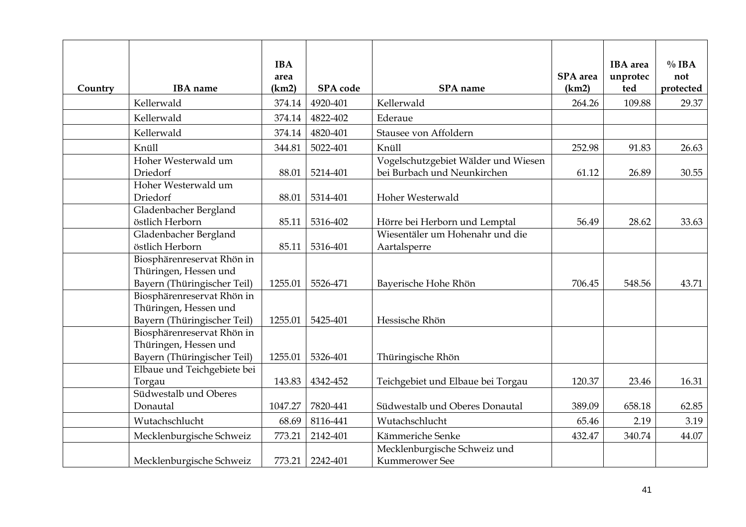| Country | <b>IBA</b> name                                                                    | <b>IBA</b><br>area<br>(km2) | SPA code | SPA name                                                           | <b>SPA</b> area<br>(km2) | <b>IBA</b> area<br>unprotec<br>ted | $\%$ IBA<br>not<br>protected |
|---------|------------------------------------------------------------------------------------|-----------------------------|----------|--------------------------------------------------------------------|--------------------------|------------------------------------|------------------------------|
|         | Kellerwald                                                                         | 374.14                      | 4920-401 | Kellerwald                                                         | 264.26                   | 109.88                             | 29.37                        |
|         | Kellerwald                                                                         | 374.14                      | 4822-402 | Ederaue                                                            |                          |                                    |                              |
|         | Kellerwald                                                                         | 374.14                      | 4820-401 | Stausee von Affoldern                                              |                          |                                    |                              |
|         | Knüll                                                                              | 344.81                      | 5022-401 | Knüll                                                              | 252.98                   | 91.83                              | 26.63                        |
|         | Hoher Westerwald um<br>Driedorf                                                    | 88.01                       | 5214-401 | Vogelschutzgebiet Wälder und Wiesen<br>bei Burbach und Neunkirchen | 61.12                    | 26.89                              | 30.55                        |
|         | Hoher Westerwald um<br>Driedorf                                                    | 88.01                       | 5314-401 | Hoher Westerwald                                                   |                          |                                    |                              |
|         | Gladenbacher Bergland<br>östlich Herborn                                           | 85.11                       | 5316-402 | Hörre bei Herborn und Lemptal                                      | 56.49                    | 28.62                              | 33.63                        |
|         | Gladenbacher Bergland<br>östlich Herborn                                           | 85.11                       | 5316-401 | Wiesentäler um Hohenahr und die<br>Aartalsperre                    |                          |                                    |                              |
|         | Biosphärenreservat Rhön in<br>Thüringen, Hessen und<br>Bayern (Thüringischer Teil) | 1255.01                     | 5526-471 | Bayerische Hohe Rhön                                               | 706.45                   | 548.56                             | 43.71                        |
|         | Biosphärenreservat Rhön in<br>Thüringen, Hessen und<br>Bayern (Thüringischer Teil) | 1255.01                     | 5425-401 | Hessische Rhön                                                     |                          |                                    |                              |
|         | Biosphärenreservat Rhön in<br>Thüringen, Hessen und<br>Bayern (Thüringischer Teil) | 1255.01                     | 5326-401 | Thüringische Rhön                                                  |                          |                                    |                              |
|         | Elbaue und Teichgebiete bei<br>Torgau                                              | 143.83                      | 4342-452 | Teichgebiet und Elbaue bei Torgau                                  | 120.37                   | 23.46                              | 16.31                        |
|         | Südwestalb und Oberes<br>Donautal                                                  | 1047.27                     | 7820-441 | Südwestalb und Oberes Donautal                                     | 389.09                   | 658.18                             | 62.85                        |
|         | Wutachschlucht                                                                     | 68.69                       | 8116-441 | Wutachschlucht                                                     | 65.46                    | 2.19                               | 3.19                         |
|         | Mecklenburgische Schweiz                                                           | 773.21                      | 2142-401 | Kämmeriche Senke                                                   | 432.47                   | 340.74                             | 44.07                        |
|         | Mecklenburgische Schweiz                                                           | 773.21                      | 2242-401 | Mecklenburgische Schweiz und<br><b>Kummerower</b> See              |                          |                                    |                              |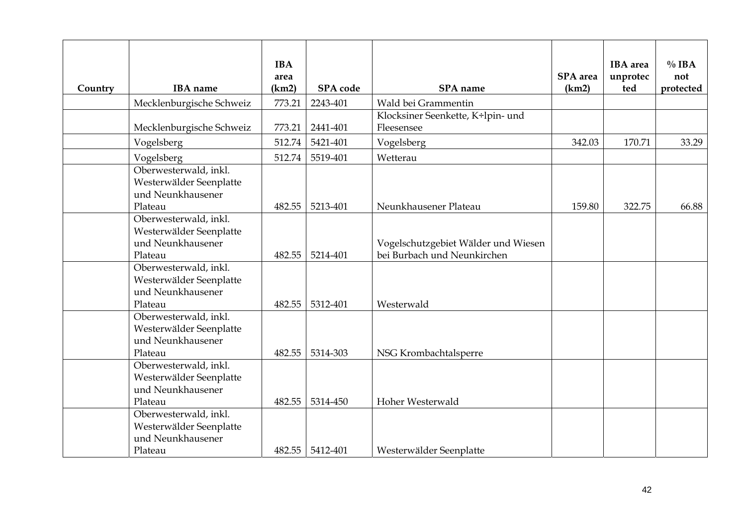| Country | <b>IBA</b> name                                                                  | <b>IBA</b><br>area<br>(km2) | SPA code | SPA name                                                           | <b>SPA</b> area<br>(km2) | <b>IBA</b> area<br>unprotec<br>ted | $\%$ IBA<br>not<br>protected |
|---------|----------------------------------------------------------------------------------|-----------------------------|----------|--------------------------------------------------------------------|--------------------------|------------------------------------|------------------------------|
|         | Mecklenburgische Schweiz                                                         | 773.21                      | 2243-401 | Wald bei Grammentin                                                |                          |                                    |                              |
|         | Mecklenburgische Schweiz                                                         | 773.21                      | 2441-401 | Klocksiner Seenkette, K÷lpin- und<br>Fleesensee                    |                          |                                    |                              |
|         | Vogelsberg                                                                       | 512.74                      | 5421-401 | Vogelsberg                                                         | 342.03                   | 170.71                             | 33.29                        |
|         | Vogelsberg                                                                       | 512.74                      | 5519-401 | Wetterau                                                           |                          |                                    |                              |
|         | Oberwesterwald, inkl.<br>Westerwälder Seenplatte<br>und Neunkhausener<br>Plateau | 482.55                      | 5213-401 | Neunkhausener Plateau                                              | 159.80                   | 322.75                             | 66.88                        |
|         | Oberwesterwald, inkl.<br>Westerwälder Seenplatte<br>und Neunkhausener<br>Plateau | 482.55                      | 5214-401 | Vogelschutzgebiet Wälder und Wiesen<br>bei Burbach und Neunkirchen |                          |                                    |                              |
|         | Oberwesterwald, inkl.<br>Westerwälder Seenplatte<br>und Neunkhausener<br>Plateau | 482.55                      | 5312-401 | Westerwald                                                         |                          |                                    |                              |
|         | Oberwesterwald, inkl.<br>Westerwälder Seenplatte<br>und Neunkhausener<br>Plateau | 482.55                      | 5314-303 | NSG Krombachtalsperre                                              |                          |                                    |                              |
|         | Oberwesterwald, inkl.<br>Westerwälder Seenplatte<br>und Neunkhausener<br>Plateau | 482.55                      | 5314-450 | Hoher Westerwald                                                   |                          |                                    |                              |
|         | Oberwesterwald, inkl.<br>Westerwälder Seenplatte<br>und Neunkhausener<br>Plateau | 482.55                      | 5412-401 | Westerwälder Seenplatte                                            |                          |                                    |                              |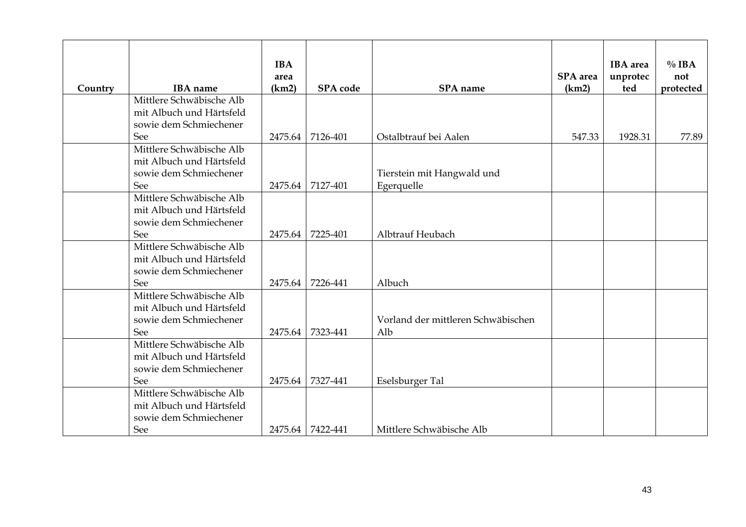| Country | <b>IBA</b> name                 | <b>IBA</b><br>area<br>(km2) | <b>SPA</b> code  | <b>SPA</b> name                    | SPA area<br>(km2) | <b>IBA</b> area<br>unprotec<br>ted | $\%$ IBA<br>not<br>protected |
|---------|---------------------------------|-----------------------------|------------------|------------------------------------|-------------------|------------------------------------|------------------------------|
|         | Mittlere Schwäbische Alb        |                             |                  |                                    |                   |                                    |                              |
|         | mit Albuch und Härtsfeld        |                             |                  |                                    |                   |                                    |                              |
|         | sowie dem Schmiechener          |                             |                  |                                    |                   |                                    |                              |
|         | See                             | 2475.64                     | 7126-401         | Ostalbtrauf bei Aalen              | 547.33            | 1928.31                            | 77.89                        |
|         | Mittlere Schwäbische Alb        |                             |                  |                                    |                   |                                    |                              |
|         | mit Albuch und Härtsfeld        |                             |                  |                                    |                   |                                    |                              |
|         | sowie dem Schmiechener          |                             |                  | Tierstein mit Hangwald und         |                   |                                    |                              |
|         | See                             | 2475.64                     | 7127-401         | Egerquelle                         |                   |                                    |                              |
|         | Mittlere Schwäbische Alb        |                             |                  |                                    |                   |                                    |                              |
|         | mit Albuch und Härtsfeld        |                             |                  |                                    |                   |                                    |                              |
|         | sowie dem Schmiechener          |                             |                  |                                    |                   |                                    |                              |
|         | See                             | 2475.64                     | 7225-401         | Albtrauf Heubach                   |                   |                                    |                              |
|         | Mittlere Schwäbische Alb        |                             |                  |                                    |                   |                                    |                              |
|         | mit Albuch und Härtsfeld        |                             |                  |                                    |                   |                                    |                              |
|         | sowie dem Schmiechener          | 2475.64                     | 7226-441         | Albuch                             |                   |                                    |                              |
|         | See<br>Mittlere Schwäbische Alb |                             |                  |                                    |                   |                                    |                              |
|         | mit Albuch und Härtsfeld        |                             |                  |                                    |                   |                                    |                              |
|         | sowie dem Schmiechener          |                             |                  | Vorland der mittleren Schwäbischen |                   |                                    |                              |
|         | See                             | 2475.64                     | 7323-441         | Alb                                |                   |                                    |                              |
|         | Mittlere Schwäbische Alb        |                             |                  |                                    |                   |                                    |                              |
|         | mit Albuch und Härtsfeld        |                             |                  |                                    |                   |                                    |                              |
|         | sowie dem Schmiechener          |                             |                  |                                    |                   |                                    |                              |
|         | See                             | 2475.64                     | 7327-441         | Eselsburger Tal                    |                   |                                    |                              |
|         | Mittlere Schwäbische Alb        |                             |                  |                                    |                   |                                    |                              |
|         | mit Albuch und Härtsfeld        |                             |                  |                                    |                   |                                    |                              |
|         | sowie dem Schmiechener          |                             |                  |                                    |                   |                                    |                              |
|         | See                             |                             | 2475.64 7422-441 | Mittlere Schwäbische Alb           |                   |                                    |                              |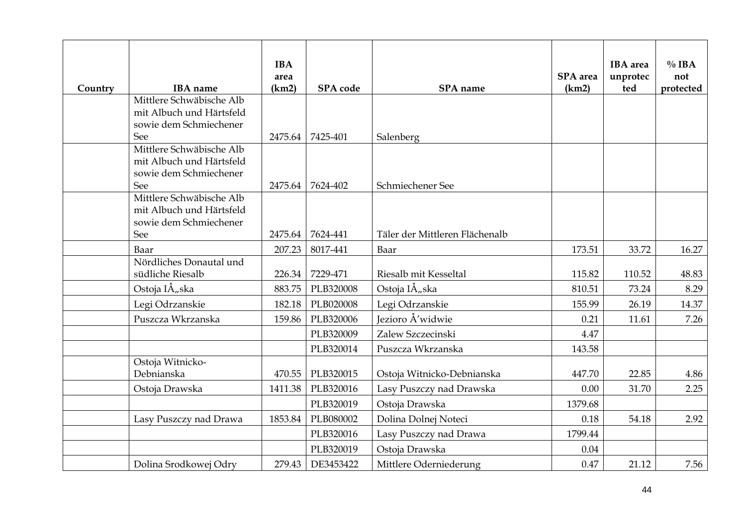| Country | <b>IBA</b> name                                      | <b>IBA</b><br>area<br>(km2) | SPA code  | SPA name                       | SPA area<br>(km2) | <b>IBA</b> area<br>unprotec<br>ted | $\%$ IBA<br>not<br>protected |
|---------|------------------------------------------------------|-----------------------------|-----------|--------------------------------|-------------------|------------------------------------|------------------------------|
|         | Mittlere Schwäbische Alb                             |                             |           |                                |                   |                                    |                              |
|         | mit Albuch und Härtsfeld<br>sowie dem Schmiechener   |                             |           |                                |                   |                                    |                              |
|         | See                                                  | 2475.64                     | 7425-401  | Salenberg                      |                   |                                    |                              |
|         | Mittlere Schwäbische Alb                             |                             |           |                                |                   |                                    |                              |
|         | mit Albuch und Härtsfeld                             |                             |           |                                |                   |                                    |                              |
|         | sowie dem Schmiechener                               |                             |           |                                |                   |                                    |                              |
|         | See                                                  | 2475.64                     | 7624-402  | Schmiechener See               |                   |                                    |                              |
|         | Mittlere Schwäbische Alb<br>mit Albuch und Härtsfeld |                             |           |                                |                   |                                    |                              |
|         | sowie dem Schmiechener                               |                             |           |                                |                   |                                    |                              |
|         | See                                                  | 2475.64                     | 7624-441  | Täler der Mittleren Flächenalb |                   |                                    |                              |
|         | Baar                                                 | 207.23                      | 8017-441  | Baar                           | 173.51            | 33.72                              | 16.27                        |
|         | Nördliches Donautal und                              |                             |           |                                |                   |                                    |                              |
|         | südliche Riesalb                                     | 226.34                      | 7229-471  | Riesalb mit Kesseltal          | 115.82            | 110.52                             | 48.83                        |
|         | Ostoja IÅ, ska                                       | 883.75                      | PLB320008 | Ostoja IÅ <sub>n</sub> ska     | 810.51            | 73.24                              | 8.29                         |
|         | Legi Odrzanskie                                      | 182.18                      | PLB020008 | Legi Odrzanskie                | 155.99            | 26.19                              | 14.37                        |
|         | Puszcza Wkrzanska                                    | 159.86                      | PLB320006 | Jezioro Å'widwie               | 0.21              | 11.61                              | 7.26                         |
|         |                                                      |                             | PLB320009 | Zalew Szczecinski              | 4.47              |                                    |                              |
|         |                                                      |                             | PLB320014 | Puszcza Wkrzanska              | 143.58            |                                    |                              |
|         | Ostoja Witnicko-                                     |                             |           |                                |                   |                                    |                              |
|         | Debnianska                                           | 470.55                      | PLB320015 | Ostoja Witnicko-Debnianska     | 447.70            | 22.85                              | 4.86                         |
|         | Ostoja Drawska                                       | 1411.38                     | PLB320016 | Lasy Puszczy nad Drawska       | 0.00              | 31.70                              | 2.25                         |
|         |                                                      |                             | PLB320019 | Ostoja Drawska                 | 1379.68           |                                    |                              |
|         | Lasy Puszczy nad Drawa                               | 1853.84                     | PLB080002 | Dolina Dolnej Noteci           | 0.18              | 54.18                              | 2.92                         |
|         |                                                      |                             | PLB320016 | Lasy Puszczy nad Drawa         | 1799.44           |                                    |                              |
|         |                                                      |                             | PLB320019 | Ostoja Drawska                 | 0.04              |                                    |                              |
|         | Dolina Srodkowej Odry                                | 279.43                      | DE3453422 | Mittlere Oderniederung         | 0.47              | 21.12                              | 7.56                         |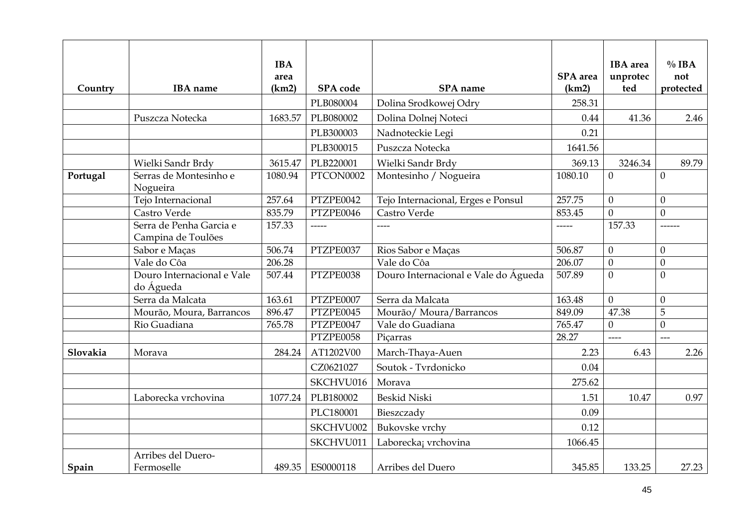| Country  | <b>IBA</b> name                         | <b>IBA</b><br>area<br>(km2) | SPA code  | SPA name                             | SPA area<br>(km2)                  | <b>IBA</b> area<br>unprotec<br>ted     | $\%$ IBA<br>not<br>protected |
|----------|-----------------------------------------|-----------------------------|-----------|--------------------------------------|------------------------------------|----------------------------------------|------------------------------|
|          |                                         |                             | PLB080004 | Dolina Srodkowej Odry                | 258.31                             |                                        |                              |
|          | Puszcza Notecka                         | 1683.57                     | PLB080002 | Dolina Dolnej Noteci                 | 0.44                               | 41.36                                  | 2.46                         |
|          |                                         |                             | PLB300003 | Nadnoteckie Legi                     | 0.21                               |                                        |                              |
|          |                                         |                             | PLB300015 | Puszcza Notecka                      | 1641.56                            |                                        |                              |
|          | Wielki Sandr Brdy                       | 3615.47                     | PLB220001 | Wielki Sandr Brdy                    | 369.13                             | 3246.34                                | 89.79                        |
| Portugal | Serras de Montesinho e<br>Nogueira      | 1080.94                     | PTCON0002 | Montesinho / Nogueira                | 1080.10                            | $\theta$                               | $\mathbf{0}$                 |
|          | Tejo Internacional                      | 257.64                      | PTZPE0042 | Tejo Internacional, Erges e Ponsul   | 257.75<br>$\theta$<br>$\theta$     |                                        |                              |
|          | Castro Verde                            | 835.79                      | PTZPE0046 | Castro Verde                         | 853.45                             | $\overline{0}$                         | $\mathbf{0}$                 |
|          | Serra de Penha Garcia e                 | 157.33                      | -----     | ----                                 | 157.33<br>-----                    |                                        |                              |
|          | Campina de Toulões                      |                             |           |                                      |                                    |                                        |                              |
|          | Sabor e Maças                           | 506.74                      | PTZPE0037 | Rios Sabor e Maças                   | 506.87<br>$\theta$                 |                                        | $\boldsymbol{0}$             |
|          | Vale do Côa                             | 206.28                      |           | Vale do Côa                          | 206.07<br>$\overline{0}$           |                                        | $\theta$                     |
|          | Douro Internacional e Vale<br>do Águeda | 507.44                      | PTZPE0038 | Douro Internacional e Vale do Águeda | 507.89<br>$\theta$<br>$\mathbf{0}$ |                                        |                              |
|          | Serra da Malcata                        | 163.61                      | PTZPE0007 | Serra da Malcata                     | 163.48                             | $\theta$                               | $\mathbf{0}$                 |
|          | Mourão, Moura, Barrancos                | 896.47                      | PTZPE0045 | Mourão/Moura/Barrancos               | 849.09                             | 47.38                                  | 5                            |
|          | Rio Guadiana                            | 765.78                      | PTZPE0047 | Vale do Guadiana                     | 765.47                             | $\theta$                               | $\boldsymbol{0}$             |
|          |                                         |                             | PTZPE0058 | Picarras                             | 28.27                              | $\begin{array}{c} - - - - \end{array}$ | $---$                        |
| Slovakia | Morava                                  | 284.24                      | AT1202V00 | March-Thaya-Auen                     | 2.23                               | 6.43                                   | 2.26                         |
|          |                                         |                             | CZ0621027 | Soutok - Tvrdonicko                  | 0.04                               |                                        |                              |
|          |                                         |                             | SKCHVU016 | Morava                               | 275.62                             |                                        |                              |
|          | Laborecka vrchovina                     | 1077.24                     | PLB180002 | <b>Beskid Niski</b>                  | 1.51                               | 10.47                                  | 0.97                         |
|          |                                         |                             | PLC180001 | Bieszczady                           | 0.09                               |                                        |                              |
|          |                                         |                             | SKCHVU002 | Bukovske vrchy                       | 0.12                               |                                        |                              |
|          |                                         |                             | SKCHVU011 | Laborecka; vrchovina                 | 1066.45                            |                                        |                              |
|          | Arribes del Duero-                      |                             |           |                                      |                                    |                                        |                              |
| Spain    | Fermoselle                              | 489.35                      | ES0000118 | Arribes del Duero                    | 345.85                             | 133.25                                 | 27.23                        |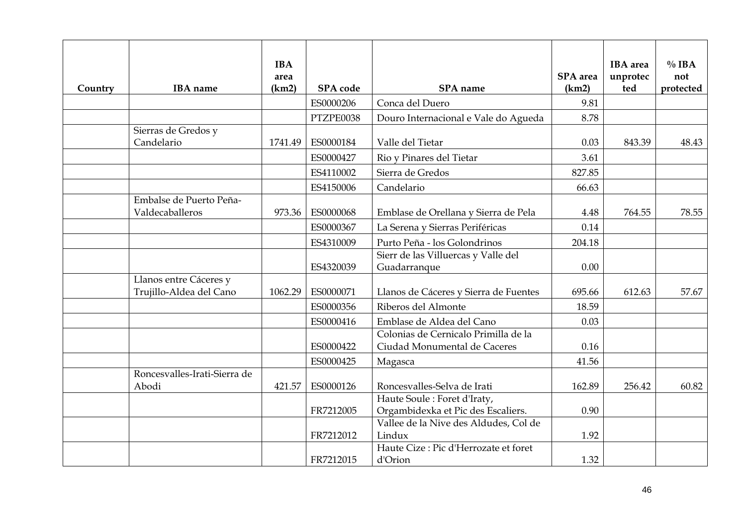| Country | <b>IBA</b> name                                   | <b>IBA</b><br>area<br>(km2) | SPA code  | SPA name                                                             | <b>SPA</b> area<br>(km2) | <b>IBA</b> area<br>unprotec<br>ted | $\%$ IBA<br>not<br>protected |
|---------|---------------------------------------------------|-----------------------------|-----------|----------------------------------------------------------------------|--------------------------|------------------------------------|------------------------------|
|         |                                                   |                             | ES0000206 | Conca del Duero                                                      | 9.81                     |                                    |                              |
|         |                                                   |                             | PTZPE0038 | Douro Internacional e Vale do Agueda                                 | 8.78                     |                                    |                              |
|         | Sierras de Gredos y<br>Candelario                 | 1741.49                     | ES0000184 | Valle del Tietar                                                     | 0.03                     | 843.39                             | 48.43                        |
|         |                                                   |                             | ES0000427 |                                                                      |                          |                                    |                              |
|         |                                                   |                             |           | Rio y Pinares del Tietar                                             | 3.61                     |                                    |                              |
|         |                                                   |                             | ES4110002 | Sierra de Gredos                                                     | 827.85                   |                                    |                              |
|         |                                                   |                             | ES4150006 | Candelario                                                           | 66.63                    |                                    |                              |
|         | Embalse de Puerto Peña-<br>Valdecaballeros        | 973.36                      | ES0000068 | Emblase de Orellana y Sierra de Pela                                 | 4.48                     | 764.55                             | 78.55                        |
|         |                                                   |                             | ES0000367 | La Serena y Sierras Periféricas                                      | 0.14                     |                                    |                              |
|         |                                                   |                             | ES4310009 | Purto Peña - los Golondrinos                                         | 204.18                   |                                    |                              |
|         |                                                   |                             | ES4320039 | Sierr de las Villuercas y Valle del<br>Guadarranque                  | 0.00                     |                                    |                              |
|         | Llanos entre Cáceres y<br>Trujillo-Aldea del Cano | 1062.29                     | ES0000071 | Llanos de Cáceres y Sierra de Fuentes                                | 695.66                   | 612.63                             | 57.67                        |
|         |                                                   |                             | ES0000356 | Riberos del Almonte                                                  | 18.59                    |                                    |                              |
|         |                                                   |                             | ES0000416 | Emblase de Aldea del Cano                                            | 0.03                     |                                    |                              |
|         |                                                   |                             | ES0000422 | Colonias de Cernicalo Primilla de la<br>Ciudad Monumental de Caceres | 0.16                     |                                    |                              |
|         |                                                   |                             | ES0000425 | Magasca                                                              | 41.56                    |                                    |                              |
|         | Roncesvalles-Irati-Sierra de<br>Abodi             | 421.57                      | ES0000126 | Roncesvalles-Selva de Irati                                          | 162.89                   | 256.42                             | 60.82                        |
|         |                                                   |                             | FR7212005 | Haute Soule: Foret d'Iraty,<br>Orgambidexka et Pic des Escaliers.    | 0.90                     |                                    |                              |
|         |                                                   |                             | FR7212012 | Vallee de la Nive des Aldudes, Col de<br>Lindux                      | 1.92                     |                                    |                              |
|         |                                                   |                             | FR7212015 | Haute Cize : Pic d'Herrozate et foret<br>d'Orion                     | 1.32                     |                                    |                              |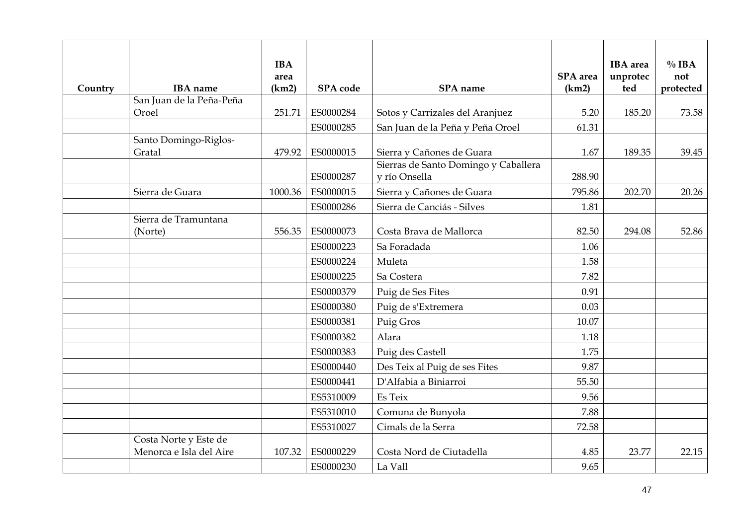| Country | <b>IBA</b> name                                  | <b>IBA</b><br>area<br>(km2) | <b>SPA</b> code | SPA name                                              | <b>SPA</b> area<br>(km2) | <b>IBA</b> area<br>unprotec<br>ted | $\%$ IBA<br>not<br>protected |
|---------|--------------------------------------------------|-----------------------------|-----------------|-------------------------------------------------------|--------------------------|------------------------------------|------------------------------|
|         | San Juan de la Peña-Peña                         |                             |                 |                                                       |                          |                                    |                              |
|         | Oroel                                            | 251.71                      | ES0000284       | Sotos y Carrizales del Aranjuez                       | 5.20                     | 185.20                             | 73.58                        |
|         |                                                  |                             | ES0000285       | San Juan de la Peña y Peña Oroel                      | 61.31                    |                                    |                              |
|         | Santo Domingo-Riglos-<br>Gratal                  | 479.92                      | ES0000015       | Sierra y Cañones de Guara                             | 1.67                     | 189.35                             | 39.45                        |
|         |                                                  |                             | ES0000287       | Sierras de Santo Domingo y Caballera<br>v río Onsella | 288.90                   |                                    |                              |
|         | Sierra de Guara                                  | 1000.36                     | ES0000015       | Sierra y Cañones de Guara                             | 795.86                   | 202.70                             | 20.26                        |
|         |                                                  |                             | ES0000286       | Sierra de Canciás - Silves                            | 1.81                     |                                    |                              |
|         | Sierra de Tramuntana<br>(Norte)                  | 556.35                      | ES0000073       | Costa Brava de Mallorca                               | 82.50                    | 294.08                             | 52.86                        |
|         |                                                  |                             | ES0000223       | Sa Foradada                                           | 1.06                     |                                    |                              |
|         |                                                  |                             | ES0000224       | Muleta                                                | 1.58                     |                                    |                              |
|         |                                                  |                             | ES0000225       | Sa Costera                                            | 7.82                     |                                    |                              |
|         |                                                  |                             | ES0000379       | Puig de Ses Fites                                     | 0.91                     |                                    |                              |
|         |                                                  |                             | ES0000380       | Puig de s'Extremera                                   | 0.03                     |                                    |                              |
|         |                                                  |                             | ES0000381       | Puig Gros                                             | 10.07                    |                                    |                              |
|         |                                                  |                             | ES0000382       | Alara                                                 | 1.18                     |                                    |                              |
|         |                                                  |                             | ES0000383       | Puig des Castell                                      | 1.75                     |                                    |                              |
|         |                                                  |                             | ES0000440       | Des Teix al Puig de ses Fites                         | 9.87                     |                                    |                              |
|         |                                                  |                             | ES0000441       | D'Alfabia a Biniarroi                                 | 55.50                    |                                    |                              |
|         |                                                  |                             | ES5310009       | Es Teix                                               | 9.56                     |                                    |                              |
|         |                                                  |                             | ES5310010       | Comuna de Bunyola                                     | 7.88                     |                                    |                              |
|         |                                                  |                             | ES5310027       | Cimals de la Serra                                    | 72.58                    |                                    |                              |
|         | Costa Norte y Este de<br>Menorca e Isla del Aire | 107.32                      | ES0000229       | Costa Nord de Ciutadella                              | 4.85                     | 23.77                              | 22.15                        |
|         |                                                  |                             | ES0000230       | La Vall                                               | 9.65                     |                                    |                              |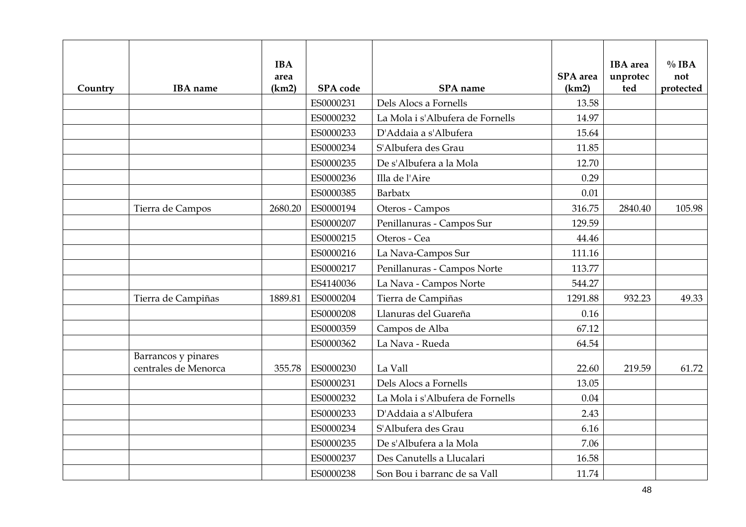| Country | <b>IBA</b> name                             | <b>IBA</b><br>area<br>(km2) | <b>SPA</b> code | <b>SPA</b> name                  | <b>SPA</b> area<br>(km2) | <b>IBA</b> area<br>unprotec<br>ted | $\%$ IBA<br>not<br>protected |
|---------|---------------------------------------------|-----------------------------|-----------------|----------------------------------|--------------------------|------------------------------------|------------------------------|
|         |                                             |                             | ES0000231       | Dels Alocs a Fornells            | 13.58                    |                                    |                              |
|         |                                             |                             | ES0000232       | La Mola i s'Albufera de Fornells | 14.97                    |                                    |                              |
|         |                                             |                             | ES0000233       | D'Addaia a s'Albufera            | 15.64                    |                                    |                              |
|         |                                             |                             | ES0000234       | S'Albufera des Grau              | 11.85                    |                                    |                              |
|         |                                             |                             | ES0000235       | De s'Albufera a la Mola          | 12.70                    |                                    |                              |
|         |                                             |                             | ES0000236       | Illa de l'Aire                   | 0.29                     |                                    |                              |
|         |                                             |                             | ES0000385       | Barbatx                          | 0.01                     |                                    |                              |
|         | Tierra de Campos                            | 2680.20                     | ES0000194       | Oteros - Campos                  | 316.75                   | 2840.40                            | 105.98                       |
|         |                                             |                             | ES0000207       | Penillanuras - Campos Sur        | 129.59                   |                                    |                              |
|         |                                             |                             | ES0000215       | Oteros - Cea                     | 44.46                    |                                    |                              |
|         |                                             |                             | ES0000216       | La Nava-Campos Sur               | 111.16                   |                                    |                              |
|         |                                             |                             | ES0000217       | Penillanuras - Campos Norte      | 113.77                   |                                    |                              |
|         |                                             |                             | ES4140036       | La Nava - Campos Norte           | 544.27                   |                                    |                              |
|         | Tierra de Campiñas                          | 1889.81                     | ES0000204       | Tierra de Campiñas               | 1291.88                  | 932.23                             | 49.33                        |
|         |                                             |                             | ES0000208       | Llanuras del Guareña             | 0.16                     |                                    |                              |
|         |                                             |                             | ES0000359       | Campos de Alba                   | 67.12                    |                                    |                              |
|         |                                             |                             | ES0000362       | La Nava - Rueda                  | 64.54                    |                                    |                              |
|         | Barrancos y pinares<br>centrales de Menorca | 355.78                      | ES0000230       | La Vall                          | 22.60                    | 219.59                             | 61.72                        |
|         |                                             |                             | ES0000231       | Dels Alocs a Fornells            | 13.05                    |                                    |                              |
|         |                                             |                             | ES0000232       | La Mola i s'Albufera de Fornells | 0.04                     |                                    |                              |
|         |                                             |                             | ES0000233       | D'Addaia a s'Albufera            | 2.43                     |                                    |                              |
|         |                                             |                             | ES0000234       | S'Albufera des Grau              | 6.16                     |                                    |                              |
|         |                                             |                             | ES0000235       | De s'Albufera a la Mola          | 7.06                     |                                    |                              |
|         |                                             |                             | ES0000237       | Des Canutells a Llucalari        | 16.58                    |                                    |                              |
|         |                                             |                             | ES0000238       | Son Bou i barranc de sa Vall     | 11.74                    |                                    |                              |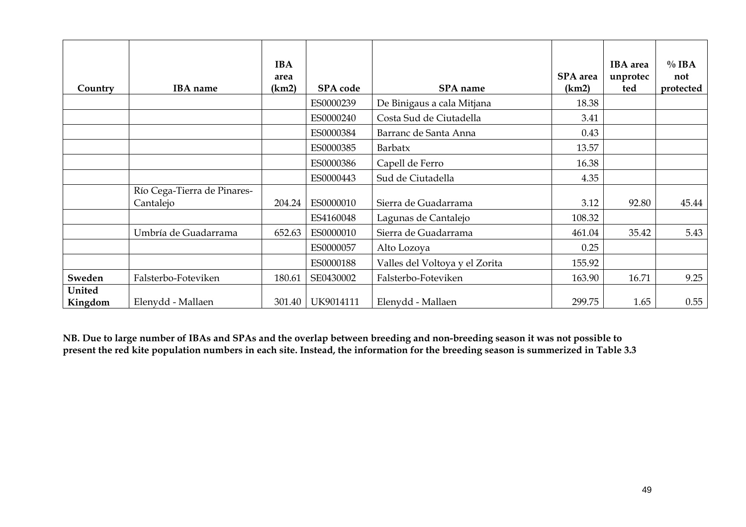| Country           | <b>IBA</b> name                          | <b>IBA</b><br>area<br>(km2) | <b>SPA</b> code | SPA name                       | <b>SPA</b> area<br>(km2) | <b>IBA</b> area<br>unprotec<br>ted | $\%$ IBA<br>not<br>protected |
|-------------------|------------------------------------------|-----------------------------|-----------------|--------------------------------|--------------------------|------------------------------------|------------------------------|
|                   |                                          |                             | ES0000239       | De Binigaus a cala Mitjana     | 18.38                    |                                    |                              |
|                   |                                          |                             | ES0000240       | Costa Sud de Ciutadella        | 3.41                     |                                    |                              |
|                   |                                          |                             | ES0000384       | Barranc de Santa Anna          | 0.43                     |                                    |                              |
|                   |                                          |                             | ES0000385       | Barbatx                        | 13.57                    |                                    |                              |
|                   |                                          |                             | ES0000386       | Capell de Ferro                | 16.38                    |                                    |                              |
|                   |                                          |                             | ES0000443       | Sud de Ciutadella              | 4.35                     |                                    |                              |
|                   | Río Cega-Tierra de Pinares-<br>Cantalejo | 204.24                      | ES0000010       | Sierra de Guadarrama           | 3.12                     | 92.80                              | 45.44                        |
|                   |                                          |                             | ES4160048       | Lagunas de Cantalejo           | 108.32                   |                                    |                              |
|                   | Umbría de Guadarrama                     | 652.63                      | ES0000010       | Sierra de Guadarrama           | 461.04                   | 35.42                              | 5.43                         |
|                   |                                          |                             | ES0000057       | Alto Lozoya                    | 0.25                     |                                    |                              |
|                   |                                          |                             | ES0000188       | Valles del Voltoya y el Zorita | 155.92                   |                                    |                              |
| Sweden            | Falsterbo-Foteviken                      | 180.61                      | SE0430002       | Falsterbo-Foteviken            | 163.90                   | 16.71                              | 9.25                         |
| United<br>Kingdom | Elenydd - Mallaen                        | 301.40                      | UK9014111       | Elenydd - Mallaen              | 299.75                   | 1.65                               | 0.55                         |

**NB. Due to large number of IBAs and SPAs and the overlap between breeding and non-breeding season it was not possible to present the red kite population numbers in each site. Instead, the information for the breeding season is summerized in Table 3.3**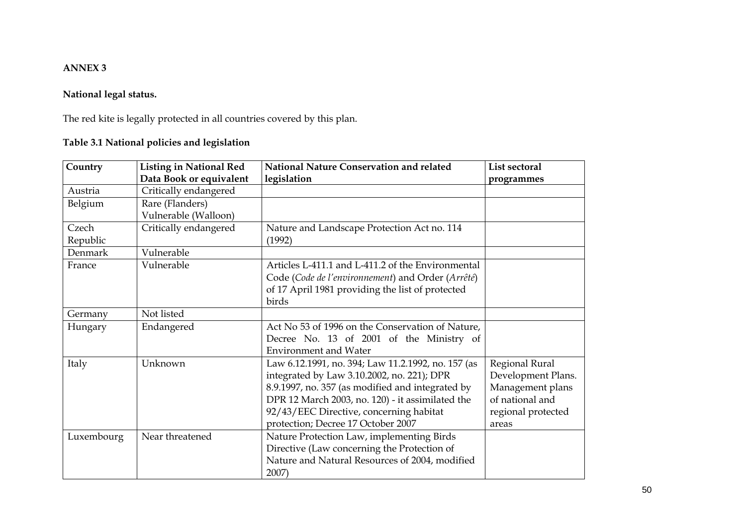#### **ANNEX 3**

# **National legal status.**

The red kite is legally protected in all countries covered by this plan.

# **Table 3.1 National policies and legislation**

<span id="page-49-0"></span>

| Country    | <b>Listing in National Red</b> | National Nature Conservation and related           | List sectoral      |
|------------|--------------------------------|----------------------------------------------------|--------------------|
|            | Data Book or equivalent        | legislation                                        | programmes         |
| Austria    | Critically endangered          |                                                    |                    |
| Belgium    | Rare (Flanders)                |                                                    |                    |
|            | Vulnerable (Walloon)           |                                                    |                    |
| Czech      | Critically endangered          | Nature and Landscape Protection Act no. 114        |                    |
| Republic   |                                | (1992)                                             |                    |
| Denmark    | Vulnerable                     |                                                    |                    |
| France     | Vulnerable                     | Articles L-411.1 and L-411.2 of the Environmental  |                    |
|            |                                | Code (Code de l'environnement) and Order (Arrêté)  |                    |
|            |                                | of 17 April 1981 providing the list of protected   |                    |
|            |                                | birds                                              |                    |
| Germany    | Not listed                     |                                                    |                    |
| Hungary    | Endangered                     | Act No 53 of 1996 on the Conservation of Nature,   |                    |
|            |                                | Decree No. 13 of 2001 of the Ministry of           |                    |
|            |                                | <b>Environment and Water</b>                       |                    |
| Italy      | Unknown                        | Law 6.12.1991, no. 394; Law 11.2.1992, no. 157 (as | Regional Rural     |
|            |                                | integrated by Law 3.10.2002, no. 221); DPR         | Development Plans. |
|            |                                | 8.9.1997, no. 357 (as modified and integrated by   | Management plans   |
|            |                                | DPR 12 March 2003, no. 120) - it assimilated the   | of national and    |
|            |                                | 92/43/EEC Directive, concerning habitat            | regional protected |
|            |                                | protection; Decree 17 October 2007                 | areas              |
| Luxembourg | Near threatened                | Nature Protection Law, implementing Birds          |                    |
|            |                                | Directive (Law concerning the Protection of        |                    |
|            |                                | Nature and Natural Resources of 2004, modified     |                    |
|            |                                | 2007)                                              |                    |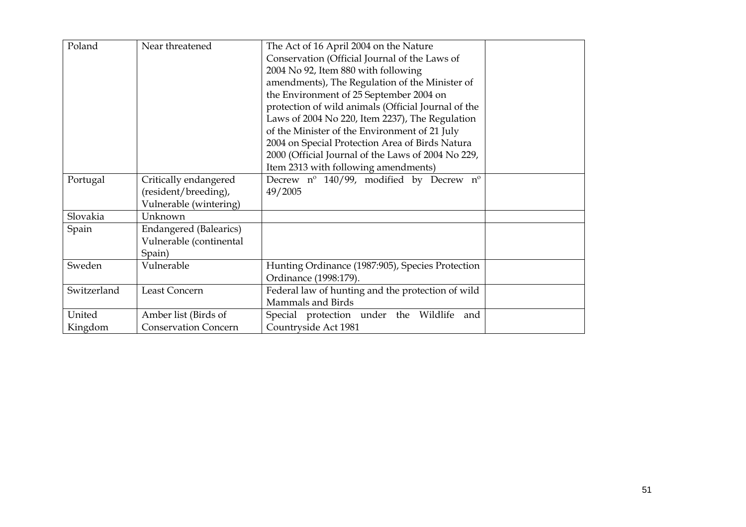| Poland      | Near threatened             | The Act of 16 April 2004 on the Nature              |  |
|-------------|-----------------------------|-----------------------------------------------------|--|
|             |                             | Conservation (Official Journal of the Laws of       |  |
|             |                             | 2004 No 92, Item 880 with following                 |  |
|             |                             | amendments), The Regulation of the Minister of      |  |
|             |                             | the Environment of 25 September 2004 on             |  |
|             |                             | protection of wild animals (Official Journal of the |  |
|             |                             | Laws of 2004 No 220, Item 2237), The Regulation     |  |
|             |                             | of the Minister of the Environment of 21 July       |  |
|             |                             | 2004 on Special Protection Area of Birds Natura     |  |
|             |                             | 2000 (Official Journal of the Laws of 2004 No 229,  |  |
|             |                             | Item 2313 with following amendments)                |  |
| Portugal    | Critically endangered       | Decrew nº 140/99, modified by Decrew nº             |  |
|             | (resident/breeding),        | 49/2005                                             |  |
|             | Vulnerable (wintering)      |                                                     |  |
| Slovakia    | Unknown                     |                                                     |  |
| Spain       | Endangered (Balearics)      |                                                     |  |
|             | Vulnerable (continental     |                                                     |  |
|             | Spain)                      |                                                     |  |
| Sweden      | Vulnerable                  | Hunting Ordinance (1987:905), Species Protection    |  |
|             |                             | Ordinance (1998:179).                               |  |
| Switzerland | Least Concern               | Federal law of hunting and the protection of wild   |  |
|             |                             | Mammals and Birds                                   |  |
| United      | Amber list (Birds of        | Special protection under the Wildlife<br>and        |  |
| Kingdom     | <b>Conservation Concern</b> | Countryside Act 1981                                |  |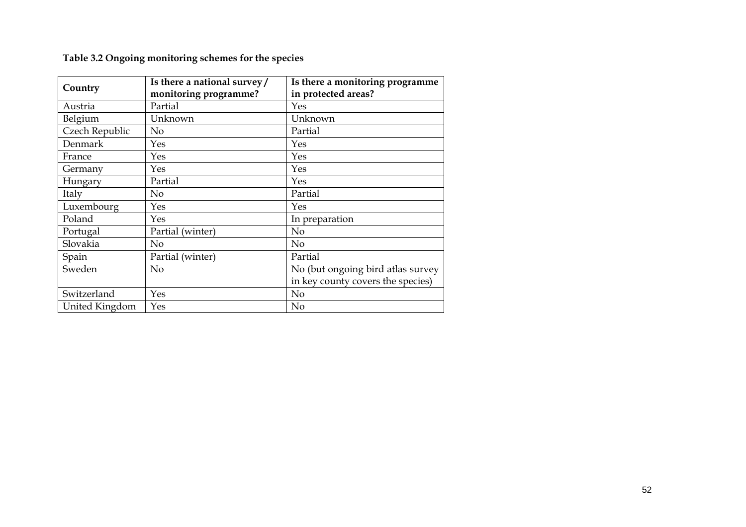**Table 3.2 Ongoing monitoring schemes for the species** 

<span id="page-51-0"></span>

|                | Is there a national survey/ | Is there a monitoring programme   |
|----------------|-----------------------------|-----------------------------------|
| Country        | monitoring programme?       | in protected areas?               |
| Austria        | Partial                     | Yes                               |
| Belgium        | Unknown                     | Unknown                           |
| Czech Republic | $\rm No$                    | Partial                           |
| Denmark        | Yes                         | Yes                               |
| France         | Yes                         | Yes                               |
| Germany        | Yes                         | Yes                               |
| Hungary        | Partial                     | Yes                               |
| Italy          | N <sub>o</sub>              | Partial                           |
| Luxembourg     | Yes                         | Yes                               |
| Poland         | Yes                         | In preparation                    |
| Portugal       | Partial (winter)            | No                                |
| Slovakia       | N <sub>0</sub>              | N <sub>o</sub>                    |
| Spain          | Partial (winter)            | Partial                           |
| Sweden         | $\rm No$                    | No (but ongoing bird atlas survey |
|                |                             | in key county covers the species) |
| Switzerland    | Yes                         | N <sub>o</sub>                    |
| United Kingdom | Yes                         | N <sub>o</sub>                    |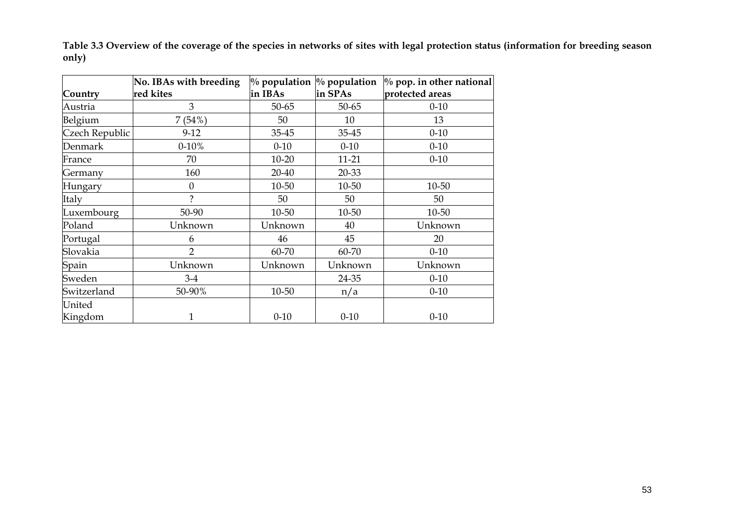**Table 3.3 Overview of the coverage of the species in networks of sites with legal protection status (information for breeding season only)** 

<span id="page-52-0"></span>

|                | No. IBAs with breeding |           | $\%$ population $\%$ population | $\%$ pop. in other national |
|----------------|------------------------|-----------|---------------------------------|-----------------------------|
| Country        | red kites              | in IBAs   | in SPAs                         | protected areas             |
| Austria        | 3                      | $50 - 65$ | $50 - 65$                       | $0 - 10$                    |
| Belgium        | 7(54%)                 | 50        | 10                              | 13                          |
| Czech Republic | $9-12$                 | 35-45     | 35-45                           | $0 - 10$                    |
| Denmark        | $0 - 10%$              | $0 - 10$  | $0 - 10$                        | $0 - 10$                    |
| France         | 70                     | $10 - 20$ | 11-21                           | $0 - 10$                    |
| Germany        | 160                    | 20-40     | 20-33                           |                             |
| Hungary        | $\boldsymbol{0}$       | 10-50     | 10-50                           | 10-50                       |
| Italy          | $\mathcal{P}$          | 50        | 50                              | 50                          |
| Luxembourg     | 50-90                  | 10-50     | 10-50                           | 10-50                       |
| Poland         | Unknown                | Unknown   | 40                              | Unknown                     |
| Portugal       | 6                      | 46        | 45                              | 20                          |
| Slovakia       | $\overline{2}$         | 60-70     | 60-70                           | $0 - 10$                    |
| Spain          | Unknown                | Unknown   | Unknown                         | Unknown                     |
| Sweden         | $3-4$                  |           | 24-35                           | $0 - 10$                    |
| Switzerland    | 50-90%                 | 10-50     | n/a                             | $0 - 10$                    |
| United         |                        |           |                                 |                             |
| Kingdom        | $\mathbf{1}$           | $0 - 10$  | $0 - 10$                        | $0 - 10$                    |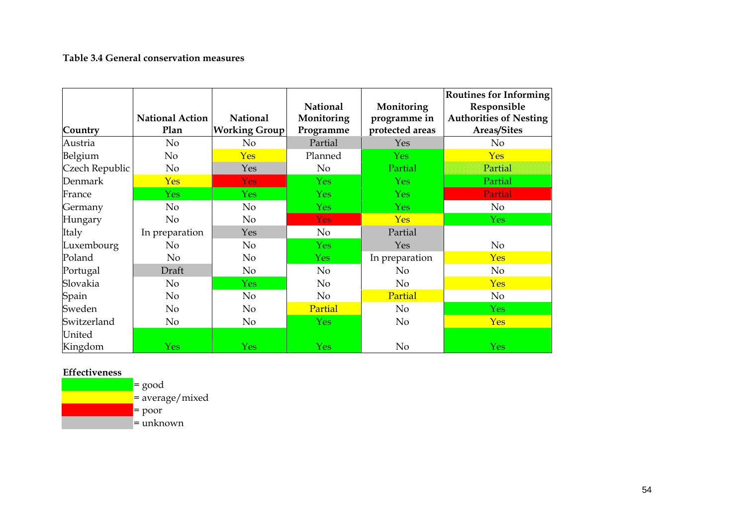#### **Table 3.4 General conservation measures**

| Country        | <b>National Action</b><br>Plan | <b>National</b><br><b>Working Group</b> | <b>National</b><br>Monitoring<br>Programme | Monitoring<br>programme in<br>protected areas | <b>Routines for Informing</b><br>Responsible<br><b>Authorities of Nesting</b><br>Areas/Sites |
|----------------|--------------------------------|-----------------------------------------|--------------------------------------------|-----------------------------------------------|----------------------------------------------------------------------------------------------|
| Austria        | No                             | No                                      | Partial                                    | Yes                                           | N <sub>o</sub>                                                                               |
| Belgium        | No                             | <b>Yes</b>                              | Planned                                    | <b>Yes</b>                                    | <b>Yes</b>                                                                                   |
| Czech Republic | No                             | Yes                                     | N <sub>o</sub>                             | Partial                                       | Partial                                                                                      |
| Denmark        | <b>Yes</b>                     | <b>Yes</b>                              | <b>Yes</b>                                 | <b>Yes</b>                                    | Partial                                                                                      |
| France         | <b>Yes</b>                     | <b>Yes</b>                              | <b>Yes</b>                                 | <b>Yes</b>                                    | Partial                                                                                      |
| Germany        | No                             | No                                      | <b>Yes</b>                                 | <b>Yes</b>                                    | No                                                                                           |
| Hungary        | No                             | No                                      | <b>Yes</b>                                 | <b>Yes</b>                                    | <b>Yes</b>                                                                                   |
| Italy          | In preparation                 | Yes                                     | N <sub>o</sub>                             | Partial                                       |                                                                                              |
| Luxembourg     | No                             | N <sub>o</sub>                          | <b>Yes</b>                                 | Yes                                           | No                                                                                           |
| Poland         | No                             | No                                      | <b>Yes</b>                                 | In preparation                                | <b>Yes</b>                                                                                   |
| Portugal       | Draft                          | No                                      | No                                         | N <sub>o</sub>                                | N <sub>o</sub>                                                                               |
| Slovakia       | N <sub>o</sub>                 | <b>Yes</b>                              | N <sub>o</sub>                             | N <sub>o</sub>                                | <b>Yes</b>                                                                                   |
| Spain          | No                             | No                                      | N <sub>o</sub>                             | Partial                                       | N <sub>o</sub>                                                                               |
| Sweden         | No                             | N <sub>o</sub>                          | Partial                                    | N <sub>o</sub>                                | <b>Yes</b>                                                                                   |
| Switzerland    | No                             | No                                      | <b>Yes</b>                                 | N <sub>o</sub>                                | <b>Yes</b>                                                                                   |
| United         |                                |                                         |                                            |                                               |                                                                                              |
| Kingdom        | Yes                            | <b>Yes</b>                              | <b>Yes</b>                                 | No                                            | <b>Yes</b>                                                                                   |

#### **Effectiveness**

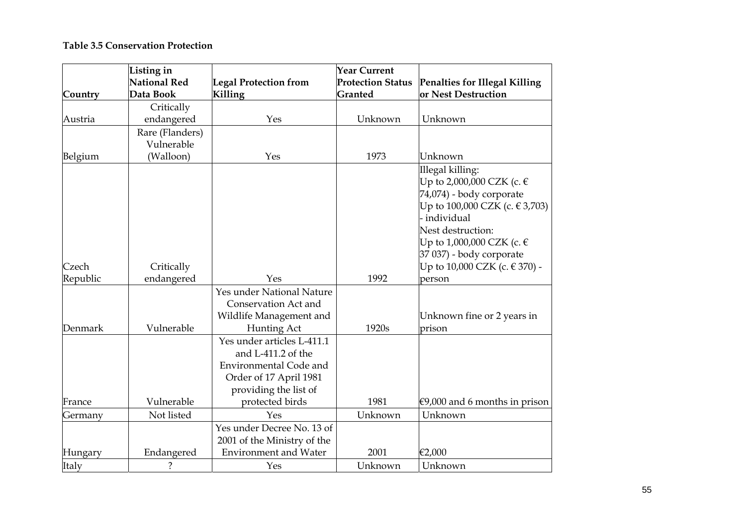#### **Table 3.5 Conservation Protection**

| Country  | Listing in<br><b>National Red</b><br>Data Book | <b>Legal Protection from</b><br>Killing                                                                                                          | <b>Year Current</b><br><b>Protection Status</b><br>Granted | Penalties for Illegal Killing<br>or Nest Destruction                                                                                                                                                                                           |
|----------|------------------------------------------------|--------------------------------------------------------------------------------------------------------------------------------------------------|------------------------------------------------------------|------------------------------------------------------------------------------------------------------------------------------------------------------------------------------------------------------------------------------------------------|
|          | Critically                                     |                                                                                                                                                  |                                                            |                                                                                                                                                                                                                                                |
| Austria  | endangered                                     | Yes                                                                                                                                              | Unknown                                                    | Unknown                                                                                                                                                                                                                                        |
| Belgium  | Rare (Flanders)<br>Vulnerable<br>(Walloon)     | Yes                                                                                                                                              | 1973                                                       | Unknown                                                                                                                                                                                                                                        |
| Czech    | Critically                                     |                                                                                                                                                  |                                                            | Illegal killing:<br>Up to 2,000,000 CZK (c. €<br>74,074) - body corporate<br>Up to 100,000 CZK (c. € 3,703)<br>- individual<br>Nest destruction:<br>Up to 1,000,000 CZK (c. $\in$<br>37 037) - body corporate<br>Up to 10,000 CZK (c. € 370) - |
| Republic | endangered                                     | Yes                                                                                                                                              | 1992                                                       | person                                                                                                                                                                                                                                         |
| Denmark  | Vulnerable                                     | Yes under National Nature<br>Conservation Act and<br>Wildlife Management and<br>Hunting Act                                                      | 1920s                                                      | Unknown fine or 2 years in<br>prison                                                                                                                                                                                                           |
| France   | Vulnerable                                     | Yes under articles L-411.1<br>and L-411.2 of the<br>Environmental Code and<br>Order of 17 April 1981<br>providing the list of<br>protected birds | 1981                                                       | €9,000 and 6 months in prison                                                                                                                                                                                                                  |
| Germany  | Not listed                                     | Yes                                                                                                                                              | Unknown                                                    | Unknown                                                                                                                                                                                                                                        |
| Hungary  | Endangered                                     | Yes under Decree No. 13 of<br>2001 of the Ministry of the<br><b>Environment</b> and Water                                                        | 2001                                                       | €2,000                                                                                                                                                                                                                                         |
| Italy    | ?                                              | Yes                                                                                                                                              | Unknown                                                    | Unknown                                                                                                                                                                                                                                        |